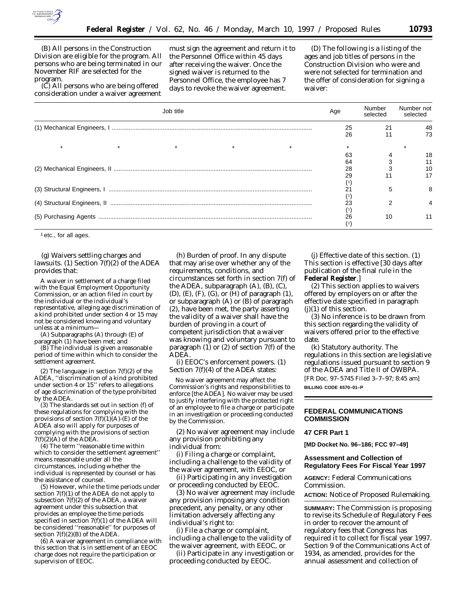

(B) All persons in the Construction Division are eligible for the program. All persons who are being terminated in our November RIF are selected for the program.

(C) All persons who are being offered consideration under a waiver agreement must sign the agreement and return it to the Personnel Office within 45 days after receiving the waiver. Once the signed waiver is returned to the Personnel Office, the employee has 7 days to revoke the waiver agreement.

(D) The following is a listing of the ages and job titles of persons in the Construction Division who were and were not selected for termination and the offer of consideration for signing a waiver:

| Job title | Age | Number<br>selected | Number not<br>selected |
|-----------|-----|--------------------|------------------------|
|           | 25  | 21                 | 48                     |
|           | 26  |                    | 73                     |
|           |     |                    |                        |
|           | 63  |                    | 18                     |
|           | 64  |                    |                        |
|           | 28  |                    | 10                     |
|           | 29  |                    |                        |
|           |     |                    |                        |
|           |     | 5                  | 8                      |
|           |     |                    |                        |
|           | 23  |                    |                        |
|           |     |                    |                        |
|           | 26  | 10                 | 11                     |
|           |     |                    |                        |

1 etc., for all ages.

(g) *Waivers settling charges and lawsuits. (1) Section 7(f)(2) of the ADEA provides that:*

A waiver in settlement of a charge filed with the Equal Employment Opportunity Commission, or an action filed in court by the individual or the individual's representative, alleging age discrimination of a kind prohibited under section 4 or 15 may not be considered knowing and voluntary unless at a minimum—

(A) Subparagraphs (A) through (E) of paragraph (1) have been met; and

(B) The individual is given a reasonable period of time within which to consider the settlement agreement.

(2) The language in section  $7(f)(2)$  of the ADEA, ''discrimination of a kind prohibited under section 4 or 15'' refers to allegations of age discrimination of the type prohibited by the ADEA.

(3) The standards set out in section (f) of these regulations for complying with the provisions of section  $7(f)(1)(A)$ -(E) of the ADEA also will apply for purposes of complying with the provisions of section  $7(f)(2)(A)$  of the ADEA.

(4) The term ''reasonable time within which to consider the settlement agreement'' means reasonable under all the circumstances, including whether the individual is represented by counsel or has the assistance of counsel.

(5) However, while the time periods under section  $7(f)(1)$  of the ADEA do not apply to subsection  $7(f)(2)$  of the ADEA, a waiver agreement under this subsection that provides an employee the time periods specified in section 7(f)(1) of the ADEA will be considered ''reasonable'' for purposes of section  $7(f)(2)(B)$  of the ADEA.

(6) A waiver agreement in compliance with this section that is in settlement of an EEOC charge does not require the participation or supervision of EEOC.

(h) *Burden of proof.* In any dispute that may arise over whether any of the requirements, conditions, and circumstances set forth in section 7(f) of the ADEA, subparagraph (A), (B), (C), (D), (E), (F), (G), or (H) of paragraph (1), or subparagraph (A) or (B) of paragraph (2), have been met, the party asserting the validity of a waiver shall have the burden of proving in a court of competent jurisdiction that a waiver was knowing and voluntary pursuant to paragraph (1) or (2) of section 7(f) of the ADEA.

(i) *EEOC's enforcement powers.* (1) Section 7(f)(4) of the ADEA states:

No waiver agreement may affect the Commission's rights and responsibilities to enforce [the ADEA]. No waiver may be used to justify interfering with the protected right of an employee to file a charge or participate in an investigation or proceeding conducted by the Commission.

(2) No waiver agreement may include any provision prohibiting any individual from:

(i) Filing a charge or complaint, including a challenge to the validity of the waiver agreement, with EEOC, or

(ii) Participating in any investigation or proceeding conducted by EEOC.

(3) No waiver agreement may include any provision imposing any condition precedent, any penalty, or any other limitation adversely affecting any individual's right to:

(i) File a charge or complaint, including a challenge to the validity of the waiver agreement, with EEOC, or

(ii) Participate in any investigation or proceeding conducted by EEOC.

(j) *Effective date of this section.* (1) This section is effective [30 days after publication of the final rule in the **Federal Register**.]

(2) This section applies to waivers offered by employers on or after the effective date specified in paragraph (j)(1) of this section.

(3) No inference is to be drawn from this section regarding the validity of waivers offered prior to the effective date.

(k) *Statutory authority.* The regulations in this section are legislative regulations issued pursuant to section 9 of the ADEA and Title II of OWBPA. [FR Doc. 97–5745 Filed 3–7–97; 8:45 am] **BILLING CODE 6570–01–P**

## **FEDERAL COMMUNICATIONS COMMISSION**

**47 CFR Part 1**

**[MD Docket No. 96–186; FCC 97–49]**

## **Assessment and Collection of Regulatory Fees For Fiscal Year 1997**

**AGENCY:** Federal Communications Commission.

**ACTION:** Notice of Proposed Rulemaking.

**SUMMARY:** The Commission is proposing to revise its Schedule of Regulatory Fees in order to recover the amount of regulatory fees that Congress has required it to collect for fiscal year 1997. Section 9 of the Communications Act of 1934, as amended, provides for the annual assessment and collection of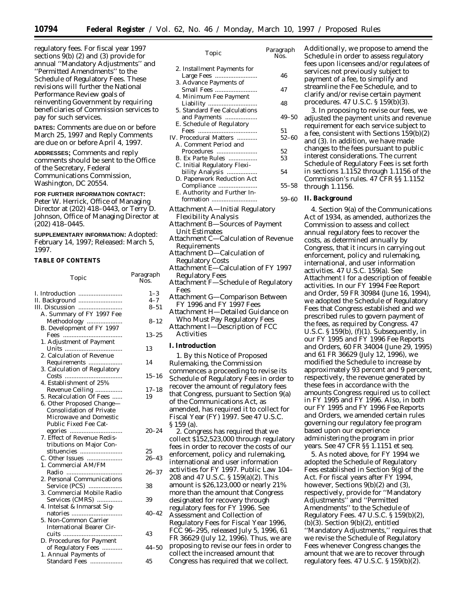regulatory fees. For fiscal year 1997 sections  $\tilde{9}$ (b) (2) and (3) provide for annual ''Mandatory Adjustments'' and ''Permitted Amendments'' to the Schedule of Regulatory Fees. These revisions will further the National Performance Review goals of reinventing Government by requiring beneficiaries of Commission services to pay for such services.

**DATES:** Comments are due on or before March 25, 1997 and Reply Comments are due on or before April 4, 1997.

**ADDRESSES;** Comments and reply comments should be sent to the Office of the Secretary, Federal Communications Commission, Washington, DC 20554.

# **FOR FURTHER INFORMATION CONTACT:**

Peter W. Herrick, Office of Managing Director at (202) 418–0443, or Terry D. Johnson, Office of Managing Director at (202) 418–0445.

**SUPPLEMENTARY INFORMATION:** Adopted: February 14, 1997; Released: March 5, 1997.

## **TABLE OF CONTENTS**

| Topic                                    | Paragraph<br>Nos. |
|------------------------------------------|-------------------|
|                                          | $1 - 3$           |
| II. Background                           | $4 - 7$           |
|                                          | $8 - 51$          |
| A. Summary of FY 1997 Fee                |                   |
| Methodology<br>B. Development of FY 1997 | $8 - 12$          |
|                                          |                   |
|                                          | $13 - 25$         |
| 1. Adjustment of Payment                 |                   |
|                                          | 13                |
| 2. Calculation of Revenue                |                   |
| Requirements                             | 14                |
| 3. Calculation of Regulatory             |                   |
| Costs                                    | $15 - 16$         |
| 4. Establishment of 25%                  |                   |
| Revenue Ceiling                          | $17 - 18$         |
| 5. Recalculation Of Fees                 | 19                |
| 6. Other Proposed Change-                |                   |
| Consolidation of Private                 |                   |
| Microwave and Domestic                   |                   |
| Public Fixed Fee Cat-                    |                   |
|                                          | $20 - 24$         |
| 7. Effect of Revenue Redis-              |                   |
| tributions on Major Con-                 |                   |
| stituencies                              | 25                |
| C. Other Issues                          | $26 - 43$         |
| 1. Commercial AM/FM                      |                   |
|                                          | $26 - 37$         |
| 2. Personal Communications               |                   |
| Service (PCS)                            | 38                |
| 3. Commercial Mobile Radio               |                   |
| Services (CMRS)                          | 39                |
| 4. Intelsat & Inmarsat Sig-              |                   |
|                                          | $40 - 42$         |
| 5. Non-Common Carrier                    |                   |
| <b>International Bearer Cir-</b>         |                   |
|                                          | 43                |
| D. Procedures for Payment                |                   |
| of Regulatory Fees                       | 44–50             |
| 1. Annual Payments of                    |                   |
| Standard Fees                            | 45                |

| ι υριτ                                                                                                                                                                                  | Nos.            |
|-----------------------------------------------------------------------------------------------------------------------------------------------------------------------------------------|-----------------|
| 2. Installment Payments for<br>Large Fees                                                                                                                                               | 46              |
| 3. Advance Payments of<br>Small Fees<br>4. Minimum Fee Payment                                                                                                                          | 47              |
| Liability<br>5. Standard Fee Calculations                                                                                                                                               | 48              |
| and Payments<br>E. Schedule of Regulatory                                                                                                                                               | 49–50           |
| IV. Procedural Matters<br>A. Comment Period and                                                                                                                                         | 51<br>$52 - 60$ |
| Procedures<br>B. Ex Parte Rules                                                                                                                                                         | 52<br>53        |
| C. Initial Regulatory Flexi-<br>bility Analysis<br>D. Paperwork Reduction Act                                                                                                           | 54              |
| Compliance<br>E. Authority and Further In-                                                                                                                                              | $55 - 58$       |
| formation<br>Attachment A—Initial Regulatory                                                                                                                                            | $59 - 60$       |
| <b>Flexibility Analysis</b><br>Attachment B-Sources of Payment<br><b>Unit Estimates</b>                                                                                                 |                 |
| Attachment C-Calculation of Revenue<br>Requirements                                                                                                                                     |                 |
| Attachment D-Calculation of<br><b>Regulatory Costs</b>                                                                                                                                  |                 |
| Attachment E-Calculation of FY 1997<br>Regulatory Fees<br>Attachment F—Schedule of Regulatory                                                                                           |                 |
| Fees<br>Attachment G-Comparison Between                                                                                                                                                 |                 |
| FY 1996 and FY 1997 Fees<br>Attachment H-Detailed Guidance on                                                                                                                           |                 |
| Who Must Pay Regulatory Fees<br>Attachment I-Description of FCC<br><b>Activities</b>                                                                                                    |                 |
| I. Introduction                                                                                                                                                                         |                 |
| 1. By this Notice of Proposed<br>Rulemaking, the Commission<br>commences a proceeding to revise its<br>Schedule of Regulatory Fees in order to<br>recover the amount of regulatory fees |                 |

that Congress, pursuant to Section 9(a) of the Communications Act, as amended, has required it to collect for Fiscal Year (FY) 1997. *See* 47 U.S.C. § 159 (a).

2. Congress has required that we collect \$152,523,000 through regulatory fees in order to recover the costs of our enforcement, policy and rulemaking, international and user information activities for FY 1997. Public Law 104– 208 and 47 U.S.C. § 159(a)(2). This amount is \$26,123,000 or nearly 21% more than the amount that Congress designated for recovery through regulatory fees for FY 1996. *See Assessment and Collection of Regulatory Fees for Fiscal Year 1996,* FCC 96–295, released July 5, 1996, 61 FR 36629 (July 12, 1996). Thus, we are proposing to revise our fees in order to collect the increased amount that Congress has required that we collect.

*Topic Paragraph* Additionally, we propose to amend the Schedule in order to assess regulatory fees upon licensees and/or regulatees of services not previously subject to payment of a fee, to simplify and streamline the Fee Schedule, and to clarify and/or revise certain payment procedures. 47 U.S.C. § 159(b)(3).

> 3. In proposing to revise our fees, we adjusted the payment units and revenue requirement for each service subject to a fee, consistent with Sections 159(b)(2) and (3). In addition, we have made changes to the fees pursuant to public interest considerations. The current Schedule of Regulatory Fees is set forth in sections 1.1152 through 1.1156 of the Commission's rules. 47 CFR §§ 1.1152 through 1.1156.

**II. Background**

4. Section 9(a) of the Communications Act of 1934, as amended, authorizes the Commission to assess and collect annual regulatory fees to recover the costs, as determined annually by Congress, that it incurs in carrying out enforcement, policy and rulemaking, international, and user information activities. 47 U.S.C. 159(a). See Attachment I for a description of feeable activities. In our *FY 1994 Fee Report and Order*, 59 FR 30984 (June 16, 1994), we adopted the Schedule of Regulatory Fees that Congress established and we prescribed rules to govern payment of the fees, as required by Congress. 47 U.S.C.  $\S 159(b)$ ,  $(f)(1)$ . Subsequently, in our *FY 1995 and FY 1996 Fee Reports and Orders*, 60 FR 34004 (June 29, 1995) and 61 FR 36629 (July 12, 1996), we modified the Schedule to increase by approximately 93 percent and 9 percent, respectively, the revenue generated by these fees in accordance with the amounts Congress required us to collect in FY 1995 and FY 1996. Also, in both our *FY 1995 and FY 1996 Fee Reports and Orders*, we amended certain rules governing our regulatory fee program based upon our experience administering the program in prior years. *See* 47 CFR §§ 1.1151 *et seq.*

5. As noted above, for FY 1994 we adopted the Schedule of Regulatory Fees established in Section  $9(g)$  of the Act. For fiscal years after FY 1994, however, Sections 9(b)(2) and (3), respectively, provide for ''Mandatory Adjustments'' and ''Permitted Amendments'' to the Schedule of Regulatory Fees. 47 U.S.C. § 159(b)(2),  $(b)$  $(3)$ . Section  $9(b)(2)$ , entitled ''Mandatory Adjustments,'' requires that we revise the Schedule of Regulatory Fees whenever Congress changes the amount that we are to recover through regulatory fees. 47 U.S.C. § 159(b)(2).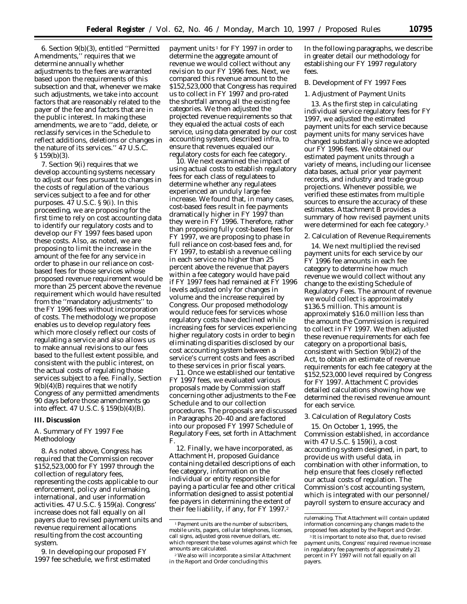6. Section 9(b)(3), entitled ''Permitted Amendments,'' requires that we determine annually whether adjustments to the fees are warranted based upon the requirements of this subsection and that, whenever we make such adjustments, we take into account factors that are reasonably related to the payer of the fee and factors that are in the public interest. In making these amendments, we are to ''add, delete, or reclassify services in the Schedule to reflect additions, deletions or changes in the nature of its services.'' 47 U.S.C. § 159(b)(3).

7. Section 9(i) requires that we develop accounting systems necessary to adjust our fees pursuant to changes in the costs of regulation of the various services subject to a fee and for other purposes. 47 U.S.C. § 9(i). In this proceeding, we are proposing for the first time to rely on cost accounting data to identify our regulatory costs and to develop our FY 1997 fees based upon these costs. Also, as noted, we are proposing to limit the increase in the amount of the fee for any service in order to phase in our reliance on costbased fees for those services whose proposed revenue requirement would be more than 25 percent above the revenue requirement which would have resulted from the ''mandatory adjustments'' to the FY 1996 fees without incorporation of costs. The methodology we propose enables us to develop regulatory fees which more closely reflect our costs of regulating a service and also allows us to make annual revisions to our fees based to the fullest extent possible, and consistent with the public interest, on the actual costs of regulating those services subject to a fee. Finally, Section 9(b)(4)(B) requires that we notify Congress of any permitted amendments 90 days before those amendments go into effect. 47 U.S.C. § 159(b)(4)(B).

#### **III. Discussion**

## *A. Summary of FY 1997 Fee Methodology*

8. As noted above, Congress has required that the Commission recover \$152,523,000 for FY 1997 through the collection of regulatory fees, representing the costs applicable to our enforcement, policy and rulemaking, international, and user information activities. 47 U.S.C. § 159(a). Congress' increase does not fall equally on all payers due to revised payment units and revenue requirement allocations resulting from the cost accounting system.

9. In developing our proposed FY 1997 fee schedule, we first estimated

payment units  $1$  for FY 1997 in order to determine the aggregate amount of revenue we would collect without any revision to our FY 1996 fees. Next, we compared this revenue amount to the \$152,523,000 that Congress has required us to collect in FY 1997 and pro-rated the shortfall among all the existing fee categories. We then adjusted the projected revenue requirements so that they equaled the actual costs of each service, using data generated by our cost accounting system, described *infra,* to ensure that revenues equaled our regulatory costs for each fee category.

10. We next examined the impact of using actual costs to establish regulatory fees for each class of regulatees to determine whether any regulatees experienced an unduly large fee increase. We found that, in many cases, cost-based fees result in fee payments dramatically higher in FY 1997 than they were in FY 1996. Therefore, rather than proposing fully cost-based fees for FY 1997, we are proposing to phase in full reliance on cost-based fees and, for FY 1997, to establish a revenue ceiling in each service no higher than 25 percent above the revenue that payers within a fee category would have paid if FY 1997 fees had remained at FY 1996 levels adjusted only for changes in volume and the increase required by Congress. Our proposed methodology would reduce fees for services whose regulatory costs have declined while increasing fees for services experiencing higher regulatory costs in order to begin eliminating disparities disclosed by our cost accounting system between a service's current costs and fees ascribed to these services in prior fiscal years.

11. Once we established our tentative FY 1997 fees, we evaluated various proposals made by Commission staff concerning other adjustments to the Fee Schedule and to our collection procedures. The proposals are discussed in Paragraphs 20–40 and are factored into our proposed FY 1997 Schedule of Regulatory Fees, set forth in Attachment F.

12. Finally, we have incorporated, as Attachment H, proposed Guidance containing detailed descriptions of each fee category, information on the individual or entity responsible for paying a particular fee and other critical information designed to assist potential fee payers in determining the extent of their fee liability, if any, for FY 1997.2

In the following paragraphs, we describe in greater detail our methodology for establishing our FY 1997 regulatory fees.

# *B. Development of FY 1997 Fees*

#### 1. Adjustment of Payment Units

13. As the first step in calculating individual service regulatory fees for FY 1997, we adjusted the estimated payment units for each service because payment units for many services have changed substantially since we adopted our FY 1996 fees. We obtained our estimated payment units through a variety of means, including our licensee data bases, actual prior year payment records, and industry and trade group projections. Whenever possible, we verified these estimates from multiple sources to ensure the accuracy of these estimates. Attachment B provides a summary of how revised payment units were determined for each fee category.3

#### 2. Calculation of Revenue Requirements

14. We next multiplied the revised payment units for each service by our FY 1996 fee amounts in each fee category to determine how much revenue we would collect without any change to the existing Schedule of Regulatory Fees. The amount of revenue we would collect is approximately \$136.5 million. This amount is approximately \$16.0 million less than the amount the Commission is required to collect in FY 1997. We then adjusted these revenue requirements for each fee category on a proportional basis, consistent with Section 9(b)(2) of the Act, to obtain an estimate of revenue requirements for each fee category at the \$152,523,000 level required by Congress for FY 1997. Attachment C provides detailed calculations showing how we determined the revised revenue amount for each service.

### 3. Calculation of Regulatory Costs

15. On October 1, 1995, the Commission established, in accordance with 47 U.S.C. § 159(i), a cost accounting system designed, in part, to provide us with useful data, in combination with other information, to help ensure that fees closely reflected our actual costs of regulation. The Commission's cost accounting system, which is integrated with our personnel/ payroll system to ensure accuracy and

<sup>1</sup>Payment units are the number of subscribers, mobile units, pagers, cellular telephones, licenses, call signs, adjusted gross revenue dollars, etc. which represent the base volumes against which fee amounts are calculated.

<sup>2</sup>We also will incorporate a similar Attachment in the *Report and Order* concluding this

rulemaking. That Attachment will contain updated information concerning any changes made to the proposed fees adopted by the *Report and Order.*

<sup>&</sup>lt;sup>3</sup> It is important to note also that, due to revised payment units, Congress' required revenue increase in regulatory fee payments of approximately 21 percent in FY 1997 will not fall equally on all payers.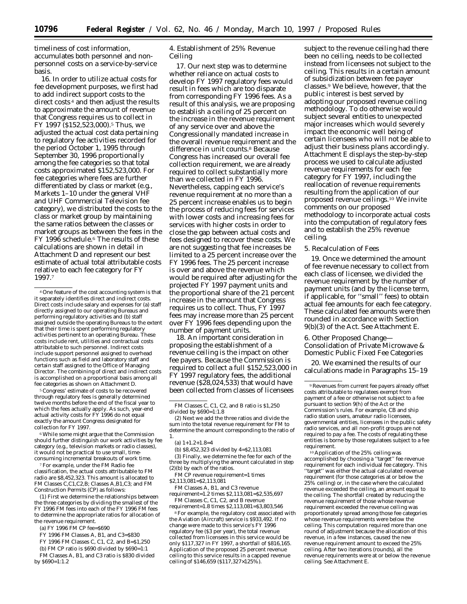timeliness of cost information, accumulates both personnel and nonpersonnel costs on a service-by-service basis.

16. In order to utilize actual costs for fee development purposes, we first had to add indirect support costs to the direct costs 4 and then adjust the results to approximate the amount of revenue that Congress requires us to collect in FY 1997 (\$152,523,000).5 Thus, we adjusted the actual cost data pertaining to regulatory fee activities recorded for the period October 1, 1995 through September 30, 1996 proportionally among the fee categories so that total costs approximated \$152,523,000. For fee categories where fees are further differentiated by class or market (e.g., Markets 1–10 under the general VHF and UHF Commercial Television fee category), we distributed the costs to the class or market group by maintaining the same ratios between the classes or market groups as between the fees in the FY 1996 schedule.6 The results of these calculations are shown in detail in Attachment D and represent our best estimate of actual total attributable costs relative to each fee category for FY 1997.7

4One feature of the cost accounting system is that it separately identifies direct and indirect costs. Direct costs include salary and expenses for (a) staff directly assigned to our operating Bureaus and performing regulatory activities and (b) staff assigned outside the operating Bureaus to the extent that their time is spent performing regulatory activities pertinent to an operating Bureau. These costs include rent, utilities and contractual costs attributable to such personnel. Indirect costs include support personnel assigned to overhead functions such as field and laboratory staff and certain staff assigned to the Office of Managing Director. The combining of direct and indirect costs is accomplished on a proportional basis among all fee categories as shown on Attachment D.

5Congress' estimate of costs to be recovered through regulatory fees is generally determined twelve months before the end of the fiscal year to which the fees actually apply. As such, year-end actual activity costs for FY 1996 do not equal exactly the amount Congress designated for collection for FY 1997.

6While some might argue that the Commission should further distinguish our work activities by fee category (e.g., television markets or radio classes), it would not be practical to use small, timeconsuming incremental breakouts of work time.

7For example, under the FM Radio fee classification, the actual costs attributable to FM radio are \$8,452,323. This amount is allocated to FM Classes C,C1,C2,B; Classes A,B1,C3; and FM Construction Permits (CP) as follows:

(1) First we determine the relationships between the three categories by dividing the smallest of the FY 1996 FM fees into each of the FY 1996 FM fees to determine the appropriate ratios for allocation of the revenue requirement.

(a) FY 1996 FM CP fee=\$690

FY 1996 FM Classes A, B1, and C3=\$830

FY 1996 FM Classes C, C1, C2, and B=\$1,250

(b) FM CP ratio is \$690 divided by \$690=1:1

FM Classes A, B1, and C3 ratio is \$830 divided by \$690=1:1.2

4. Establishment of 25% Revenue Ceiling

17. Our next step was to determine whether reliance on actual costs to develop FY 1997 regulatory fees would result in fees which are too disparate from corresponding FY 1996 fees. As a result of this analysis, we are proposing to establish a ceiling of 25 percent on the increase in the revenue requirement of any service over and above the Congressionally mandated increase in the overall revenue requirement and the difference in unit counts.<sup>8</sup> Because Congress has increased our overall fee collection requirement, we are already required to collect substantially more than we collected in FY 1996. Nevertheless, capping each service's revenue requirement at no more than a 25 percent increase enables us to begin the process of reducing fees for services with lower costs and increasing fees for services with higher costs in order to close the gap between actual costs and fees designed to recover these costs. We are not suggesting that fee increases be limited to a 25 percent increase over the FY 1996 fees. The 25 percent increase is over and above the revenue which would be required after adjusting for the projected FY 1997 payment units and the proportional share of the 21 percent increase in the amount that Congress requires us to collect. Thus, FY 1997 fees may increase more than 25 percent over FY 1996 fees depending upon the number of payment units.

18. An important consideration in proposing the establishment of a revenue ceiling is the impact on other fee payers. Because the Commission is required to collect a full \$152,523,000 in FY 1997 regulatory fees, the additional revenue ( $\frac{28,024,533}{h}$  that would have been collected from classes of licensees

FM Classes C, C1, C2, and B ratio is \$1,250 divided by \$690=1:1.8

(2) Next we add the three ratios and divide the sum into the total revenue requirement for FM to determine the amount corresponding to the ratio of 1.

- (a)  $1+1.2+1.8=4$
- (b) \$8,452,323 divided by 4=\$2,113,081

(3) Finally, we determine the fee for each of the three by multiplying the amount calculated in step (2)(b) by each of the ratios.

FM CP revenue requirement=1 times \$2,113,081=\$2,113,081

FM Classes A, B1, and C3 revenue

requirement=1.2 times \$2,113,081=\$2,535,697 FM Classes C, C1, C2, and B revenue

requirement=1.8 times \$2,113,081=\$3,803,546

8For example, the regulatory cost associated with the Aviation (Aircraft) service is \$933,492. If no change were made to this service's FY 1996 regulatory fee (\$3 per year), the total revenue collected from licensees in this service would be only \$117,327 in FY 1997, a shortfall of \$816,165. Application of the proposed 25 percent revenue ceiling to this service results in a capped revenue ceiling of \$146,659 (\$117,327×125%).

subject to the revenue ceiling had there been no ceiling, needs to be collected instead from licensees not subject to the ceiling. This results in a certain amount of subsidization between fee payer classes.9 We believe, however, that the public interest is best served by adopting our proposed revenue ceiling methodology. To do otherwise would subject several entities to unexpected major increases which would severely impact the economic well being of certain licensees who will not be able to adjust their business plans accordingly. Attachment E displays the step-by-step process we used to calculate adjusted revenue requirements for each fee category for FY 1997, including the reallocation of revenue requirements resulting from the application of our proposed revenue ceilings.10 We invite comments on our proposed methodology to incorporate actual costs into the computation of regulatory fees and to establish the 25% revenue ceiling.

#### 5. Recalculation of Fees

19. Once we determined the amount of fee revenue necessary to collect from each class of licensee, we divided the revenue requirement by the number of payment units (and by the license term, if applicable, for ''small'' fees) to obtain actual fee amounts for each fee category. These calculated fee amounts were then rounded in accordance with Section 9(b)(3) of the Act. See Attachment E.

## 6. Other Proposed Change— Consolidation of Private Microwave & Domestic Public Fixed Fee Categories

20. We examined the results of our calculations made in Paragraphs 15–19

10Application of the 25% ceiling was accomplished by choosing a ''target'' fee revenue requirement for each individual fee category. This 'target'' was either the actual calculated revenue requirement (for those categories at or below the 25% ceiling) or, in the case where the calculated revenue exceeded the ceiling, an amount equal to the ceiling. The shortfall created by reducing the revenue requirement of those whose revenue requirement exceeded the revenue ceiling was proportionately spread among those fee categories whose revenue requirements were below the ceiling. This computation required more than one round of adjustment because the allocation of this revenue, in a few instances, caused the new revenue requirement amount to exceed the 25% ceiling. After two iterations (rounds), all the revenue requirements were at or below the revenue ceiling. See Attachment E.

<sup>9</sup>Revenues from current fee payers already offset costs attributable to regulatees exempt from payment of a fee or otherwise not subject to a fee pursuant to section 9(h) of the Act or the Commission's rules. For example, CB and ship radio station users, amateur radio licensees, governmental entities, licensees in the public safety radio services, and all non-profit groups are not required to pay a fee. The costs of regulating these entities is borne by those regulatees subject to a fee requirement.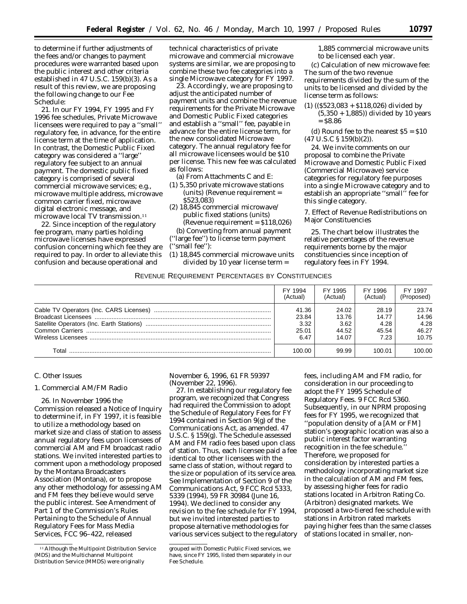to determine if further adjustments of the fees and/or changes to payment procedures were warranted based upon the public interest and other criteria established in 47 U.S.C. 159(b)(3). As a result of this review, we are proposing the following change to our Fee Schedule:

21. In our FY 1994, FY 1995 and FY 1996 fee schedules, Private Microwave licensees were required to pay a ''small'' regulatory fee, in advance, for the entire license term at the time of application. In contrast, the Domestic Public Fixed category was considered a ''large'' regulatory fee subject to an annual payment. The domestic public fixed category is comprised of several commercial microwave services; e.g., microwave multiple address, microwave common carrier fixed, microwave digital electronic message, and microwave local TV transmission.11

22. Since inception of the regulatory fee program, many parties holding microwave licenses have expressed confusion concerning which fee they are required to pay. In order to alleviate this confusion and because operational and

technical characteristics of private microwave and commercial microwave systems are similar, we are proposing to combine these two fee categories into a single Microwave category for FY 1997.

23. Accordingly, we are proposing to adjust the anticipated number of payment units and combine the revenue requirements for the Private Microwave and Domestic Public Fixed categories and establish a ''small'' fee, payable in advance for the entire license term, for the new consolidated Microwave category. The annual regulatory fee for all microwave licensees would be \$10 per license. This new fee was calculated as follows:

(a) From Attachments C and E:

- (1) 5,350 private microwave stations (units) (Revenue requirement = \$523,083)
- (2) 18,845 commercial microwave/ public fixed stations (units) (Revenue requirement = \$118,026)

(b) Converting from annual payment (''large fee'') to license term payment (''small fee''):

(1) 18,845 commercial microwave units divided by 10 year license term =

1,885 commercial microwave units to be licensed each year.

(c) Calculation of new microwave fee: The sum of the two revenue requirements divided by the sum of the units to be licensed and divided by the license term as follows:

(1) ((\$523,083 + \$118,026) divided by (5,350 + 1,885)) divided by 10 years  $=$  \$8.86

(d) Round fee to the nearest  $$5 = $10$ (47 U.S.C § 159(b)(2)).

24. We invite comments on our proposal to combine the Private Microwave and Domestic Public Fixed (Commercial Microwave) service categories for regulatory fee purposes into a single Microwave category and to establish an appropriate ''small'' fee for this single category.

7. Effect of Revenue Redistributions on Major Constituencies

25. The chart below illustrates the relative percentages of the revenue requirements borne by the major constituencies since inception of regulatory fees in FY 1994.

REVENUE REQUIREMENT PERCENTAGES BY CONSTITUENCIES

|       | FY 1994  | FY 1995  | FY 1996  | FY 1997    |
|-------|----------|----------|----------|------------|
|       | (Actual) | (Actual) | (Actual) | (Proposed) |
|       | 41.36    | 24.02    | 28.19    | 23.74      |
|       | 23.84    | 13.76    | 14.77    | 14.96      |
|       | 3.32     | 3.62     | 4.28     | 4.28       |
|       | 25.01    | 44.52    | 45.54    | 46.27      |
|       | 6.47     | 14.07    | 7.23     | 10.75      |
| Total | 100.00   | 99.99    | 100.01   | 100.00     |

## *C. Other Issues*

#### 1. Commercial AM/FM Radio

26. In November 1996 the Commission released a *Notice of Inquiry* to determine if, in FY 1997, it is feasible to utilize a methodology based on market size and class of station to assess annual regulatory fees upon licensees of commercial AM and FM broadcast radio stations. We invited interested parties to comment upon a methodology proposed by the Montana Broadcasters Association (Montana), or to propose any other methodology for assessing AM and FM fees they believe would serve the public interest. See *Amendment of Part 1 of the Commission's Rules Pertaining to the Schedule of Annual Regulatory Fees for Mass Media Services,* FCC 96–422, released

November 6, 1996, 61 FR 59397 (November 22, 1996).

27. In establishing our regulatory fee program, we recognized that Congress had required the Commission to adopt the Schedule of Regulatory Fees for FY 1994 contained in Section 9(g) of the Communications Act, as amended. 47 U.S.C. § 159(g). The Schedule assessed AM and FM radio fees based upon class of station. Thus, each licensee paid a fee identical to other licensees with the same class of station, without regard to the size or population of its service area. *See Implementation of Section 9 of the Communications Act,* 9 FCC Rcd 5333, 5339 (1994), 59 FR 30984 (June 16, 1994). We declined to consider any revision to the fee schedule for FY 1994, but we invited interested parties to propose alternative methodologies for various services subject to the regulatory

fees, including AM and FM radio, for consideration in our proceeding to adopt the FY 1995 Schedule of Regulatory Fees. 9 FCC Rcd 5360. Subsequently, in our *NPRM* proposing fees for FY 1995, we recognized that ''population density of a [AM or FM] station's geographic location was also a public interest factor warranting recognition in the fee schedule.'' Therefore, we proposed for consideration by interested parties a methodology incorporating market size in the calculation of AM and FM fees, by assessing higher fees for radio stations located in Arbitron Rating Co. (Arbitron) designated markets. We proposed a two-tiered fee schedule with stations in Arbitron rated markets paying higher fees than the same classes of stations located in smaller, non-

<sup>11</sup>Although the Multipoint Distribution Service (MDS) and the Multichannel Multipoint Distribution Service (MMDS) were originally

grouped with Domestic Public Fixed services, we have, since FY 1995, listed them separately in our Fee Schedule.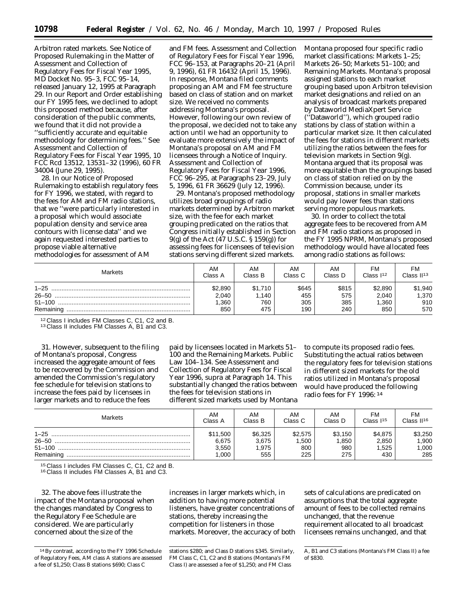Arbitron rated markets. See *Notice of Proposed Rulemaking in the Matter of Assessment and Collection of Regulatory Fees for Fiscal Year 1995,* MD Docket No. 95–3, FCC 95–14, released January 12, 1995 at Paragraph 29. In our *Report and Order* establishing our FY 1995 fees, we declined to adopt this proposed method because, after consideration of the public comments, we found that it did not provide a ''sufficiently accurate and equitable methodology for determining fees.'' See *Assessment and Collection of Regulatory Fees for Fiscal Year 1995,* 10 FCC Rcd 13512, 13531–32 (1996), 60 FR 34004 (June 29, 1995).

28. In our *Notice of Proposed Rulemaking* to establish regulatory fees for FY 1996, we stated, with regard to the fees for AM and FM radio stations, that we ''were particularly interested in a proposal which would associate population density and service area contours with license data'' and we again requested interested parties to propose viable alternative methodologies for assessment of AM

and FM fees. *Assessment and Collection of Regulatory Fees for Fiscal Year 1996,* FCC 96–153, at Paragraphs 20–21 (April 9, 1996), 61 FR 16432 (April 15, 1996). In response, Montana filed comments proposing an AM and FM fee structure based on class of station and on market size. We received no comments addressing Montana's proposal. However, following our own review of the proposal, we decided not to take any action until we had an opportunity to evaluate more extensively the impact of Montana's proposal on AM and FM licensees through a *Notice of Inquiry. Assessment and Collection of Regulatory Fees for Fiscal Year 1996,* FCC 96–295, at Paragraphs 23–29, July 5, 1996, 61 FR 36629 (July 12, 1996).

29. Montana's proposed methodology utilizes broad groupings of radio markets determined by Arbitron market size, with the fee for each market grouping predicated on the ratios that Congress initially established in Section 9(g) of the Act (47 U.S.C. § 159(g)) for assessing fees for licensees of television stations serving different sized markets.

Montana proposed four specific radio market classifications: Markets 1–25; Markets 26–50; Markets 51–100; and Remaining Markets. Montana's proposal assigned stations to each market grouping based upon Arbitron television market designations and relied on an analysis of broadcast markets prepared by Dataworld MediaXpert Service (''Dataworld''), which grouped radio stations by class of station within a particular market size. It then calculated the fees for stations in different markets utilizing the ratios between the fees for television markets in Section 9(g). Montana argued that its proposal was more equitable than the groupings based on class of station relied on by the Commission because, under its proposal, stations in smaller markets would pay lower fees than stations serving more populous markets.

30. In order to collect the total aggregate fees to be recovered from AM and FM radio stations as proposed in the FY 1995 *NPRM,* Montana's proposed methodology would have allocated fees among radio stations as follows:

| <b>Markets</b>        | AM                              | AM                             | AM                         | AM                         | <b>FM</b>                        | FM                             |
|-----------------------|---------------------------------|--------------------------------|----------------------------|----------------------------|----------------------------------|--------------------------------|
|                       | Class A                         | Class B                        | Class C                    | Class D                    | Class I <sup>12</sup>            | Class II <sup>13</sup>         |
| $1 - 25$<br>Remaining | \$2,890<br>2,040<br>.360<br>850 | \$1,710<br>1,140<br>760<br>475 | \$645<br>455<br>305<br>190 | \$815<br>575<br>385<br>240 | \$2,890<br>2.040<br>1,360<br>850 | \$1,940<br>1,370<br>910<br>570 |

<sup>12</sup> Class I includes FM Classes C, C1, C2 and B.<br><sup>13</sup> Class II includes FM Classes A, B1 and C3.

31. However, subsequent to the filing of Montana's proposal, Congress increased the aggregate amount of fees to be recovered by the Commission and amended the Commission's regulatory fee schedule for television stations to increase the fees paid by licensees in larger markets and to reduce the fees

paid by licensees located in Markets 51– 100 and the Remaining Markets. Public Law 104–134. *See Assessment and Collection of Regulatory Fees for Fiscal Year 1996, supra* at Paragraph 14. This substantially changed the ratios between the fees for television stations in different sized markets used by Montana

to compute its proposed radio fees. Substituting the actual ratios between the regulatory fees for television stations in different sized markets for the old ratios utilized in Montana's proposal would have produced the following radio fees for FY 1996: 14

| Markets  | AM                                  | AM                               | AM                             | AM                             | FM                               | FM                                |
|----------|-------------------------------------|----------------------------------|--------------------------------|--------------------------------|----------------------------------|-----------------------------------|
|          | Class A                             | Class B                          | Class C                        | Class D                        | Class $115$                      | Class $II^{16}$                   |
| $1 - 25$ | \$11,500<br>6,675<br>3,550<br>1.000 | \$6,325<br>3.675<br>1.975<br>555 | \$2,575<br>1,500<br>800<br>225 | \$3,150<br>1,850<br>980<br>275 | \$4,875<br>2,850<br>1,525<br>430 | \$3,250<br>1,900<br>000, ا<br>285 |

<sup>15</sup> Class I includes FM Classes C, C1, C2 and B.<br><sup>16</sup> Class II includes FM Classes A, B1 and C3.

32. The above fees illustrate the impact of the Montana proposal when the changes mandated by Congress to the Regulatory Fee Schedule are considered. We are particularly concerned about the size of the

increases in larger markets which, in addition to having more potential listeners, have greater concentrations of stations, thereby increasing the competition for listeners in those markets. Moreover, the accuracy of both

sets of calculations are predicated on assumptions that the total aggregate amount of fees to be collected remains unchanged, that the revenue requirement allocated to all broadcast licensees remains unchanged, and that

<sup>14</sup>By contrast, according to the FY 1996 Schedule of Regulatory Fees, AM class A stations are assessed a fee of \$1,250; Class B stations \$690; Class C

stations \$280; and Class D stations \$345. Similarly, FM Class C, C1, C2 and B stations (Montana's FM Class I) are assessed a fee of \$1,250; and FM Class

A, B1 and C3 stations (Montana's FM Class II) a fee of \$830.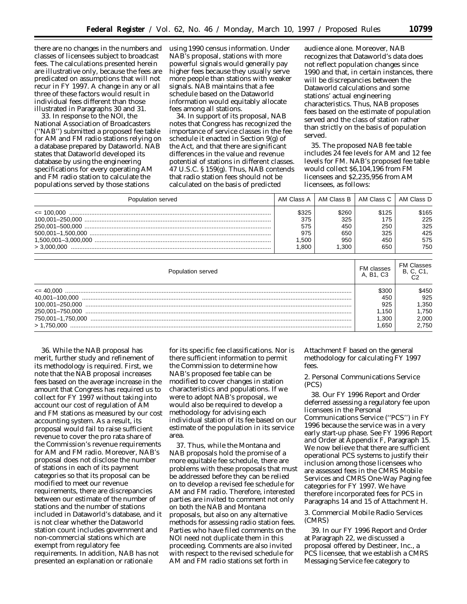there are no changes in the numbers and classes of licensees subject to broadcast fees. The calculations presented herein are illustrative only, because the fees are predicated on assumptions that will not recur in FY 1997. A change in any or all three of these factors would result in individual fees different than those illustrated in Paragraphs 30 and 31.

33. In response to the *NOI,* the National Association of Broadcasters (''NAB'') submitted a proposed fee table for AM and FM radio stations relying on a database prepared by Dataworld. NAB states that Dataworld developed its database by using the engineering specifications for every operating AM and FM radio station to calculate the populations served by those stations

using 1990 census information. Under NAB's proposal, stations with more powerful signals would generally pay higher fees because they usually serve more people than stations with weaker signals. NAB maintains that a fee schedule based on the Dataworld information would equitably allocate fees among all stations.

34. In support of its proposal, NAB notes that Congress has recognized the importance of service classes in the fee schedule it enacted in Section 9(g) of the Act, and that there are significant differences in the value and revenue potential of stations in different classes. 47 U.S.C. § 159(g). Thus, NAB contends that radio station fees should not be calculated on the basis of predicted

audience alone. Moreover, NAB recognizes that Dataworld's data does not reflect population changes since 1990 and that, in certain instances, there will be discrepancies between the Dataworld calculations and some stations' actual engineering characteristics. Thus, NAB proposes fees based on the estimate of population served and the class of station rather than strictly on the basis of population served.

35. The proposed NAB fee table includes 24 fee levels for AM and 12 fee levels for FM. NAB's proposed fee table would collect \$6,104,196 from FM licensees and \$2,235,956 from AM licensees, as follows:

| Population served |       |       | AM Class A   AM Class B   AM Class C   AM Class D |       |
|-------------------|-------|-------|---------------------------------------------------|-------|
|                   | \$325 | \$260 | \$125                                             | \$165 |
|                   | 375   | 325   | 175                                               | 225   |
|                   | 575   | 450   | 250                                               | 325   |
|                   | 975   | 650   | 325                                               | 425   |
|                   | .500  | 950   | 450                                               | 575   |
|                   | 1.800 | 1.300 | 650                                               | 750   |

| Population served | FM classes<br>A. B1. C3 | <b>FM Classes</b><br>B, C, C1, |
|-------------------|-------------------------|--------------------------------|
|                   | \$30C                   | \$450                          |
|                   | 450                     | 925                            |
|                   | 925                     | 1,350                          |
|                   | 1.150                   | 1.750                          |
|                   | .300                    | 2.000                          |
| > 1.750.000       | .650                    | 2.750                          |

36. While the NAB proposal has merit, further study and refinement of its methodology is required. First, we note that the NAB proposal increases fees based on the average increase in the amount that Congress has required us to collect for FY 1997 without taking into account our cost of regulation of AM and FM stations as measured by our cost accounting system. As a result, its proposal would fail to raise sufficient revenue to cover the pro rata share of the Commission's revenue requirements for AM and FM radio. Moreover, NAB's proposal does not disclose the number of stations in each of its payment categories so that its proposal can be modified to meet our revenue requirements, there are discrepancies between our estimate of the number of stations and the number of stations included in Dataworld's database, and it is not clear whether the Dataworld station count includes government and non-commercial stations which are exempt from regulatory fee requirements. In addition, NAB has not presented an explanation or rationale

for its specific fee classifications. Nor is there sufficient information to permit the Commission to determine how NAB's proposed fee table can be modified to cover changes in station characteristics and populations. If we were to adopt NAB's proposal, we would also be required to develop a methodology for advising each individual station of its fee based on our estimate of the population in its service area.

37. Thus, while the Montana and NAB proposals hold the promise of a more equitable fee schedule, there are problems with these proposals that must be addressed before they can be relied on to develop a revised fee schedule for AM and FM radio. Therefore, interested parties are invited to comment not only on both the NAB and Montana proposals, but also on any alternative methods for assessing radio station fees. Parties who have filed comments on the *NOI* need not duplicate them in this proceeding. Comments are also invited with respect to the revised schedule for AM and FM radio stations set forth in

Attachment F based on the general methodology for calculating FY 1997 fees.

2. Personal Communications Service (PCS)

38. Our FY 1996 *Report and Order* deferred assessing a regulatory fee upon licensees in the Personal Communications Service (''PCS'') in FY 1996 because the service was in a very early start-up phase. See *FY 1996 Report and Order* at Appendix F, Paragraph 15. We now believe that there are sufficient operational PCS systems to justify their inclusion among those licensees who are assessed fees in the CMRS Mobile Services and CMRS One-Way Paging fee categories for FY 1997. We have therefore incorporated fees for PCS in Paragraphs 14 and 15 of Attachment H.

3. Commercial Mobile Radio Services (CMRS)

39. In our FY 1996 *Report and Order* at Paragraph 22, we discussed a proposal offered by Destineer, Inc., a PCS licensee, that we establish a CMRS Messaging Service fee category to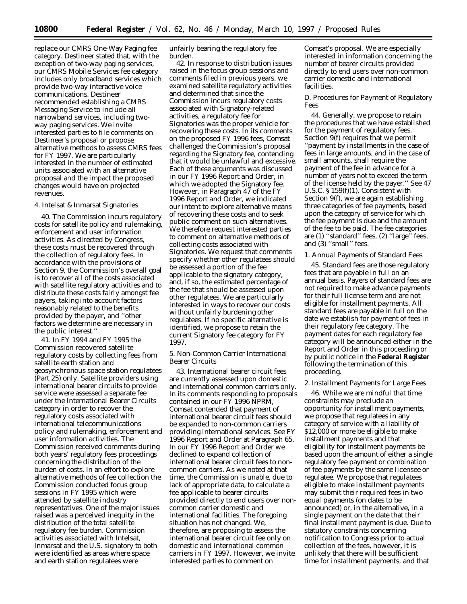replace our CMRS One-Way Paging fee category. Destineer stated that, with the exception of two-way paging services, our CMRS Mobile Services fee category includes only broadband services which provide two-way interactive voice communications. Destineer recommended establishing a CMRS Messaging Service to include all narrowband services, including twoway paging services. We invite interested parties to file comments on Destineer's proposal or propose alternative methods to assess CMRS fees for FY 1997. We are particularly interested in the number of estimated units associated with an alternative proposal and the impact the proposed changes would have on projected revenues.

## 4. Intelsat & Inmarsat Signatories

40. The Commission incurs regulatory costs for satellite policy and rulemaking, enforcement and user information activities. As directed by Congress, these costs must be recovered through the collection of regulatory fees. In accordance with the provisions of Section 9, the Commission's overall goal is to recover all of the costs associated with satellite regulatory activities and to distribute these costs fairly amongst fee payers, taking into account factors reasonably related to the benefits provided by the payer, and ''other factors we determine are necessary in the public interest.''

41. In FY 1994 and FY 1995 the Commission recovered satellite regulatory costs by collecting fees from satellite earth station and geosynchronous space station regulatees (Part 25) only. Satellite providers using international bearer circuits to provide service were assessed a separate fee under the International Bearer Circuits category in order to recover the regulatory costs associated with international telecommunications policy and rulemaking, enforcement and user information activities. The Commission received comments during both years' regulatory fees proceedings concerning the distribution of the burden of costs. In an effort to explore alternative methods of fee collection the Commission conducted focus group sessions in FY 1995 which were attended by satellite industry representatives. One of the major issues raised was a perceived inequity in the distribution of the total satellite regulatory fee burden. Commission activities associated with Intelsat, Inmarsat and the U.S. signatory to both were identified as areas where space and earth station regulatees were

unfairly bearing the regulatory fee burden.

42. In response to distribution issues raised in the focus group sessions and comments filed in previous years, we examined satellite regulatory activities and determined that since the Commission incurs regulatory costs associated with Signatory-related activities, a regulatory fee for Signatories was the proper vehicle for recovering these costs. In its comments on the proposed FY 1996 fees, Comsat challenged the Commission's proposal regarding the Signatory fee, contending that it would be unlawful and excessive. Each of these arguments was discussed in our FY 1996 *Report and Order,* in which we adopted the Signatory fee. However, in Paragraph 47 of the FY 1996 *Report and Order,* we indicated our intent to explore alternative means of recovering these costs and to seek public comment on such alternatives. We therefore request interested parties to comment on alternative methods of collecting costs associated with Signatories. We request that comments specify whether other regulatees should be assessed a portion of the fee applicable to the signatory category, and, if so, the estimated percentage of the fee that should be assessed upon other regulatees. We are particularly interested in ways to recover our costs without unfairly burdening other regulatees. If no specific alternative is identified, we propose to retain the current Signatory fee category for FY 1997.

5. Non-Common Carrier International Bearer Circuits

43. International bearer circuit fees are currently assessed upon domestic and international common carriers only. In its comments responding to proposals contained in our FY 1996 *NPRM,* Comsat contended that payment of international bearer circuit fees should be expanded to non-common carriers providing international services. See FY 1996 *Report and Order* at Paragraph 65. In our FY 1996 *Report and Order* we declined to expand collection of international bearer circuit fees to noncommon carriers. As we noted at that time, the Commission is unable, due to lack of appropriate data, to calculate a fee applicable to bearer circuits provided directly to end users over noncommon carrier domestic and international facilities. The foregoing situation has not changed. We, therefore, are proposing to assess the international bearer circuit fee only on domestic and international common carriers in FY 1997. However, we invite interested parties to comment on

Comsat's proposal. We are especially interested in information concerning the number of bearer circuits provided directly to end users over non-common carrier domestic and international facilities.

#### *D. Procedures for Payment of Regulatory Fees*

44. Generally, we propose to retain the procedures that we have established for the payment of regulatory fees. Section 9(f) requires that we permit ''payment by installments in the case of fees in large amounts, and in the case of small amounts, shall require the payment of the fee in advance for a number of years not to exceed the term of the license held by the payer.'' *See* 47 U.S.C. § 159(f)(1). Consistent with Section 9(f), we are again establishing three categories of fee payments, based upon the category of service for which the fee payment is due and the amount of the fee to be paid. The fee categories are (1) ''standard'' fees, (2) ''large'' fees, and (3) "small" fees.

#### 1. Annual Payments of Standard Fees

45. Standard fees are those regulatory fees that are payable in full on an annual basis. Payers of standard fees are not required to make advance payments for their full license term and are not eligible for installment payments. All standard fees are payable in full on the date we establish for payment of fees in their regulatory fee category. The payment dates for each regulatory fee category will be announced either in the *Report and Order* in this proceeding or by public notice in the **Federal Register** following the termination of this proceeding.

#### 2. Installment Payments for Large Fees

46. While we are mindful that time constraints may preclude an opportunity for installment payments, we propose that regulatees in any category of service with a liability of \$12,000 or more be eligible to make installment payments and that eligibility for installment payments be based upon the amount of either a single regulatory fee payment or combination of fee payments by the same licensee or regulatee. We propose that regulatees eligible to make installment payments may submit their required fees in two equal payments (on dates to be announced) or, in the alternative, in a single payment on the date that their final installment payment is due. Due to statutory constraints concerning notification to Congress prior to actual collection of the fees, however, it is unlikely that there will be sufficient time for installment payments, and that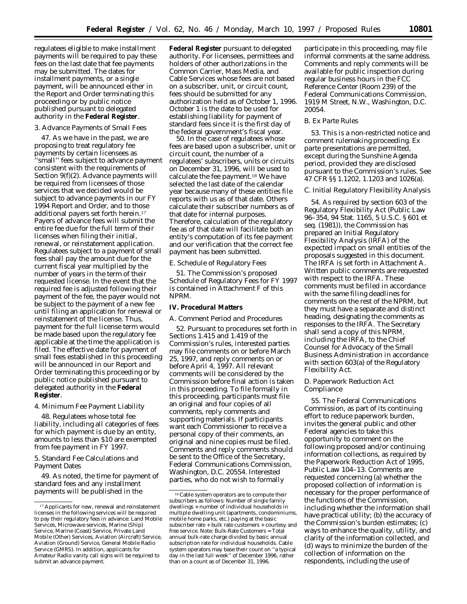regulatees eligible to make installment payments will be required to pay these fees on the last date that fee payments may be submitted. The dates for installment payments, or a single payment, will be announced either in the *Report and Order* terminating this proceeding or by public notice published pursuant to delegated authority in the **Federal Register**.

#### 3. Advance Payments of Small Fees

47. As we have in the past, we are proposing to treat regulatory fee payments by certain licensees as 'small'' fees subject to advance payment consistent with the requirements of Section 9(f)(2). Advance payments will be required from licensees of those services that we decided would be subject to advance payments in our FY 1994 *Report and Order,* and to those additional payers set forth herein.17 Payers of advance fees will submit the entire fee due for the full term of their licenses when filing their initial, renewal, or reinstatement application. Regulatees subject to a payment of small fees shall pay the amount due for the current fiscal year multiplied by the number of years in the term of their requested license. In the event that the required fee is adjusted following their payment of the fee, the payer would not be subject to the payment of a new fee until filing an application for renewal or reinstatement of the license. Thus, payment for the full license term would be made based upon the regulatory fee applicable at the time the application is filed. The effective date for payment of small fees established in this proceeding will be announced in our *Report and Order* terminating this proceeding or by public notice published pursuant to delegated authority in the **Federal Register**.

#### 4. Minimum Fee Payment Liability

48. Regulatees whose total fee liability, including all categories of fees for which payment is due by an entity, amounts to less than \$10 are exempted from fee payment in FY 1997.

5. Standard Fee Calculations and Payment Dates

49. As noted, the time for payment of standard fees and any installment payments will be published in the

**Federal Register** pursuant to delegated authority. For licensees, permittees and holders of other authorizations in the Common Carrier, Mass Media, and Cable Services whose fees are not based on a subscriber, unit, or circuit count, fees should be submitted for any authorization held as of *October 1, 1996.* October 1 is the date to be used for establishing liability for payment of standard fees since it is the first day of the federal government's fiscal year.

50. In the case of regulatees whose fees are based upon a subscriber, unit or circuit count, the number of a regulatees' subscribers, units or circuits on *December 31, 1996,* will be used to calculate the fee payment.18 We have selected the last date of the calendar year because many of these entities file reports with us as of that date. Others calculate their subscriber numbers as of that date for internal purposes. Therefore, calculation of the regulatory fee as of that date will facilitate both an entity's computation of its fee payment and our verification that the correct fee payment has been submitted.

## *E. Schedule of Regulatory Fees*

51. The Commission's proposed Schedule of Regulatory Fees for FY 1997 is contained in Attachment F of this *NPRM.*

## **IV. Procedural Matters**

# *A. Comment Period and Procedures*

52. Pursuant to procedures set forth in Sections 1.415 and 1.419 of the Commission's rules, interested parties may file comments on or before March 25, 1997, and reply comments on or before April 4, 1997. All relevant comments will be considered by the Commission before final action is taken in this proceeding. To file formally in this proceeding, participants must file an original and four copies of all comments, reply comments and supporting materials. If participants want each Commissioner to receive a personal copy of their comments, an original and nine copies must be filed. Comments and reply comments should be sent to the Office of the Secretary, Federal Communications Commission, Washington, D.C. 20554. Interested parties, who do not wish to formally

participate in this proceeding, may file informal comments at the same address. Comments and reply comments will be available for public inspection during regular business hours in the FCC Reference Center (Room 239) of the Federal Communications Commission, 1919 M Street, N.W., Washington, D.C. 20054.

# *B. Ex Parte Rules*

53. This is a non-restricted notice and comment rulemaking proceeding. *Ex parte* presentations are permitted, except during the Sunshine Agenda period, provided they are disclosed pursuant to the Commission's rules. *See* 47 CFR §§ 1.1202, 1.1203 and 1026(a).

#### *C. Initial Regulatory Flexibility Analysis*

54. As required by section 603 of the Regulatory Flexibility Act (Public Law 96–354, 94 Stat. 1165, 5 U.S.C. § 601 *et seq.* (1981)), the Commission has prepared an Initial Regulatory Flexibility Analysis (IRFA) of the expected impact on small entities of the proposals suggested in this document. The IRFA is set forth in Attachment A. Written public comments are requested with respect to the IRFA. These comments must be filed in accordance with the same filing deadlines for comments on the rest of the *NPRM,* but they must have a separate and distinct heading, designating the comments as responses to the IRFA. The Secretary shall send a copy of this *NPRM,* including the IRFA, to the Chief Counsel for Advocacy of the Small Business Administration in accordance with section 603(a) of the Regulatory Flexibility Act.

## *D. Paperwork Reduction Act Compliance*

55. The Federal Communications Commission, as part of its continuing effort to reduce paperwork burden, invites the general public and other Federal agencies to take this opportunity to comment on the following proposed and/or continuing information collections, as required by the Paperwork Reduction Act of 1995, Public Law 104–13. Comments are requested concerning (a) whether the proposed collection of information is necessary for the proper performance of the functions of the Commission, including whether the information shall have practical utility; (b) the accuracy of the Commission's burden estimates; (c) ways to enhance the quality, utility, and clarity of the information collected, and (d) ways to minimize the burden of the collection of information on the respondents, including the use of

<sup>17</sup>Applicants for new, renewal and reinstatement licenses in the following services will be required to pay their regulatory fees in advance: Land Mobile Services, Microwave services, Marine (Ship) Service, Marine (Coast) Service, Private Land Mobile (Other) Services, Aviation (Aircraft) Service, Aviation (Ground) Service, General Mobile Radio Service (GMRS). In addition, applicants for Amateur Radio vanity call signs will be required to submit an advance payment.

<sup>18</sup>Cable system operators are to compute their subscribers as follows: Number of single family dwellings + number of individual households in multiple dwelling unit (apartments, condominiums, mobile home parks, etc.) paying at the basic subscriber rate + bulk rate customers + courtesy and free service. Note: Bulk-Rate Customers = Total annual bulk-rate charge divided by basic annual subscription rate for individual households. Cable system operators may base their count on ''a typical day in the last full week'' of December 1996, rather than on a count as of December 31, 1996.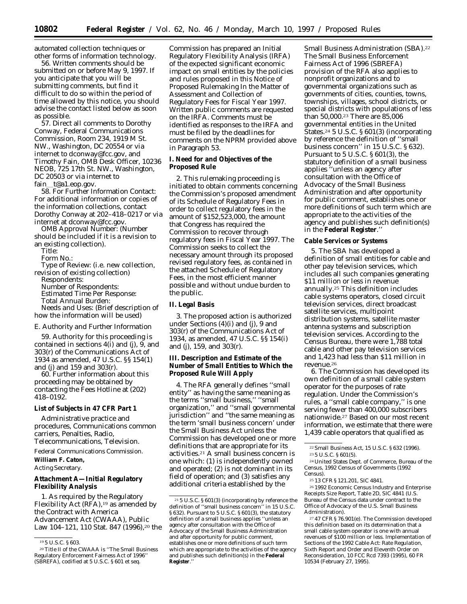automated collection techniques or other forms of information technology.

56. Written comments should be submitted on or before May 9, 1997. If you anticipate that you will be submitting comments, but find it difficult to do so within the period of time allowed by this notice, you should advise the contact listed below as soon as possible.

57. Direct all comments to Dorothy Conway, Federal Communications Commission, Room 234, 1919 M St. NW., Washington, DC 20554 or via internet to dconway@fcc.gov, and Timothy Fain, OMB Desk Officer, 10236 NEOB, 725 17th St. NW., Washington, DC 20503 or via internet to fain\_t@a1.eop.gov.

58. For Further Information Contact: For additional information or copies of the information collections, contact Dorothy Conway at 202–418–0217 or via internet at dconway@fcc.gov.

*OMB Approval Number:* (Number should be included if it is a revision to an existing collection).

*Title:*

*Form No.:*

*Type of Review:* (i.e. new collection, revision of existing collection) *Respondents:*

*Number of Respondents: Estimated Time Per Response: Total Annual Burden: Needs and Uses:* (Brief description of how the information will be used)

#### *E. Authority and Further Information*

59. Authority for this proceeding is contained in sections 4(i) and (j), 9, and 303(r) of the Communications Act of 1934 as amended, 47 U.S.C. §§ 154(1) and (j) and 159 and 303(r).

60. Further information about this proceeding may be obtained by contacting the Fees Hotline at (202) 418–0192.

#### **List of Subjects in 47 CFR Part 1**

Administrative practice and procedures, Communications common carriers, Penalties, Radio, Telecommunications, Television.

Federal Communications Commission. **William F. Caton,**

*Acting Secretary.*

## **Attachment A—Initial Regulatory Flexibility Analysis**

1. As required by the Regulatory Flexibility Act  $(RFA)$ , <sup>19</sup> as amended by the Contract with America Advancement Act (CWAAA), Public Law 104-121, 110 Stat. 847 (1996),<sup>20</sup> the

Commission has prepared an Initial Regulatory Flexibility Analysis (IRFA) of the expected significant economic impact on small entities by the policies and rules proposed in this *Notice of Proposed Rulemaking In the Matter of Assessment and Collection of Regulatory Fees for Fiscal Year 1997*. Written public comments are requested on the IRFA. Comments must be identified as responses to the IRFA and must be filed by the deadlines for comments on the *NPRM* provided above in Paragraph 53.

**I. Need for and Objectives of the Proposed Rule**

2. This rulemaking proceeding is initiated to obtain comments concerning the Commission's proposed amendment of its Schedule of Regulatory Fees in order to collect regulatory fees in the amount of \$152,523,000, the amount that Congress has required the Commission to recover through regulatory fees in Fiscal Year 1997. The Commission seeks to collect the necessary amount through its proposed revised regulatory fees, as contained in the attached Schedule of Regulatory Fees, in the most efficient manner possible and without undue burden to the public.

**II. Legal Basis**

3. The proposed action is authorized under Sections (4)(i) and (j), 9 and 303(r) of the Communications Act of 1934, as amended, 47 U.S.C. §§ 154(i) and (j), 159, and 303(r).

**III. Description and Estimate of the Number of Small Entities to Which the Proposed Rule Will Apply**

4. The RFA generally defines ''small entity'' as having the same meaning as the terms ''small business,'' ''small organization,'' and ''small governmental jurisdiction'' and ''the same meaning as the term 'small business concern' under the Small Business Act unless the Commission has developed one or more definitions that are appropriate for its activities.21 A small business concern is one which: (1) is independently owned and operated; (2) is not dominant in its field of operation; and (3) satisfies any additional criteria established by the

Small Business Administration (SBA).22 The Small Business Enforcement Fairness Act of 1996 (SBREFA) provision of the RFA also applies to nonprofit organizations and to governmental organizations such as governments of cities, counties, towns, townships, villages, school districts, or special districts with populations of less than 50,000.23 There are 85,006 governmental entities in the United States.24 5 U.S.C. § 601(3) (incorporating by reference the definition of ''small business concern'' in 15 U.S.C. § 632). Pursuant to 5 U.S.C. § 601(3), the statutory definition of a small business applies ''unless an agency after consultation with the Office of Advocacy of the Small Business Administration and after opportunity for public comment, establishes one or more definitions of such term which are appropriate to the activities of the agency and publishes such definition(s) in the **Federal Register**.''

#### **Cable Services or Systems**

5. The SBA has developed a definition of small entities for cable and other pay television services, which includes all such companies generating \$11 million or less in revenue annually.25 This definition includes cable systems operators, closed circuit television services, direct broadcast satellite services, multipoint distribution systems, satellite master antenna systems and subscription television services. According to the Census Bureau, there were 1,788 total cable and other pay television services and 1,423 had less than \$11 million in revenue.26

6. The Commission has developed its own definition of a small cable system operator for the purposes of rate regulation. Under the Commission's rules, a ''small cable company,'' is one serving fewer than 400,000 subscribers nationwide.27 Based on our most recent information, we estimate that there were 1,439 cable operators that qualified as

24United States Dept. of Commerce, Bureau of the Census, *1992 Census of Governments* (1992 Census).

25 13 CFR § 121.201, SIC 4841.

26 *1992 Economic Census Industry and Enterprise Receipts Size Report*, Table 2D, SIC 4841 (U.S. Bureau of the Census data under contract to the Office of Advocacy of the U.S. Small Business Administration).

<sup>19</sup> 5 U.S.C. § 603.

<sup>20</sup>Title II of the CWAAA is ''The Small Business Regulatory Enforcement Fairness Act of 1996'' (SBREFA), codified at 5 U.S.C. § 601 et seq.

<sup>21</sup> 5 U.S.C. § 601(3) (incorporating by reference the definition of ''small business concern'' in 15 U.S.C. § 632). Pursuant to 5 U.S.C. § 601(3), the statutory definition of a small business applies ''unless an agency after consultation with the Office of Advocacy of the Small Business Administration and after opportunity for public comment, establishes one or more definitions of such term which are appropriate to the activities of the agency and publishes such definition(s) in the **Federal Register**.''

<sup>22</sup>Small Business Act, 15 U.S.C. § 632 (1996).

<sup>23</sup> 5 U.S.C. § 601(5).

<sup>27</sup> 47 CFR § 76.901(e). The Commission developed this definition based on its determination that a small cable system operator is one with annual revenues of \$100 million or less. *Implementation of Sections of the 1992 Cable Act: Rate Regulation, Sixth Report and Order and Eleventh Order on Reconsideration*, 10 FCC Rcd 7393 (1995), 60 FR 10534 (February 27, 1995).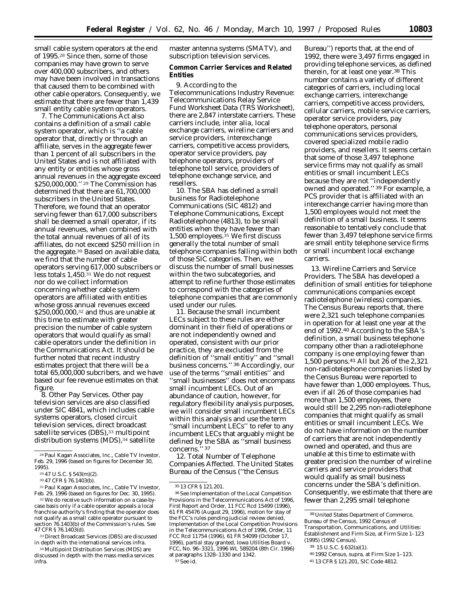small cable system operators at the end of 1995.28 Since then, some of those companies may have grown to serve over 400,000 subscribers, and others may have been involved in transactions that caused them to be combined with other cable operators. Consequently, we estimate that there are fewer than 1,439 small entity cable system operators.

7. The Communications Act also contains a definition of a small cable system operator, which is ''a cable operator that, directly or through an affiliate, serves in the aggregate fewer than 1 percent of all subscribers in the United States and is not affiliated with any entity or entities whose gross annual revenues in the aggregate exceed \$250,000,000."<sup>29</sup> The Commission has determined that there are 61,700,000 subscribers in the United States. Therefore, we found that an operator serving fewer than 617,000 subscribers shall be deemed a small operator, if its annual revenues, when combined with the total annual revenues of all of its affiliates, do not exceed \$250 million in the aggregate.30 Based on available data, we find that the number of cable operators serving 617,000 subscribers or less totals 1,450.31 We do not request nor do we collect information concerning whether cable system operators are affiliated with entities whose gross annual revenues exceed \$250,000,000,<sup>32</sup> and thus are unable at this time to estimate with greater precision the number of cable system operators that would qualify as small cable operators under the definition in the Communications Act. It should be further noted that recent industry estimates project that there will be a total 65,000,000 subcribers, and we have based our fee revenue estimates on that figure.

8. Other Pay Services. Other pay television services are also classified under SIC 4841, which includes cable systems operators, closed circuit television services, direct broadcast satellite services (DBS),<sup>33</sup> multipoint distribution systems (MDS),<sup>34</sup> satellite

31Paul Kagan Associates, Inc., *Cable TV Investor*, Feb. 29, 1996 (based on figures for Dec. 30, 1995).

32We do receive such information on a case-bycase basis only if a cable operator appeals a local franchise authority's finding that the operator does not qualify as a small cable operator pursuant to section 76.1403(b) of the Commission's rules. *See* 47 CFR § 76.1403(d).

33 Direct Broadcast Services (DBS) are discussed in depth with the international services *infra.*

34 Multipoint Distribution Services (MDS) are discussed in depth with the mass media services *infra.*

master antenna systems (SMATV), and subscription television services.

**Common Carrier Services and Related Entities**

9. According to the *Telecommunications Industry Revenue: Telecommunications Relay Service Fund Worksheet Data (TRS Worksheet)*, there are 2,847 interstate carriers. These carriers include, *inter alia*, local exchange carriers, wireline carriers and service providers, interexchange carriers, competitive access providers, operator service providers, pay telephone operators, providers of telephone toll service, providers of telephone exchange service, and resellers.

10. The SBA has defined a small business for Radiotelephone Communications (SIC 4812) and Telephone Communications, Except Radiotelephone (4813), to be small entities when they have fewer than 1,500 employees.<sup>35</sup> We first discuss generally the total number of small telephone companies falling within both of those SIC categories. Then, we discuss the number of small businesses within the two subcategories, and attempt to refine further those estimates to correspond with the categories of telephone companies that are commonly used under our rules.

11. Because the small incumbent LECs subject to these rules are either dominant in their field of operations or are not independently owned and operated, consistent with our prior practice, they are excluded from the definition of ''small entitiy'' and ''small business concerns.'' 36 Accordingly, our use of the terms ''small entities'' and ''small businesses'' does not encompass small incumbent LECs. Out of an abundance of caution, however, for regulatory flexibility analysis purposes, we will consider small incumbent LECs within this analysis and use the term ''small incumbent LECs'' to refer to any incumbent LECs that arguably might be defined by the SBA as ''small business concerns.'' 37

12. Total Number of Telephone Companies Affected. The United States Bureau of the Census (''the Census

37See id.

Bureau'') reports that, at the end of 1992, there were 3,497 firms engaged in providing telephone services, as defined therein, for at least one year.38 This number contains a variety of different categories of carriers, including local exchange carriers, interexchange carriers, competitive access providers, cellular carriers, mobile service carriers, operator service providers, pay telephone operators, personal communications services providers, covered specialized mobile radio providers, and resellers. It seems certain that some of those 3,497 telephone service firms may not qualify as small entities or small incumbent LECs because they are not ''independently owned and operated.'' 39 For example, a PCS provider that is affiliated with an interexchange carrier having more than 1,500 employees would not meet the definition of a small business. It seems reasonable to tentatively conclude that fewer than 3,497 telephone service firms are small entity telephone service firms or small incumbent local exchange carriers.

13. Wireline Carriers and Service Providers. The SBA has developed a definition of small entities for telephone communications companies except radiotelephone (wireless) companies. The Census Bureau reports that, there were 2,321 such telephone companies in operation for at least one year at the end of 1992.40 According to the SBA's definition, a small business telephone company other than a radiotelephone company is one employing fewer than 1,500 persons.41 All but 26 of the 2,321 non-radiotelephone companies listed by the Census Bureau were reported to have fewer than 1,000 employees. Thus, even if all 26 of those companies had more than 1,500 employees, there would still be 2,295 non-radiotelephone companies that might qualify as small entities or small incumbent LECs. We do not have information on the number of carriers that are not independently owned and operated, and thus are unable at this time to estimate with greater precision the number of wireline carriers and service providers that would qualify as small business concerns under the SBA's definition. Consequently, we estimate that there are fewer than 2,295 small telephone

<sup>28</sup>Paul Kagan Associates, Inc., *Cable TV Investor*, Feb. 29, 1996 (based on figures for December 30, 1995).

<sup>29</sup> 47 U.S.C. § 543(m)(2).

<sup>30</sup> 47 CFR § 76.1403(b).

<sup>35</sup> 13 CFR § 121.201.

<sup>36</sup>See *Implementation of the Local Competition Provisions in the Telecommunications Act of 1996, First Report and Order*, 11 FCC Rcd 15499 (1996), 61 FR 45476 (August 29, 1996), *motion for stay of the FCC's rules pending judicial review denied, Implementation of the Local Competition Provisions in the Telecommunications Act of 1996, Order*, 11 FCC Rcd 11754 (1996), 61 FR 54099 (October 17, 1996), *partial stay granted, Iowa Utilities Board* v. *FCC*, No. 96–3321, 1996 WL 589204 (8th Cir. 1996) at paragraphs 1328–1330 and 1342.

<sup>38</sup>United States Department of Commerce, Bureau of the Census, *1992 Census of Transportation, Communications, and Utilities: Establishment and Firm Size*, at Firm Size 1–123 (1995) (1992 Census).

<sup>39</sup> 15 U.S.C. § 632(a)(1).

<sup>40</sup> 1992 Census, supra, at Firm Size 1–123.

<sup>41</sup> 13 CFR § 121.201, SIC Code 4812.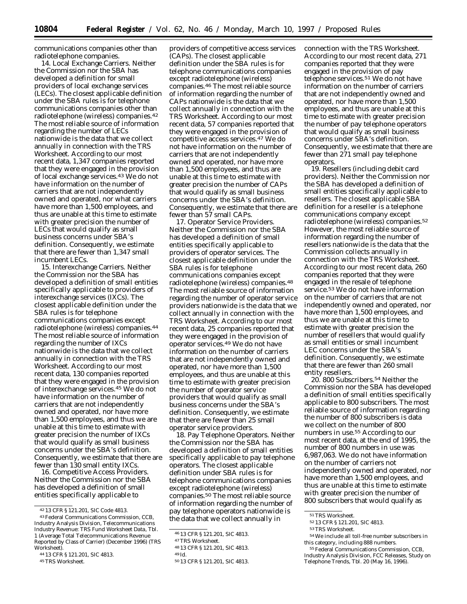communications companies other than radiotelephone companies.

14. Local Exchange Carriers. Neither the Commission nor the SBA has developed a definition for small providers of local exchange services (LECs). The closest applicable definition under the SBA rules is for telephone communications companies other than radiotelephone (wireless) companies.42 The most reliable source of information regarding the number of LECs nationwide is the data that we collect annually in connection with the *TRS Worksheet*. According to our most recent data, 1,347 companies reported that they were engaged in the provision of local exchange services.43 We do not have information on the number of carriers that are not independently owned and operated, nor what carriers have more than 1,500 employees, and thus are unable at this time to estimate with greater precision the number of LECs that would qualify as small business concerns under SBA's definition. Consequently, we estimate that there are fewer than 1,347 small incumbent LECs.

15. Interexchange Carriers. Neither the Commission nor the SBA has developed a definition of small entities specifically applicable to providers of interexchange services (IXCs). The closest applicable definition under the SBA rules is for telephone communications companies except radiotelephone (wireless) companies.44 The most reliable source of information regarding the number of IXCs nationwide is the data that we collect annually in connection with the *TRS Worksheet*. According to our most recent data, 130 companies reported that they were engaged in the provision of interexchange services.45 We do not have information on the number of carriers that are not independently owned and operated, nor have more than 1,500 employees, and thus we are unable at this time to estimate with greater precision the number of IXCs that would qualify as small business concerns under the SBA's definition. Consequently, we estimate that there are fewer than 130 small entity IXCs.

16. Competitive Access Providers. Neither the Commission nor the SBA has developed a definition of small entities specifically applicable to

providers of competitive access services (CAPs). The closest applicable definition under the SBA rules is for telephone communications companies except radiotelephone (wireless) companies.46 The most reliable source of information regarding the number of CAPs nationwide is the data that we collect annually in connection with the *TRS Worksheet*. According to our most recent data, 57 companies reported that they were engaged in the provision of competitive access services.47 We do not have information on the number of carriers that are not independently owned and operated, nor have more than 1,500 employees, and thus are unable at this time to estimate with greater precision the number of CAPs that would qualify as small business concerns under the SBA's definition. Consequently, we estimate that there are fewer than 57 small CAPs.

17. Operator Service Providers. Neither the Commission nor the SBA has developed a definition of small entities specifically applicable to providers of operator services. The closest applicable definition under the SBA rules is for telephone communications companies except radiotelephone (wireless) companies.48 The most reliable source of information regarding the number of operator service providers nationwide is the data that we collect annually in connection with the *TRS Worksheet.* According to our most recent data, 25 companies reported that they were engaged in the provision of operator services.49 We do not have information on the number of carriers that are not independently owned and operated, nor have more than 1,500 employees, and thus are unable at this time to estimate with greater precision the number of operator service providers that would qualify as small business concerns under the SBA's definition. Consequently, we estimate that there are fewer than 25 small operator service providers.

18. Pay Telephone Operators. Neither the Commission nor the SBA has developed a definition of small entities specifically applicable to pay telephone operators. The closest applicable definition under SBA rules is for telephone communications companies except radiotelephone (wireless) companies.50 The most reliable source of information regarding the number of pay telephone operators nationwide is the data that we collect annually in

connection with the *TRS Worksheet*. According to our most recent data, 271 companies reported that they were engaged in the provision of pay telephone services.51 We do not have information on the number of carriers that are not independently owned and operated, nor have more than 1,500 employees, and thus are unable at this time to estimate with greater precision the number of pay telephone operators that would qualify as small business concerns under SBA's definition. Consequently, we estimate that there are fewer than 271 small pay telephone operators.

19. Resellers (including debit card providers). Neither the Commission nor the SBA has developed a definition of small entities specifically applicable to resellers. The closest applicable SBA definition for a reseller is a telephone communications company except radiotelephone (wireless) companies.52 However, the most reliable source of information regarding the number of resellers nationwide is the data that the Commission collects annually in connection with the *TRS Worksheet*. According to our most recent data, 260 companies reported that they were engaged in the resale of telephone service.53 We do not have information on the number of carriers that are not independently owned and operated, nor have more than 1,500 employees, and thus we are unable at this time to estimate with greater precision the number of resellers that would qualify as small entities or small incumbent LEC concerns under the SBA's definition. Consequently, we estimate that there are fewer than 260 small entity resellers.

20. 800 Subscribers.54 Neither the Commission nor the SBA has developed a definition of small entities specifically applicable to 800 subscribers. The most reliable source of information regarding the number of 800 subscribers is data we collect on the number of 800 numbers in use.55 According to our most recent data, at the end of 1995, the number of 800 numbers in use was 6,987,063. We do not have information on the number of carriers not independently owned and operated, nor have more than 1,500 employees, and thus are unable at this time to estimate with greater precision the number of 800 subscribers that would qualify as

<sup>42</sup> 13 CFR § 121.201, SIC Code 4813.

<sup>43</sup>Federal Communications Commission, CCB, Industry Analysis Division, *Telecommunications Industry Revenue: TRS Fund Worksheet Data*, Tbl. 1 (Average Total Telecommunications Revenue Reported by Class of Carrier) (December 1996) (TRS Worksheet).

<sup>44</sup> 13 CFR § 121.201, SIC 4813.

<sup>45</sup>TRS Worksheet.

<sup>46</sup> 13 CFR § 121.201, SIC 4813.

<sup>47</sup>TRS Worksheet.

<sup>48</sup> 13 CFR § 121.201, SIC 4813.

<sup>49</sup> Id.

<sup>50</sup> 13 CFR § 121.201, SIC 4813.

<sup>&</sup>lt;sup>51</sup>TRS Worksheet.

<sup>52</sup> 13 CFR § 121.201, SIC 4813.

<sup>53</sup>TRS Worksheet.

<sup>54</sup>We include all toll-free number subscribers in this category, including 888 numbers.

<sup>55</sup>Federal Communications Commission, CCB, Industry Analysis Division, *FCC Releases, Study on Telephone Trends*, Tbl. 20 (May 16, 1996).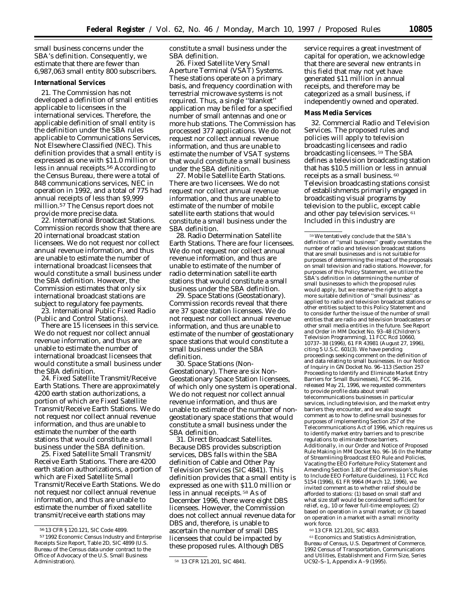small business concerns under the SBA's definition. Consequently, we estimate that there are fewer than 6,987,063 small entity 800 subscribers.

# **International Services**

21. The Commission has not developed a definition of small entities applicable to licensees in the international services. Therefore, the applicable definition of small entity is the definition under the SBA rules applicable to Communications Services, Not Elsewhere Classified (NEC). This definition provides that a small entity is expressed as one with \$11.0 million or less in annual receipts.56 According to the Census Bureau, there were a total of 848 communications services, NEC in operation in 1992, and a total of 775 had annual receipts of less than \$9,999 million.57 The Census report does not provide more precise data.

22. International Broadcast Stations. Commission records show that there are 20 international broadcast station licensees. We do not request nor collect annual revenue information, and thus are unable to estimate the number of international broadcast licensees that would constitute a small business under the SBA definition. However, the Commission estimates that only six international broadcast stations are subject to regulatory fee payments.

23. International Public Fixed Radio (Public and Control Stations).

There are 15 licensees in this service. We do not request nor collect annual revenue information, and thus are unable to estimate the number of international broadcast licensees that would constitute a small business under the SBA definition.

24. Fixed Satellite Transmit/Receive Earth Stations. There are approximately 4200 earth station authorizations, a portion of which are Fixed Satellite Transmit/Receive Earth Stations. We do not request nor collect annual revenue information, and thus are unable to estimate the number of the earth stations that would constitute a small business under the SBA definition.

25. Fixed Satellite Small Transmit/ Receive Earth Stations. There are 4200 earth station authorizations, a portion of which are Fixed Satellite Small Transmit/Receive Earth Stations. We do not request nor collect annual revenue information, and thus are unable to estimate the number of fixed satellite transmit/receive earth stations may

constitute a small business under the SBA definition.

26. Fixed Satellite Very Small Aperture Terminal (VSAT) Systems. These stations operate on a primary basis, and frequency coordination with terrestrial microwave systems is not required. Thus, a single ''blanket'' application may be filed for a specified number of small antennas and one or more hub stations. The Commission has processed 377 applications. We do not request nor collect annual revenue information, and thus are unable to estimate the number of VSAT systems that would constitute a small business under the SBA definition.

27. Mobile Satellite Earth Stations. There are two licensees. We do not request nor collect annual revenue information, and thus are unable to estimate of the number of mobile satellite earth stations that would constitute a small business under the SBA definition.

28. Radio Determination Satellite Earth Stations. There are four licensees. We do not request nor collect annual revenue information, and thus are unable to estimate of the number of radio determination satellite earth stations that would constitute a small business under the SBA definition.

29. Space Stations (Geostationary). Commission records reveal that there are 37 space station licensees. We do not request nor collect annual revenue information, and thus are unable to estimate of the number of geostationary space stations that would constitute a small business under the SBA definition.

30. Space Stations (Non-Geostationary). There are six Non-Geostationary Space Station licensees, of which only one system is operational. We do not request nor collect annual revenue information, and thus are unable to estimate of the number of nongeostationary space stations that would constitute a small business under the SBA definition.

31. Direct Broadcast Satellites. Because DBS provides subscription services, DBS falls within the SBA definition of Cable and Other Pay Television Services (SIC 4841). This definition provides that a small entity is expressed as one with \$11.0 million or less in annual receipts. 58 As of December 1996, there were eight DBS licensees. However, the Commission does not collect annual revenue data for DBS and, therefore, is unable to ascertain the number of small DBS licensees that could be impacted by these proposed rules. Although DBS

service requires a great investment of capital for operation, we acknowledge that there are several new entrants in this field that may not yet have generated \$11 million in annual receipts, and therefore may be categorized as a small business, if independently owned and operated.

### **Mass Media Services**

32. Commercial Radio and Television Services. The proposed rules and policies will apply to television broadcasting licensees and radio broadcasting licensees. 59 The SBA defines a television broadcasting station that has \$10.5 million or less in annual receipts as a small business. 60 Television broadcasting stations consist of establishments primarily engaged in broadcasting visual programs by television to the public, except cable and other pay television services. 61 Included in this industry are

59We tentatively conclude that the SBA's definition of ''small business'' greatly overstates the number of radio and television broadcast stations that are small businesses and is not suitable for purposes of determining the impact of the proposals on small television and radio stations. However, for purposes of this *Policy Statement,* we utilize the SBA's definition in determining the number of small businesses to which the proposed rules would apply, but we reserve the right to adopt a more suitable definition of ''small business'' as applied to radio and television broadcast stations or other entities subject to this *Policy Statement* and to consider further the issue of the number of small entities that are radio and television broadcasters or other small media entities in the future. *See Report and Order in MM Docket No. 93–48 (Children's Television Programming),* 11 FCC Rcd 10660, 10737–38 (1996), 61 FR 43981 (August 27, 1996), citing 5 U.S.C. 601(3). We have pending proceedings seeking comment on the definition of and data relating to small businesses. In our *Notice of Inquiry in GN Docket No. 96–113 (Section 257 Proceeding to Identify and Eliminate Market Entry Barriers for Small Businesses),* FCC 96–216, released May 21, 1996, we requested commenters to provide profile data about small telecommunications businesses in particular services, including television, and the market entry barriers they encounter, and we also sought comment as to how to define small businesses for purposes of implementing Section 257 of the Telecommunications Act of 1996, which requires us to identify market entry barriers and to prescribe regulations to eliminate those barriers. Additionally, in our *Order and Notice of Proposed Rule Making in MM Docket No. 96–16 (In the Matter of Streamlining Broadcast EEO Rule and Policies, Vacating the EEO Forfeiture Policy Statement and Amending Section 1.80 of the Commission's Rules to Include EEO Forfeiture Guidelines),* 11 FCC Rcd 5154 (1996), 61 FR 9964 (March 12, 1996), we invited comment as to whether relief should be afforded to stations: (1) based on small staff and what size staff would be considered sufficient for relief, *e.g.,* 10 or fewer full-time employees; (2) based on operation in a small market; or (3) based on operation in a market with a small minority work force.

60 13 CFR 121.201, SIC 4833.

61Economics and Statistics Administration, Bureau of Census, U.S. Department of Commerce, *1992 Census of Transportation, Communications and Utilities, Establishment and Firm Size, Series UC92–S–1,* Appendix A–9 (1995).

<sup>56</sup> 13 CFR § 120.121, SIC Code 4899.

<sup>57</sup> *1992 Economic Census Industry and Enterprise Receipts Size Report*, Table 2D, SIC 4899 (U.S. Bureau of the Census data under contract to the Office of Advocacy of the U.S. Small Business

<sup>58 13</sup> CFR 121.201, SIC 4841.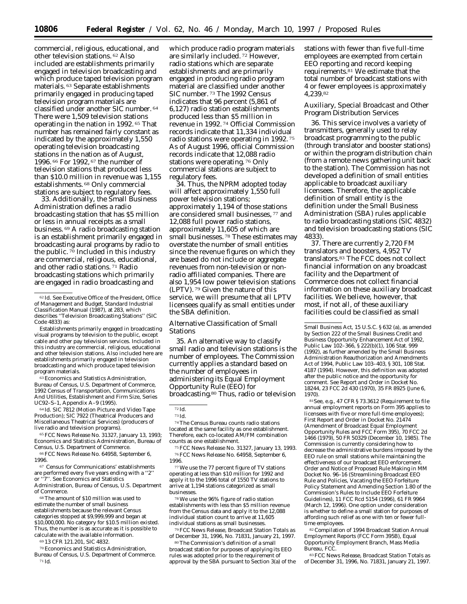commercial, religious, educational, and other television stations. 62 Also included are establishments primarily engaged in television broadcasting and which produce taped television program materials. 63 Separate establishments primarily engaged in producing taped television program materials are classified under another SIC number. 64 There were 1,509 television stations operating in the nation in 1992. 65 That number has remained fairly constant as indicated by the approximately 1,550 operating television broadcasting stations in the nation as of August, 1996. 66 For 1992, 67 the number of television stations that produced less than \$10.0 million in revenue was 1,155 establishments. 68 Only commercial stations are subject to regulatory fees.

33. Additionally, the Small Business Administration defines a radio broadcasting station that has \$5 million or less in annual receipts as a small business. 69 A radio broadcasting station is an establishment primarily engaged in broadcasting aural programs by radio to the public.  $\frac{70}{10}$  Included in this industry are commercial, religious, educational, and other radio stations. 71 Radio broadcasting stations which primarily are engaged in radio broadcasting and

Establishments primarily engaged in broadcasting visual programs by television to the public, except cable and other pay television services. Included in this industry are commercial, religious, educational and other television stations. Also included here are establishments primarily engaged in television broadcasting and which produce taped television program materials.

63Economics and Statistics Administration, Bureau of Census, U.S. Department of Commerce, *1992 Census of Transportation, Communications And Utilities, Establishment and Firm Size, Series UC92–S–1,* Appendix A–9 (1995).

64 Id. SIC 7812 (Motion Picture and Video Tape Production); SIC 7922 (Theatrical Producers and Miscellaneous Theatrical Services) (producers of live radio and television programs).

65FCC News Release No. 31327, January 13, 1993; Economics and Statistics Administration, Bureau of Census, U.S. Department of Commerce.

66FCC News Release No. 64958, September 6, 1996.

67 Census for Communications' establishments are performed every five years ending with a ''2'' or ''7''. See Economics and Statistics Administration, Bureau of Census, U.S. Department

of Commerce. 68The amount of \$10 million was used to estimate the number of small business establishments because the relevant Census categories stopped at \$9,999,999 and began at \$10,000,000. No category for \$10.5 million existed. Thus, the number is as accurate as it is possible to calculate with the available information.

69 13 CFR 121.201, SIC 4832.

70Economics and Statistics Administration, Bureau of Census, U.S. Department of Commerce. 71 Id.

which produce radio program materials are similarly included. 72 However, radio stations which are separate establishments and are primarily engaged in producing radio program material are classified under another SIC number. 73 The 1992 Census indicates that 96 percent (5,861 of 6,127) radio station establishments produced less than \$5 million in revenue in 1992. 74 Official Commission records indicate that 11,334 individual radio stations were operating in 1992. 75 As of August 1996, official Commission records indicate that 12,088 radio stations were operating. 76 Only commercial stations are subject to regulatory fees.

34. Thus, the NPRM adopted today will affect approximately 1,550 full power television stations; approximately 1,194 of those stations are considered small businesses, 77 and 12,088 full power radio stations, approximately 11,605 of which are small businesses. 78 These estimates may overstate the number of small entities since the revenue figures on which they are based do not include or aggregate revenues from non-television or nonradio affiliated companies. There are also 1,954 low power television stations (LPTV). 79 Given the nature of this service, we will presume that all LPTV licensees qualify as small entities under the SBA definition.

### *Alternative Classification of Small Stations*

35. An alternative way to classify small radio and television stations is the number of employees. The Commission currently applies a standard based on the number of employees in administering its Equal Employment Opportunity Rule (EEO) for broadcasting.80 Thus, radio or television

72 Id.

74The Census Bureau counts radio stations located at the same facility as one establishment. Therefore, each co-located AM/FM combination counts as one establishment.

75FCC News Release No. 31327, January 13, 1993. 76FCC News Release No. 64958, September 6, 1996.

77We use the 77 percent figure of TV stations operating at less than \$10 million for 1992 and apply it to the 1996 total of 1550 TV stations to arrive at 1,194 stations categorized as small businesses.

78We use the 96% figure of radio station establishments with less than \$5 million revenue from the Census data and apply it to the 12,088 individual station count to arrive at 11,605 individual stations as small businesses.

79FCC News Release, *Broadcast Station Totals as of December 31, 1996,* No. 71831, January 21, 1997.

80The Commission's definition of a small broadcast station for purposes of applying its EEO rules was adopted prior to the requirement of approval by the SBA pursuant to Section 3(a) of the stations with fewer than five full-time employees are exempted from certain EEO reporting and record keeping requirements.81 We estimate that the total number of broadcast stations with 4 or fewer employees is approximately 4,239.82

## *Auxiliary, Special Broadcast and Other Program Distribution Services*

36. This service involves a variety of transmitters, generally used to relay broadcast programming to the public (through translator and booster stations) or within the program distribution chain (from a remote news gathering unit back to the station). The Commission has not developed a definition of small entities applicable to broadcast auxiliary licensees. Therefore, the applicable definition of small entity is the definition under the Small Business Administration (SBA) rules applicable to radio broadcasting stations (SIC 4832) and television broadcasting stations (SIC 4833).

37. There are currently 2,720 FM translators and boosters, 4,952 TV translators.83 The FCC does not collect financial information on any broadcast facility and the Department of Commerce does not collect financial information on these auxiliary broadcast facilities. We believe, however, that most, if not all, of these auxiliary facilities could be classified as small

81*See, e.g.,* 47 CFR § 73.3612 (Requirement to file annual employment reports on Form 395 applies to licensees with five or more full-time employees); First Report and Order in Docket No. 21474 *(Amendment of Broadcast Equal Employment Opportunity Rules and FCC Form 395),* 70 FCC 2d 1466 (1979), 50 FR 50329 (December 10, 1985). The Commission is currently considering how to decrease the administrative burdens imposed by the EEO rule on small stations while maintaining the effectiveness of our broadcast EEO enforcement. *Order and Notice of Proposed Rule Making in MM Docket No. 96–16 (Streamlining Broadcast EEO Rule and Policies, Vacating the EEO Forfeiture Policy Statement and Amending Section 1.80 of the Commission's Rules to Include EEO Forfeiture Guidelines),* 11 FCC Rcd 5154 (1996), 61 FR 9964 (March 12, 1996). One option under consideration is whether to define a small station for purposes of affording such relief as one with ten or fewer fulltime employees.

82Compilation of 1994 Broadcast Station Annual Employment Reports (FCC Form 395B), Equal Opportunity Employment Branch, Mass Media Bureau, FCC.

83FCC News Release, *Broadcast Station Totals as of December 31, 1996,* No. 71831, January 21, 1997.

<sup>62</sup> Id. *See Executive Office of the President, Office of Management and Budget, Standard Industrial Classification Manual (1987),* at 283, which describes ''Television Broadcasting Stations'' (SIC Code 4833) as:

<sup>73</sup> Id.

Small Business Act, 15 U.S.C. § 632 (a), as amended by Section 222 of the Small Business Credit and Business Opportunity Enhancement Act of 1992, Public Law 102–366, § 222(b)(1), 106 Stat. 999 (1992), as further amended by the Small Business Administration Reauthorization and Amendments Act of 1994, Public Law 103–403, § 301, 108 Stat. 4187 (1994). However, this definition was adopted after the public notice and the opportunity for comment. *See Report and Order* in Docket No. 18244, 23 FCC 2d 430 (1970), 35 FR 8925 (June 6, 1970).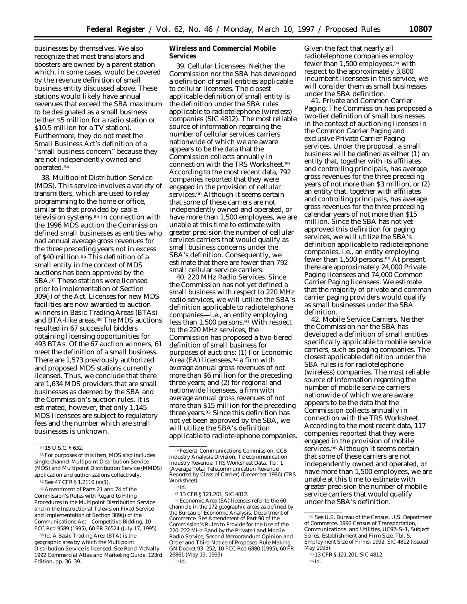businesses by themselves. We also recognize that most translators and boosters are owned by a parent station which, in some cases, would be covered by the revenue definition of small business entity discussed above. These stations would likely have annual revenues that exceed the SBA maximum to be designated as a small business (either \$5 million for a radio station or \$10.5 million for a TV station). Furthermore, they do not meet the Small Business Act's definition of a ''small business concern'' because they are not independently owned and operated.84

38. Multipoint Distribution Service (MDS). This service involves a variety of transmitters, which are used to relay programming to the home or office, similar to that provided by cable television systems.85 In connection with the 1996 MDS auction the Commission defined small businesses as entities who had annual average gross revenues for the three preceding years not in excess of \$40 million.86 This definition of a small entity in the context of MDS auctions has been approved by the SBA.87 These stations were licensed prior to implementation of Section 309(j) of the Act. Licenses for new MDS facilities are now awarded to auction winners in Basic Trading Areas (BTAs) and BTA-like areas.<sup>88</sup> The MDS auctions resulted in 67 successful bidders obtaining licensing opportunities for 493 BTAs. Of the 67 auction winners, 61 meet the definition of a small business. There are 1,573 previously authorized and proposed MDS stations currently licensed. Thus, we conclude that there are 1,634 MDS providers that are small businesses as deemed by the SBA and the Commission's auction rules. It is estimated, however, that only 1,145 MDS licensees are subject to regulatory fees and the number which are small businesses is unknown.

85For purposes of this item, MDS also includes single channel Multipoint Distribution Service (MDS) and Multipoint Distribution Service (MMDS) application and authorizations collectively.

87*Amendment of Parts 21 and 74 of the Commission's Rules with Regard to Filing Procedures in the Multipoint Distribution Service and in the Instructional Television Fixed Service and Implementation of Section 309(j) of the Communications Act—Competitive Bidding,* 10 FCC Rcd 9589 (1995), 60 FR 36524 (July 17, 1995).

88 Id. A Basic Trading Area (BTA) is the geographic area by which the Multipoint Distribution Service is licensed. *See* Rand McNally *1992 Commercial Atlas and Marketing Guide,* 123rd Edition, pp. 36–39.

**Wireless and Commercial Mobile Services**

39. Cellular Licensees. Neither the Commission nor the SBA has developed a definition of small entities applicable to cellular licensees. The closest applicable definition of small entity is the definition under the SBA rules applicable to radiotelephone (wireless) companies (SIC 4812). The most reliable source of information regarding the number of cellular services carriers nationwide of which we are aware appears to be the data that the Commission collects annually in connection with the *TRS Worksheet.*89 According to the most recent data, 792 companies reported that they were engaged in the provision of cellular services.<sup>90</sup> Although it seems certain that some of these carriers are not independently owned and operated, or have more than 1,500 employees, we are unable at this time to estimate with greater precision the number of cellular services carriers that would qualify as small business concerns under the SBA's definition. Consequently, we estimate that there are fewer than 792 small cellular service carriers.

40. 220 MHz Radio Services. Since the Commission has not yet defined a small business with respect to 220 MHz radio services, we will utilize the SBA's definition applicable to radiotelephone companies—i.e., an entity employing less than 1,500 persons.<sup>91</sup> With respect to the 220 MHz services, the Commission has proposed a two-tiered definition of small business for purposes of auctions: (1) For Economic Area (EA) licensees,  $92$  a firm with average annual gross revenues of not more than \$6 million for the preceding three years; and (2) for regional and nationwide licensees, a firm with average annual gross revenues of not more than \$15 million for the preceding three years.93 Since this definition has not yet been approved by the SBA, we will utilize the SBA's definition applicable to radiotelephone companies.

92Economic Area (EA) licenses refer to the 60 channels in the 172 geographic areas as defined by the Bureau of Economic Analysis, Department of Commerce. *See Amendment of Part 90 of the Commission's Rules to Provide for the Use of the 220–222 MHz Band by the Private Land Mobile Radio Service, Second Memorandum Opinion and Order and Third Notice of Proposed Rule Making,* GN Docket 93–252, 10 FCC Rcd 6880 (1995), 60 FR 26861 (May 19, 1995).

Given the fact that nearly all radiotelephone companies employ fewer than 1,500 employees,94 with respect to the approximately 3,800 incumbent licensees in this service, we will consider them as small businesses under the SBA definition.

41. Private and Common Carrier Paging. The Commission has proposed a two-tier definition of small businesses in the context of auctioning licenses in the Common Carrier Paging and exclusive Private Carrier Paging services. Under the proposal, a small business will be defined as either (1) an entity that, together with its affiliates and controlling principals, has average gross revenues for the three preceding years of not more than \$3 million, or (2) an entity that, together with affiliates and controlling principals, has average gross revenues for the three preceding calendar years of not more than \$15 million. Since the SBA has not yet approved this definition for paging services, we will utilize the SBA's definition applicable to radiotelephone companies, *i.e.,* an entity employing fewer than 1,500 persons.95 At present, there are approximately 24,000 Private Paging licensees and 74,000 Common Carrier Paging licensees. We estimate that the majority of private and common carrier paging providers would qualify as small businesses under the SBA definition.

42. Mobile Service Carriers. Neither the Commission nor the SBA has developed a definition of small entities specifically applicable to mobile service carriers, such as paging companies. The closest applicable definition under the SBA rules is for radiotelephone (wireless) companies. The most reliable source of information regarding the number of mobile service carriers nationwide of which we are aware appears to be the data that the Commission collects annually in connection with the *TRS Worksheet.* According to the most recent data, 117 companies reported that they were engaged in the provision of mobile services.96 Although it seems certain that some of these carriers are not independently owned and operated, or have more than 1,500 employees, we are unable at this time to estimate with greater precision the number of mobile service carriers that would qualify under the SBA's definition.

<sup>84</sup> 15 U.S.C. § 632.

<sup>86</sup>*See* 47 CFR § 1.2110 (a)(1).

<sup>89</sup>Federal Communications Commission. CCB industry Analysis Division, *Telecommunication Industry Revenue: TRS Worksheet Data,* Tbl. 1 (Average Total Telecommunication Revenue Reported by Class of Carrier) (December 1996) (TRS Worksheet).

<sup>90</sup> Id. 91 13 CFR § 121.201, SIC 4812.

<sup>94</sup>*See* U.S. Bureau of the Census, U.S. Department of Commerce, 1992 *Census of Transportation, Communications, and Utilities, UC92–S–1,* Subject Series, Establishment and Firm Size, Tbl. 5, Employment Size of Firms; 1992, SIC 4812 (issued May 1995).

<sup>95</sup> 13 CFR § 121.201, SIC 4812.

<sup>96</sup> Id.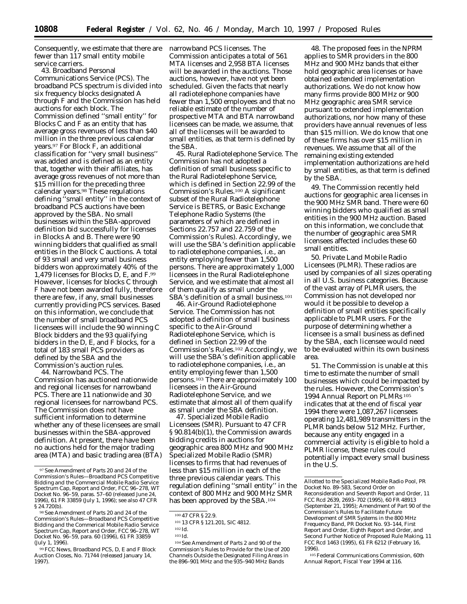Consequently, we estimate that there are fewer than 117 small entity mobile service carriers.

43. Broadband Personal Communications Service (PCS). The broadband PCS spectrum is divided into six frequency blocks designated A through F and the Commission has held auctions for each block. The Commission defined ''small entity'' for Blocks C and F as an entity that has average gross revenues of less than \$40 million in the three previous calendar years.97 For Block F, an additional classification for ''very small business'' was added and is defined as an entity that, together with their affiliates, has average gross revenues of not more than \$15 million for the preceding three calendar years.98 These regulations defining ''small entity'' in the context of broadband PCS auctions have been approved by the SBA. No small businesses within the SBA-approved definition bid successfully for licenses in Blocks A and B. There were 90 winning bidders that qualified as small entities in the Block C auctions. A total of 93 small and very small business bidders won approximately 40% of the 1,479 licenses for Blocks D, E, and F.99 However, licenses for blocks C through F have not been awarded fully, therefore there are few, if any, small businesses currently providing PCS services. Based on this information, we conclude that the number of small broadband PCS licensees will include the 90 winning C Block bidders and the 93 qualifying bidders in the D, E, and F blocks, for a total of 183 small PCS providers as defined by the SBA and the Commission's auction rules.

44. Narrowband PCS. The Commission has auctioned nationwide and regional licenses for narrowband PCS. There are 11 nationwide and 30 regional licensees for narrowband PCS. The Commission does not have sufficient information to determine whether any of these licensees are small businesses within the SBA-approved definition. At present, there have been no auctions held for the major trading area (MTA) and basic trading area (BTA) narrowband PCS licenses. The Commission anticipates a total of 561 MTA licenses and 2,958 BTA licenses will be awarded in the auctions. Those auctions, however, have not yet been scheduled. Given the facts that nearly all radiotelephone companies have fewer than 1,500 employees and that no reliable estimate of the number of prospective MTA and BTA narrowband licensees can be made, we assume, that all of the licenses will be awarded to small entities, as that term is defined by the SBA.

45. Rural Radiotelephone Service. The Commission has not adopted a definition of small business specific to the Rural Radiotelephone Service, which is defined in Section 22.99 of the Commission's Rules.100 A significant subset of the Rural Radiotelephone Service is BETRS, or Basic Exchange Telephone Radio Systems (the parameters of which are defined in Sections 22.757 and 22.759 of the Commission's Rules). Accordingly, we will use the SBA's definition applicable to radiotelephone companies, *i.e.,* an entity employing fewer than 1,500 persons. There are approximately 1,000 licensees in the Rural Radiotelephone Service, and we estimate that almost all of them qualify as small under the SBA's definition of a small business.101

46. Air-Ground Radiotelephone Service. The Commission has not adopted a definition of small business specific to the Air-Ground Radiotelephone Service, which is defined in Section 22.99 of the Commission's Rules.102 Accordingly, we will use the SBA's definition applicable to radiotelephone companies, *i.e.,* an entity employing fewer than 1,500 persons.103 There are approximately 100 licensees in the Air-Ground Radiotelephone Service, and we estimate that almost all of them qualify as small under the SBA definition.

47. Specialized Mobile Radio Licensees (SMR). Pursuant to 47 CFR § 90.814(b)(1), the Commission awards bidding credits in auctions for geographic area 800 MHz and 900 MHz Specialized Mobile Radio (SMR) licenses to firms that had revenues of less than \$15 million in each of the three previous calendar years. This regulation defining ''small entity'' in the context of 800 MHz and 900 MHz SMR has been approved by the SBA.104

104*See Amendment of Parts 2 and 90 of the Commission's Rules to Provide for the Use of 200 Channels Outside the Designated Filing Areas in the 896–901 MHz and the 935–940 MHz Bands*

48. The proposed fees in the NPRM applies to SMR providers in the 800 MHz and 900 MHz bands that either hold geographic area licenses or have obtained extended implementation authorizations. We do not know how many firms provide 800 MHz or 900 MHz geographic area SMR service pursuant to extended implementation authorizations, nor how many of these providers have annual revenues of less than \$15 million. We do know that one of these firms has over \$15 million in revenues. We assume that all of the remaining existing extended implementation authorizations are held by small entities, as that term is defined by the SBA.

49. The Commission recently held auctions for geographic area licenses in the 900 MHz SMR band. There were 60 winning bidders who qualified as small entities in the 900 MHz auction. Based on this information, we conclude that the number of geographic area SMR licensees affected includes these 60 small entities.

50. Private Land Mobile Radio Licensees (PLMR). These radios are used by companies of all sizes operating in all U.S. business categories. Because of the vast array of PLMR users, the Commission has not developed nor would it be possible to develop a definition of small entities specifically applicable to PLMR users. For the purpose of determining whether a licensee is a small business as defined by the SBA, each licensee would need to be evaluated within its own business area.

51. The Commission is unable at this time to estimate the number of small businesses which could be impacted by the rules. However, the Commission's 1994 Annual Report on PLMRs 105 indicates that at the end of fiscal year 1994 there were 1,087,267 licensees operating 12,481,989 transmitters in the PLMR bands below 512 MHz. Further, because any entity engaged in a commercial activity is eligible to hold a PLMR license, these rules could potentially impact every small business in the U.S.

<sup>97</sup>*See Amendment of Parts 20 and 24 of the Commission's Rules—Broadband PCS Competitive Bidding and the Commercial Mobile Radio Service Spectrum Cap, Report and Order,* FCC 96–278, WT Docket No. 96–59, paras. 57–60 (released June 24, 1996), 61 FR 33859 (July 1, 1996); *see also* 47 CFR § 24.720(b).

<sup>98</sup>*See Amendment of Parts 20 and 24 of the Commission's Rules—Broadband PCS Competitive Bidding and the Commerical Mobile Radio Service Spectrum Cap, Report and Order,* FCC 96–278, WT Docket No. 96–59, para. 60 (1996), 61 FR 33859 (July 1, 1996).

<sup>99</sup>FCC News, *Broadband PCS, D, E and F Block Auction Closes,* No. 71744 (released January 14, 1997).

<sup>100</sup> 47 CFR § 22.9.

<sup>101</sup> 13 CFR § 121.201, SIC 4812.

<sup>102</sup> Id.

<sup>103</sup> Id.

*Allotted to the Specialized Mobile Radio Pool, PR Docket No. 89–583, Second Order on Reconsideration and Seventh Report and Order,* 11 FCC Rcd 2639, 2693–702 (1995), 60 FR 48913 (September 21, 1995); *Amendment of Part 90 of the Commission's Rules to Facilitate Future Development of SMR Systems in the 800 MHz Frequency Band, PR Docket No. 93–144, First Report and Order, Eighth Report and Order, and Second Further Notice of Proposed Rule Making,* 11 FCC Rcd 1463 (1995), 61 FR 6212 (February 16, 1996).

<sup>105</sup>Federal Communications Commission, *60th Annual Report, Fiscal Year 1994* at 116.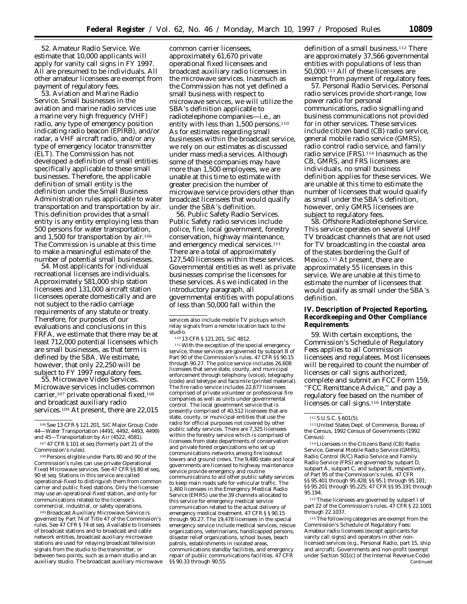52. Amateur Radio Service. We estimate that 10,000 applicants will apply for vanity call signs in FY 1997. All are presumed to be individuals. All other amateur licensees are exempt from payment of regulatory fees.

53. Aviation and Marine Radio Service. Small businesses in the aviation and marine radio services use a marine very high frequency (VHF) radio, any type of emergency position indicating radio beacon (EPIRB), and/or radar, a VHF aircraft radio, and/or any type of emergency locator transmitter (ELT). The Commission has not developed a definition of small entities specifically applicable to these small businesses. Therefore, the applicable definition of small entity is the definition under the Small Business Administration rules applicable to water transportation and transportation by air. This definition provides that a small entity is any entity employing less than 500 persons for water transportation, and 1,500 for transportation by air.106 The Commission is unable at this time to make a meaningful estimate of the number of potential small businesses.

54. Most applicants for individual recreational licenses are individuals. Approximately 581,000 ship station licensees and 131,000 aircraft station licensees operate domestically and are not subject to the radio carriage requirements of any statute or treaty. Therefore, for purposes of our evaluations and conclusions in this FRFA, we estimate that there may be at least 712,000 potential licensees which are small businesses, as that term is defined by the SBA. We estimate, however, that only 22,250 will be subject to FY 1997 regulatory fees.

55. Microwave Video Services. Microwave services includes common carrier,<sup>107</sup> private operational fixed,<sup>108</sup> and broadcast auxiliary radio services.<sup>109</sup> At present, there are 22,015

109 Broadcast Auxiliary Microwave Service is governed by Part 74 of Title 47 of the Commission's rules. *See* 47 CFR § 74 *et seq*. Available to licensees of broadcast stations and to broadcast and cable network entities, broadcast auxiliary microwave stations are used for relaying broadcast television signals from the studio to the transmitter, or between two points, such as a main studio and an auxiliary studio. The broadcast auxiliary microwave

common carrier licensees, approximately 61,670 private operational fixed licensees and broadcast auxiliary radio licensees in the microwave services. Inasmuch as the Commission has not yet defined a small business with respect to microwave services, we will utilize the SBA's definition applicable to radiotelephone companies—i.e., an entity with less than 1,500 persons.<sup>110</sup> As for estimates regarding small businesses within the broadcast service, we rely on our estimates as discussed under mass media services. Although some of these companies may have more than 1,500 employees, we are unable at this time to estimate with greater precision the number of microwave service providers other than broadcast licensees that would qualify under the SBA's definition.

56. Public Safety Radio Services. Public Safety radio services include police, fire, local government, forestry conservation, highway maintenance, and emergency medical services.111 There are a total of approximately 127,540 licensees within these services. Governmental entities as well as private businesses comprise the licensees for these services. As we indicated in the introductory paragraph, all governmental entities with populations of less than 50,000 fall within the

services also include mobile TV pickups which relay signals from a remote location back to the studio.

110 13 CFR § 121.201, SIC 4812.

111With the exception of the special emergency service, these services are governed by subpart B of Part 90 of the Commission's rules. 47 CFR §§ 90.15 through 90.27. The police service includes 26,608 licensees that serve state, county, and municipal enforcement through telephony (voice), telegraphy (code) and teletype and facsimile (printed material). The fire radio service includes 22,677 licensees comprised of private volunteer or professional fire companies as well as units under governmental control. The local government service that is presently comprised of 40,512 licensees that are state, county, or municipal entities that use the radio for official purposes not covered by other public safety services. There are 7,325 licensees within the forestry service which is comprised of licensees from state departments of conservation and private forest organizations who set up communications networks among fire lookout towers and ground crews. The 9,480 state and local governments are licensed to highway maintenance service provide emergency and routine communications to aid other public safety services to keep main roads safe for vehicular traffic. The 1,460 licensees in the Emergency Medical Radio Service (EMRS) use the 39 channels allocated to this service for emergency medical service communication related to the actual delivery of emergency medical treatment. 47 CFR § § 90.15 through 90.27. The 19,478 licensees in the special emergency service include medical services, rescue organizations, veterinarians, handicapped persons, disaster relief organizations, school buses, beach patrols, establishments in isolated areas, communications standby facilities, and emergency repair of public communications facilities. 47 CFR §§ 90.33 through 90.55.

definition of a small business.<sup>112</sup> There are approximately 37,566 governmental entities with populations of less than 50,000.113 All of these licensees are exempt from payment of regulatory fees.

57. Personal Radio Services. Personal radio services provide short-range, low power radio for personal communications, radio signalling and business communications not provided for in other services. These services include citizen band (CB) radio service, general mobile radio service (GMRS), radio control radio service, and family radio service (FRS).114 Inasmuch as the CB, GMRS, and FRS licensees are individuals, no small business definition applies for these services. We are unable at this time to estimate the number of licensees that would qualify as small under the SBA's definition, however, only GMRS licensees are subject to regulatory fees.

58. Offshore Radiotelephone Service. This service operates on several UHF TV broadcast channels that are not used for TV broadcasting in the coastal area of the states bordering the Gulf of Mexico.115 At present, there are approximately 55 licensees in this service. We are unable at this time to estimate the number of licensees that would qualify as small under the SBA's definition.

**IV. Description of Projected Reporting, Recordkeeping and Other Compliance Requirements**

59. With certain exceptions, the Commission's Schedule of Regulatory Fees applies to all Commission licensees and regulatees. Most licensees will be required to count the number of licenses or call signs authorized, complete and submit an FCC Form 159, ''FCC Remittance Advice,'' and pay a regulatory fee based on the number of licenses or call signs.116 Interstate

114Licensees in the Citizens Band (CB) Radio Service, General Mobile Radio Service (GMRS), Radio Control (R/C) Radio Service and Family Radio Service (FRS) are governed by subpart D, subpart A, subpart C, and subpart B, respectively, of Part 95 of the Commission's rules. 47 CFR §§ 95.401 through 95.428; §§ 95.1 through 95.181; §§ 95.201 through 95.225; 47 CFR §§ 95.191 through 95.194.

115These licensees are governed by subpart I of part 22 of the Commission's rules. 47 CFR § 22.1001 through 22.1037.

116The following categories are exempt from the Commission's Schedule of Regulatory Fees: Amateur radio licensees (except applicants for vanity call signs) and operators in other nonlicensed services (e.g., Personal Radio, part 15, ship and aircraft). Governments and non-profit (exempt under Section 501(c) of the Internal Revenue Code) Continued

<sup>106</sup>*See* 13 CFR § 121.201, SIC Major Group Code 44—Water Transportation (4491, 4492, 4493, 4499) and 45—Transportation by Air (4522, 4581).

<sup>107</sup> 47 CFR § 101 *et seq* (formerly part 21 of the Commission's rules).

<sup>108</sup>Persons eligible under Parts 80 and 90 of the Commission's rules can use private Operational Fixed Microwave services. *See* 47 CFR §§ 80 *et seq*, 90 *et seq*. Stations in this service are called operational-fixed to distinguish them from common carrier and public fixed stations. Only the licensee may use an operational-fixed station, and only for communications related to the licensee's commercial, industrial, or safety operations.

<sup>112</sup> 5 U.S.C. § 601(5).

<sup>113</sup>United States Dept. of Commerce, Bureau of the Census, *1992 Census of Governments* (1992 Census).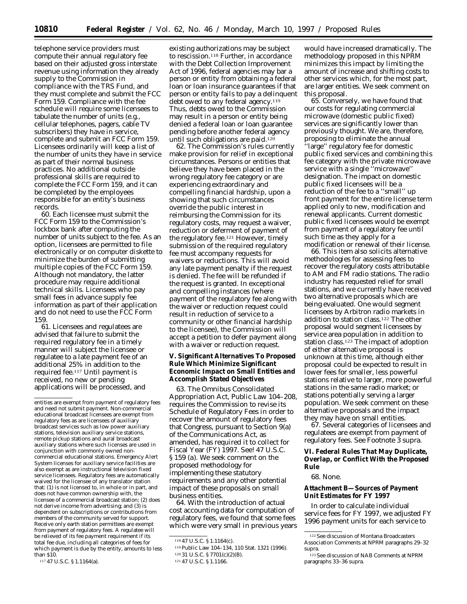telephone service providers must compute their annual regulatory fee based on their adjusted gross interstate revenue using information they already supply to the Commission in compliance with the TRS Fund, and they must complete and submit the FCC Form 159. Compliance with the fee schedule will require some licensees to tabulate the number of units (e.g., cellular telephones, pagers, cable TV subscribers) they have in service, complete and submit an FCC Form 159. Licensees ordinarily will keep a list of the number of units they have in service as part of their normal business practices. No additional outside professional skills are required to complete the FCC Form 159, and it can be completed by the employees responsible for an entity's business records.

60. Each licensee must submit the FCC Form 159 to the Commission's lockbox bank after computing the number of units subject to the fee. As an option, licensees are permitted to file electronically or on computer diskette to minimize the burden of submitting multiple copies of the FCC Form 159. Although not mandatory, the latter procedure may require additional technical skills. Licensees who pay small fees in advance supply fee information as part of their application and do not need to use the FCC Form 159.

61. Licensees and regulatees are advised that failure to submit the required regulatory fee in a timely manner will subject the licensee or regulatee to a late payment fee of an additional 25% in addition to the required fee.117 Until payment is received, no new or pending applications will be processed, and

117 47 U.S.C. § 1.1164(a).

existing authorizations may be subject to rescission.118 Further, in accordance with the Debt Collection Improvement Act of 1996, federal agencies may bar a person or entity from obtaining a federal loan or loan insurance guarantees if that person or entity fails to pay a delinquent debt owed to any federal agency.119 Thus, debts owed to the Commission may result in a person or entity being denied a federal loan or loan guarantee pending before another federal agency until such obligations are paid.<sup>120</sup>

62. The Commission's rules currently make provision for relief in exceptional circumstances. Persons or entities that believe they have been placed in the wrong regulatory fee category or are experiencing extraordinary and compelling financial hardship, upon a showing that such circumstances override the public interest in reimbursing the Commission for its regulatory costs, may request a waiver, reduction or deferment of payment of the regulatory fee.121 However, timely submission of the required regulatory fee must accompany requests for waivers or reductions. This will avoid any late payment penalty if the request is denied. The fee will be refunded if the request is granted. In exceptional and compelling instances (where payment of the regulatory fee along with the waiver or reduction request could result in reduction of service to a community or other financial hardship to the licensee), the Commission will accept a petition to defer payment along with a waiver or reduction request.

**V. Significant Alternatives To Proposed Rule Which Minimize Significant Economic Impact on Small Entities and Accomplish Stated Objectives**

63. *The Omnibus Consolidated Appropriation Act,* Public Law 104–208, requires the Commission to revise its Schedule of Regulatory Fees in order to recover the amount of regulatory fees that Congress, pursuant to Section 9(a) of the Communications Act, as amended, has required it to collect for Fiscal Year (FY) 1997. *See! 47 U.S.C. § 159 (a). We seek comment on the proposed methodology for implementing these statutory requirements and any other potential impact of these proposals on small business entities.*

64. With the introduction of actual cost accounting data for computation of regulatory fees, we found that some fees which were very small in previous years

would have increased dramatically. The methodology proposed in this *NPRM* minimizes this impact by limiting the amount of increase and shifting costs to other services which, for the most part, are larger entities. We seek comment on this proposal.

65. Conversely, we have found that our costs for regulating commercial microwave (domestic public fixed) services are significantly lower than previously thought. We are, therefore, proposing to eliminate the annual ''large'' regulatory fee for domestic public fixed services and combining this fee category with the private microwave service with a single ''microwave'' designation. The impact on domestic public fixed licensees will be a reduction of the fee to a ''small'' up front payment for the entire license term applied only to new, modification and renewal applicants. Current domestic public fixed licensees would be exempt from payment of a regulatory fee until such time as they apply for a modification or renewal of their license.

66. This item also solicits alternative methodologies for assessing fees to recover the regulatory costs attributable to AM and FM radio stations. The radio industry has requested relief for small stations, and we currently have received two alternative proposals which are being evaluated. One would segment licensees by Arbitron radio markets in addition to station class.122 The other proposal would segment licensees by service area population in addition to station class.123 The impact of adoption of either alternative proposal is unknown at this time, although either proposal could be expected to result in lower fees for smaller, less powerful stations relative to larger, more powerful stations in the same radio market; or stations potentially serving a larger population. We seek comment on these alternative proposals and the impact they may have on small entities.

67. Several categories of licensees and regulatees are exempt from payment of regulatory fees. See Footnote 3 supra.

**VI. Federal Rules That May Duplicate, Overlap, or Conflict With the Proposed Rule**

#### 68. None.

**Attachment B—Sources of Payment Unit Estimates for FY 1997**

In order to calculate individual service fees for FY 1997, we adjusted FY 1996 payment units for each service to

entities are exempt from payment of regulatory fees and need not submit payment. Non-commercial educational broadcast licensees are exempt from regulatory fees as are licensees of auxiliary broadcast services such as low power auxiliary stations, television auxiliary service stations, remote pickup stations and aural broadcast auxiliary stations where such licenses are used in conjunction with commonly owned noncommercial educational stations. Emergency Alert System licenses for auxiliary service facilities are also exempt as are instructional television fixed service licensees. Regulatory fees are automatically waived for the licensee of any translator station that: (1) is not licensed to, in whole or in part, and does not have common ownership with, the licensee of a commercial broadcast station; (2) does not derive income from advertising; and (3) is dependent on subscriptions or contributions from members of the community served for support. Receive only earth station permittees are exempt from payment of regulatory fees. A regulatee will be relieved of its fee payment requirement if its total fee due, including all categories of fees for which payment is due by the entity, amounts to less than \$10.

<sup>118</sup> 47 U.S.C. § 1.1164(c).

<sup>119</sup>Public Law 104–134, 110 Stat. 1321 (1996).

<sup>120</sup> 31 U.S.C. § 7701(c)(2)(B).

<sup>121</sup> 47 U.S.C. § 1.1166.

<sup>122</sup>See discussion of Montana Broadcasters Association Comments at NPRM paragraphs 29–32 supra.

<sup>123</sup>See discussion of NAB Comments at NPRM paragraphs 33–36 supra.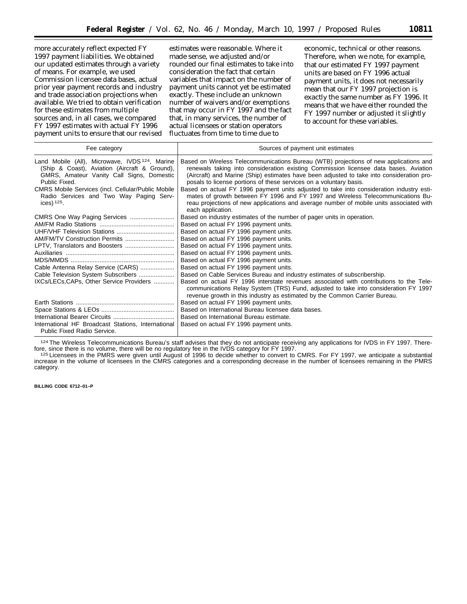more accurately reflect expected FY 1997 payment liabilities. We obtained our updated estimates through a variety of means. For example, we used Commission licensee data bases, actual prior year payment records and industry and trade association projections when available. We tried to obtain verification for these estimates from multiple sources and, in all cases, we compared FY 1997 estimates with actual FY 1996 payment units to ensure that our revised

estimates were reasonable. Where it made sense, we adjusted and/or rounded our final estimates to take into consideration the fact that certain variables that impact on the number of payment units cannot yet be estimated exactly. These include an unknown number of waivers and/or exemptions that may occur in FY 1997 and the fact that, in many services, the number of actual licensees or station operators fluctuates from time to time due to

economic, technical or other reasons. Therefore, when we note, for example, that our estimated FY 1997 payment units are based on FY 1996 actual payment units, it does not necessarily mean that our FY 1997 projection is *exactly* the same number as FY 1996. It means that we have either rounded the FY 1997 number or adjusted it slightly to account for these variables.

| Fee category                                                                                                                                                                                                                                                                                       | Sources of payment unit estimates                                                                                                                                                                                                                                                                                                                                                                                                                                                                                                                                                                                                               |
|----------------------------------------------------------------------------------------------------------------------------------------------------------------------------------------------------------------------------------------------------------------------------------------------------|-------------------------------------------------------------------------------------------------------------------------------------------------------------------------------------------------------------------------------------------------------------------------------------------------------------------------------------------------------------------------------------------------------------------------------------------------------------------------------------------------------------------------------------------------------------------------------------------------------------------------------------------------|
| Land Mobile (All), Microwave, IVDS <sup>124</sup> , Marine<br>(Ship & Coast), Aviation (Aircraft & Ground),<br>GMRS, Amateur Vanity Call Signs, Domestic<br>Public Fixed.<br><b>CMRS Mobile Services (incl. Cellular/Public Mobile</b><br>Radio Services and Two Way Paging Serv-<br>ices) $125$ . | Based on Wireless Telecommunications Bureau (WTB) projections of new applications and<br>renewals taking into consideration existing Commission licensee data bases. Aviation<br>(Aircraft) and Marine (Ship) estimates have been adjusted to take into consideration pro-<br>posals to license portions of these services on a voluntary basis.<br>Based on actual FY 1996 payment units adjusted to take into consideration industry esti-<br>mates of growth between FY 1996 and FY 1997 and Wireless Telecommunications Bu-<br>reau projections of new applications and average number of mobile units associated with<br>each application. |
| CMRS One Way Paging Services                                                                                                                                                                                                                                                                       | Based on industry estimates of the number of pager units in operation.                                                                                                                                                                                                                                                                                                                                                                                                                                                                                                                                                                          |
|                                                                                                                                                                                                                                                                                                    | Based on actual FY 1996 payment units.                                                                                                                                                                                                                                                                                                                                                                                                                                                                                                                                                                                                          |
|                                                                                                                                                                                                                                                                                                    | Based on actual FY 1996 payment units.                                                                                                                                                                                                                                                                                                                                                                                                                                                                                                                                                                                                          |
|                                                                                                                                                                                                                                                                                                    | Based on actual FY 1996 payment units.                                                                                                                                                                                                                                                                                                                                                                                                                                                                                                                                                                                                          |
|                                                                                                                                                                                                                                                                                                    | Based on actual FY 1996 payment units.                                                                                                                                                                                                                                                                                                                                                                                                                                                                                                                                                                                                          |
|                                                                                                                                                                                                                                                                                                    | Based on actual FY 1996 payment units.                                                                                                                                                                                                                                                                                                                                                                                                                                                                                                                                                                                                          |
|                                                                                                                                                                                                                                                                                                    | Based on actual FY 1996 payment units.                                                                                                                                                                                                                                                                                                                                                                                                                                                                                                                                                                                                          |
| Cable Antenna Relay Service (CARS)                                                                                                                                                                                                                                                                 | Based on actual FY 1996 payment units.                                                                                                                                                                                                                                                                                                                                                                                                                                                                                                                                                                                                          |
| Cable Television System Subscribers                                                                                                                                                                                                                                                                | Based on Cable Services Bureau and industry estimates of subscribership.                                                                                                                                                                                                                                                                                                                                                                                                                                                                                                                                                                        |
| IXCs/LECs, CAPs, Other Service Providers                                                                                                                                                                                                                                                           | Based on actual FY 1996 interstate revenues associated with contributions to the Tele-<br>communications Relay System (TRS) Fund, adjusted to take into consideration FY 1997<br>revenue growth in this industry as estimated by the Common Carrier Bureau.                                                                                                                                                                                                                                                                                                                                                                                     |
|                                                                                                                                                                                                                                                                                                    | Based on actual FY 1996 payment units.                                                                                                                                                                                                                                                                                                                                                                                                                                                                                                                                                                                                          |
|                                                                                                                                                                                                                                                                                                    | Based on International Bureau licensee data bases.                                                                                                                                                                                                                                                                                                                                                                                                                                                                                                                                                                                              |
|                                                                                                                                                                                                                                                                                                    | Based on International Bureau estimate.                                                                                                                                                                                                                                                                                                                                                                                                                                                                                                                                                                                                         |
| International HF Broadcast Stations, International<br><b>Public Fixed Radio Service.</b>                                                                                                                                                                                                           | Based on actual FY 1996 payment units.                                                                                                                                                                                                                                                                                                                                                                                                                                                                                                                                                                                                          |

<sup>124</sup>The Wireless Telecommunications Bureau's staff advises that they do not anticipate receiving any applications for IVDS in FY 1997. There-<br>fore, since there is no volume, there will be no regulatory fee in the IVDS cat fore, since there is no volume, there will be no regulatory fee in the IVDS category for FY 1997.<br><sup>125</sup> Licensees in the PMRS were given until August of 1996 to decide whether to convert to CMRS. For FY 1997, we anticipate

increase in the volume of licensees in the CMRS categories and a corresponding decrease in the number of licensees remaining in the PMRS category.

#### **BILLING CODE 6712–01–P**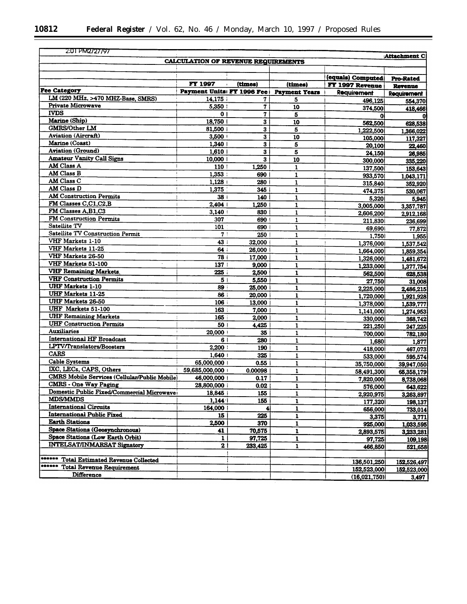$\equiv$ 

| 2:01 PM2727797                                                 |                                            |                         |                                         |                    | Attachment C         |
|----------------------------------------------------------------|--------------------------------------------|-------------------------|-----------------------------------------|--------------------|----------------------|
|                                                                | <b>CALCULATION OF REVENUE REQUIREMENTS</b> |                         |                                         |                    |                      |
|                                                                |                                            |                         |                                         |                    |                      |
|                                                                |                                            |                         |                                         | (equals) Computed  | Pro-Rated            |
| <b>Fee Category</b>                                            | <b>FY 1997</b>                             | (times)                 | (times)                                 | FY 1997 Revenue    | Revenue              |
| LM (220 MHz, >470 MHZ-Base, SMRS)                              |                                            |                         | Payment Units FY 1996 Fee Payment Years | Requirement        | <b>Requirement</b>   |
| Private Microwave                                              | 14,175<br>5,350                            | 7<br>$\mathbf{7}$       | 5                                       | 496,125            | 554,370              |
| <b>IVDS</b>                                                    | 0 <sup>1</sup>                             | $\overline{\mathbf{7}}$ | 10                                      | 374,500            | 418,466              |
| Marine (Ship)                                                  | 18,750                                     | $\bf{3}$                | 5<br>10                                 | 01                 |                      |
| <b>GMRS/Other LM</b>                                           | 81.500                                     | 3                       | 5                                       | 562,500            | 628,538              |
| Aviation (Aircraft)                                            | 3,500                                      | $\mathbf{3}$            | 10                                      | 1,222,500          | 1,366,022            |
| Marine (Coast)                                                 | 1,340                                      | $\bf{3}$                | 5                                       | 105,000            | 117,327              |
| <b>Aviation (Ground)</b>                                       | 1,610                                      | 3                       | 5                                       | 20,100             | 22,460               |
| <b>Amateur Vanity Call Signs</b>                               | 10,000                                     | 3                       | 10                                      | 24.150<br>300,000  | 26,985               |
| AM Class A                                                     | 110                                        | 1,250                   | $\mathbf{1}$                            |                    | 335,220              |
| AM Class B                                                     | 1,353:                                     | 690                     | $\mathbf{1}$                            | 137,500            | 153,643              |
| AM Class C                                                     | 1,128                                      | 280                     | $\mathbf{1}$                            | 933,570<br>315,840 | 1,043,171            |
| AM Class D                                                     | 1,375                                      | 345                     | 1                                       | 474,375            | 352,920              |
| <b>AM Construction Permits</b>                                 | 38 I                                       | 140                     | $\mathbf{1}$                            | 5,320              | 530,067<br>5,945     |
| FM Classes C,C1,C2,B                                           | 2,404                                      | 1.250                   | $\mathbf{1}$                            | 3,005,000          | 3,357,787            |
| FM Classes A,B1,C3                                             | 3,140                                      | 830                     | 1                                       | 2,606,200          | 2,912,168            |
| FM Construction Permits                                        | 307                                        | 690                     | 1                                       | 211,830            | 236,699              |
| Satellite TV                                                   | 101                                        | 690                     | $\mathbf{1}$                            | 69,690             | 77,872               |
| <b>Satellite TV Construction Permit</b>                        | 7:                                         | 250                     | $\mathbf{1}$                            | 1,750              | 1,955                |
| VHF Markets 1-10                                               | 43                                         | 32,000                  | $\mathbf{1}$                            | 1,376,000          | 1,537,542            |
| VHF Markets 11-25                                              | 64:                                        | 26,000                  | $\mathbf{1}$                            | 1,664,000          | 1,859,354            |
| VHF Markets 26-50                                              | 78                                         | 17,000                  | ı                                       | 1,326,000          | 1,481,672            |
| VHF Markets 51-100<br>$\bullet$                                | 137                                        | 9,000                   | $\mathbf{1}$                            | 1,233,000          | 1,377,754            |
| <b>VHF Remaining Markets</b>                                   | 225                                        | 2,500                   | $\mathbf{1}$                            | 562,500            | 628,538              |
| <b>VHF Construction Permits</b>                                | 5 <sub>1</sub>                             | 5,550                   | $\mathbf{1}$                            | 27,750             | 31,008               |
| <b>UHF Markets 1-10</b>                                        | 89                                         | 25,000                  | $\mathbf{1}$                            | 2,225,000          | 2,486,215            |
| <b>UHF Markets 11-25</b>                                       | 86 i                                       | 20,000                  | $\mathbf{1}$                            | 1,720,000          | 1,921,928            |
| <b>UHF Markets 26-50</b>                                       | 106                                        | 13,000                  | 1                                       | 1,378,000          | 1,539,777            |
| <b>UHF</b> Markets 51-100                                      | 163:                                       | 7,000                   | $\mathbf{1}$                            | 1,141,000          | 1,274,953            |
| <b>UHF Remaining Markets</b>                                   | 165 i                                      | 2,000                   | $\mathbf{1}$                            | 330,000            | 368,742              |
| <b>UHF Construction Permits</b>                                | 50                                         | 4,425                   | $\mathbf{1}$                            | 221,250            | 247,225              |
| <b>Auxiliaries</b>                                             | 20,000                                     | 35                      | $\mathbf{1}$                            | 700,000            | 782,180              |
| <b>International HF Broadcast</b><br>LPTV/Translators/Boosters | 6 1                                        | 280                     | $\mathbf{1}$                            | 1,680              | 1,877                |
| <b>CARS</b>                                                    | 2,200                                      | 190                     | $\mathbf{I}$                            | 418,000            | 467,073              |
| <b>Cable Systems</b>                                           | 1,640                                      | 325                     | $\mathbf{1}$                            | 533,000            | 595,574              |
| IXC, LECs, CAPS, Others                                        | 65,000,000                                 | 0.55                    | 1                                       | 35,750,000         | 39,947,050           |
| CMRS Mobile Services (Cellular/Public Mobile)                  | 59,685,000,000                             | 0.00098                 | $\mathbf{1}$                            | 58,491,300         | 65,358,179           |
| <b>CMRS - One Way Paging</b>                                   | 46,000,000                                 | 0.17                    | $\mathbf{1}$                            | 7,820,000          | 8,738,068            |
| Domestic Public Fixed/Commercial Microwave                     | 28,800,000 i                               | 0.02                    | $\mathbf{1}$                            | 576,000            | 643.622              |
| <b>MDS/MMDS</b>                                                | 18,845 i                                   | 155                     | 1                                       | 2,920,975          | 3,263,897            |
| <b>International Circuits</b>                                  | 1,144                                      | 155                     | $\mathbf{1}$                            | 177,320            | 198,137              |
| <b>International Public Fixed</b>                              | 164,000<br>15                              | 4                       | 1                                       | 656,000            | 733,014              |
| <b>Earth Stations</b>                                          | 2,500                                      | 225                     | $\mathbf{1}$                            | 3,375              | 3,771                |
| <b>Space Stations (Geosynchronous)</b>                         | 41                                         | 370<br>70,575           | 1                                       | 925,000            | 1,033,595            |
| <b>Space Stations (Low Earth Orbit)</b>                        | 1                                          | 97,725                  | 1<br>$\mathbf{1}$                       | 2,893,575          | 3,233,281            |
| <b>INTELSAT/INMARSAT Signatory</b>                             | 2                                          | 233,425                 | 1                                       | 97,725             | 109,198              |
|                                                                |                                            |                         |                                         | 466,850            | 521,658              |
| ******<br><b>Total Estimated Revenue Collected</b>             |                                            |                         |                                         | 136,501,250        | 152,526,497          |
| ******<br><b>Total Revenue Requirement</b>                     |                                            |                         |                                         | 152,523,000        |                      |
| <b>Difference</b>                                              |                                            |                         |                                         | (16,021,750)       | 152,523,000<br>3,497 |
|                                                                |                                            |                         |                                         |                    |                      |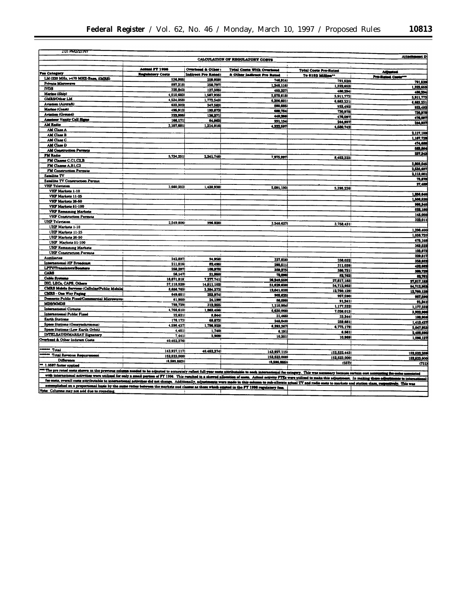| 2.01 PM2727797                                                                                                                                                                                                                 |                            |                          |                                 |                              | <b>Attachs</b><br>ent Di              |
|--------------------------------------------------------------------------------------------------------------------------------------------------------------------------------------------------------------------------------|----------------------------|--------------------------|---------------------------------|------------------------------|---------------------------------------|
|                                                                                                                                                                                                                                |                            |                          | CALCULATION OF REGULATORY COSTS |                              |                                       |
|                                                                                                                                                                                                                                | <b>Actual FT 1996</b>      | Overhead & Other:        | Total Costs With Overhead       | <b>Total Costs Pro-Rated</b> |                                       |
| <b>Fee Category</b>                                                                                                                                                                                                            | Regulatory Costs           | Indirect Pro Ratedi      | & Other Indirect Pro Rated      | To \$152 Million **          | Adjusted<br><b>Pro-Rated Casts***</b> |
| LM (220 MHz, >470 MHZ-Base, SMRS)                                                                                                                                                                                              | 536.985                    | 209.9291                 | 746,9141                        | 791,5201                     | 791,520                               |
| Private Microwave<br><b>IVDS</b>                                                                                                                                                                                               | 897.3181                   | 350,7971                 | 1,248,116                       | 1.322.6531                   | 1,322,653                             |
| Marine (Ship)                                                                                                                                                                                                                  | 325.8421                   | 127,385                  | 453,227                         | 480,2941                     | 480,394                               |
| <b>GMRS/Other LM</b>                                                                                                                                                                                                           | 4,010,683<br>4,534,058     | 1,567,935                | 5,578,6181                      | 5,911,773                    | 5,911,773                             |
| Aviation (Aircraft)                                                                                                                                                                                                            | 633,302                    | 1,772,543<br>247,5831    | 6,306,601!                      | 6,683,2311                   | 6,683,231                             |
| Marine (Coast)                                                                                                                                                                                                                 | 495.912                    | 193,872                  | 880,885<br>689,784              | 933,492                      | 933,492                               |
| Aviation (Ground)                                                                                                                                                                                                              | 322,995                    | 124,271                  | 449,266                         | 730,978<br>476.097           | 730,978                               |
| Amateur Vanity Call Signs                                                                                                                                                                                                      | 166,171                    | 64.963                   | 231.134                         | 244,937                      | 476,097                               |
| <b>AM Radio</b>                                                                                                                                                                                                                | 3,107,681                  | 1,214.916                | 4,322,597                       | 4,580,742                    | 244,93                                |
| AM Class A                                                                                                                                                                                                                     |                            |                          |                                 |                              | 2,117,100                             |
| AM Class B                                                                                                                                                                                                                     |                            |                          |                                 |                              | 1,167,720                             |
| <b>AM Class C</b>                                                                                                                                                                                                              |                            |                          |                                 |                              | 474,681                               |
| AM Class D<br><b>AM Construction Permits</b>                                                                                                                                                                                   |                            |                          |                                 |                              | 683,864                               |
| FM Radio                                                                                                                                                                                                                       |                            |                          |                                 |                              | 237,343                               |
| FM Classes C.C1, C2,B                                                                                                                                                                                                          | 5,734,251                  | 2,241,746                | 7,975,997                       | 8,452,3231                   |                                       |
| FM Classes A.B1.C3                                                                                                                                                                                                             |                            |                          |                                 |                              | 3,803,545                             |
| <b>FM Construction Permits</b>                                                                                                                                                                                                 |                            |                          |                                 |                              | 2,535,697                             |
| <b>Satellite TV</b>                                                                                                                                                                                                            |                            |                          |                                 |                              | 2,113,061                             |
| Satallite TV Construction Permit                                                                                                                                                                                               |                            |                          |                                 |                              | 75,870                                |
| <b>VIII<sup>P</sup></b> Television                                                                                                                                                                                             | 3,660,2521                 | 1,430,938                | 5,091,190                       | 5,395,236                    | 27,488                                |
| VHP Markets 1-10                                                                                                                                                                                                               |                            |                          |                                 |                              | 1,856,646                             |
| VHP Markets 11-25                                                                                                                                                                                                              |                            |                          |                                 |                              | 1,508.520                             |
| VHP Markets 26-50                                                                                                                                                                                                              |                            |                          |                                 |                              | 986,340                               |
| VHP Markets 51-100                                                                                                                                                                                                             |                            |                          |                                 |                              | 522,180                               |
| <b>VHP Remaining Markets</b><br><b>VHF Construction Permits</b>                                                                                                                                                                |                            |                          |                                 |                              | 145,050                               |
| <b>UHF</b> Television<br>$\cdot$                                                                                                                                                                                               |                            |                          |                                 |                              | 322.011                               |
| <b>UHP Markets 1-10</b>                                                                                                                                                                                                        | 2,549,806                  | 996.8201                 | 3,546,6271                      | 3,758,431                    |                                       |
| UHF Markets 11-25                                                                                                                                                                                                              |                            |                          |                                 |                              | 1,298,400                             |
| <b>UHP Markets 26-50</b>                                                                                                                                                                                                       |                            |                          |                                 |                              | 1,038,720                             |
| UHIF Markets 51-100                                                                                                                                                                                                            |                            |                          |                                 |                              | 675,168                               |
| <b>UHF Remaining Markets</b>                                                                                                                                                                                                   |                            |                          |                                 |                              | 363,522                               |
| <b>UHF Construction Permits</b>                                                                                                                                                                                                |                            |                          |                                 |                              | 103,872<br>229,817                    |
| <b>Auxiliaries</b>                                                                                                                                                                                                             | 242,897                    | 94,9581                  | 337.8561                        | 358.032                      | 358,032                               |
| International HF Broadcast                                                                                                                                                                                                     | 211,016                    | 82.496                   | 293,511                         | 311,039                      | 432,682                               |
| LPTV/Translators/Bonstern                                                                                                                                                                                                      | 258,297                    | 100,978                  | 359.275                         | 380,731                      | 380,729                               |
| <b>CARS</b><br><b>Cable Systems</b>                                                                                                                                                                                            | 56,147                     | 21,950                   | 78,096                          | 82,762                       | 82,781                                |
| DIC, LECA, CAPS, Others                                                                                                                                                                                                        | 18,871,818                 | 7,377,741                | 26,349,559                      | 27,817,183                   | 27,817,183                            |
| CMRS Mobile Services (Callulan/Public Mobile)                                                                                                                                                                                  | 37,118,528<br>8,656,765    | 14.511.1021<br>3,384,272 | 51,629,630                      | 54.712.952                   | 54.712.952                            |
| <b>CMRS - One Way Paging</b>                                                                                                                                                                                                   | 649,651                    | 253.974                  | 12.041.038                      | 12,760,129                   | 12,760,129                            |
| Domestic Public Fixed/Commercial Microwaves                                                                                                                                                                                    | 61,900                     | 24,199                   | 903,625<br>86,099               | 957,5901                     | 957,590                               |
| <b>MDS/MDMDS</b>                                                                                                                                                                                                               | 798,7291                   | 312,255                  | 1,110,984                       | 91,2411<br>1,177,332         | 91,241                                |
| International Circuits                                                                                                                                                                                                         | 4,766,6101                 | 1,863,456                | 6,630,066                       | 7,026,013                    | 1,177,332                             |
| International Public Fixed                                                                                                                                                                                                     | 22,621                     | 8.844                    | 31,465                          | 33,344                       | 3,322,900<br>100,959                  |
| <b>Earth Stations</b>                                                                                                                                                                                                          | 176,173                    | 68.8731                  | 245.046                         | 259,681                      | 1,413,427                             |
| Space Stations (Geosynchronous)                                                                                                                                                                                                | 4,596,437                  | 1,796,929                | 6,393,367                       | 6,775,179                    | 5.047,953                             |
| Space Stations (Low Earth Orbit)                                                                                                                                                                                               | 4,451                      | 1,740                    | 6,191                           | 6.561                        | 2,406,596                             |
| <b>INTELSAT/INMARSAT Signatory</b>                                                                                                                                                                                             | 7,4411                     | 2,909                    | 10,351                          | 10,969                       | 1.096.127                             |
| Overhead & Other Indirect Costa                                                                                                                                                                                                | 40,452,3761                |                          |                                 |                              |                                       |
| <b>Homew</b> Total                                                                                                                                                                                                             |                            |                          |                                 |                              |                                       |
| Total Revenue Requirement                                                                                                                                                                                                      | 143.927.117<br>152.523.000 | 40.452.374               | 143,927,115                     | 152.522.443                  | 152,522,289                           |
| <b>Difference</b>                                                                                                                                                                                                              | (8, 595, 883)              |                          | 152,523,000                     | 152.523,000                  | 152,523,000                           |
| ** 1.0597 factor applied                                                                                                                                                                                                       |                            |                          | (8,695,885)                     | (557)1                       | (711)                                 |
| The pro rated costs shown in the previous column needed to be adjusted to securetely reflect full-year costs attributable to each international fee category. This was necessary because certain cost accounting for eates ass |                            |                          |                                 |                              |                                       |
| with international activities were utilized for only a small perties of PY 1996. This resulted in a showed allocation of costs. Actual activity FTEs were utilized to make this adjustment. In making these adjustments to int |                            |                          |                                 |                              |                                       |
| fee costs, overall costs attributable to international activities did not change. Additionally, adjustments were made in this column to sub-allocate actual TV and radio costs to markets and station class, respectively. Thi |                            |                          |                                 |                              |                                       |
|                                                                                                                                                                                                                                |                            |                          |                                 |                              |                                       |

accomplished on a proportional basis by the between the markets and classes as those which existed in the FT 1996 regulatory fear.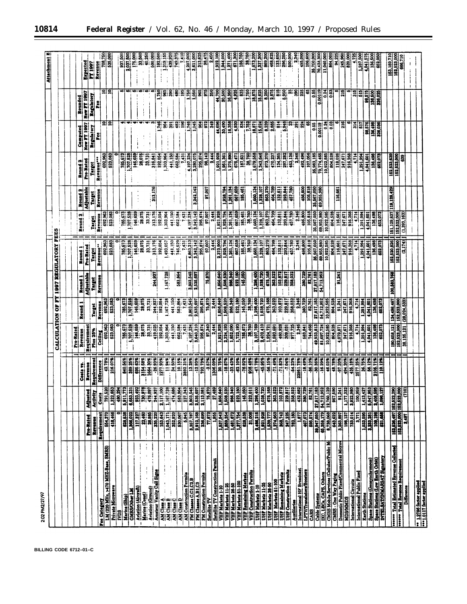| 2:02 PM2/27/97                                                                                                                       |                                                               |                                                                                                                                                           |                                                                                    |                              |                                                                                                              |                          |                                                              |                          |                          |                                           |                                                              |                                  | ш<br><b>Attachment</b>                 |
|--------------------------------------------------------------------------------------------------------------------------------------|---------------------------------------------------------------|-----------------------------------------------------------------------------------------------------------------------------------------------------------|------------------------------------------------------------------------------------|------------------------------|--------------------------------------------------------------------------------------------------------------|--------------------------|--------------------------------------------------------------|--------------------------|--------------------------|-------------------------------------------|--------------------------------------------------------------|----------------------------------|----------------------------------------|
|                                                                                                                                      |                                                               |                                                                                                                                                           |                                                                                    | CALCULATION                  | E<br>ð                                                                                                       |                          | <b><i>ISST REGULATORY</i></b>                                | <b>FEES</b>              |                          |                                           |                                                              |                                  |                                        |
|                                                                                                                                      |                                                               |                                                                                                                                                           |                                                                                    |                              |                                                                                                              |                          |                                                              |                          |                          |                                           |                                                              |                                  |                                        |
|                                                                                                                                      |                                                               |                                                                                                                                                           |                                                                                    |                              |                                                                                                              |                          |                                                              |                          |                          |                                           |                                                              |                                  |                                        |
|                                                                                                                                      |                                                               |                                                                                                                                                           |                                                                                    | Pro-Rated                    |                                                                                                              |                          |                                                              |                          |                          |                                           |                                                              | Rounded                          |                                        |
|                                                                                                                                      |                                                               |                                                                                                                                                           | Coats rs                                                                           | Revenue                      | m<br>Round                                                                                                   | Round 1                  | Round 1                                                      | Round <sub>2</sub>       | Romd 2                   | œ<br>Round                                | Computed                                                     |                                  |                                        |
|                                                                                                                                      | Pro-Rated                                                     | Adjusted                                                                                                                                                  | Revenue                                                                            | Requirement                  |                                                                                                              | <b>Adjustable</b>        | Pro-Rated                                                    |                          | <b>Adjustable</b>        | Pro-Rated                                 | New PT 1997<br>Regulatory                                    | <b>New PT 1997</b><br>Regulatory | Expected<br><b>PY 1997</b>             |
|                                                                                                                                      | Revenue                                                       | Activity                                                                                                                                                  | Requirement                                                                        | Plus 25%                     | Turget                                                                                                       | Target                   | Turget                                                       | <b>Taiget</b>            | Turget                   | Revenue"!<br>Turet                        |                                                              |                                  |                                        |
| <b>Fee Category</b>                                                                                                                  | Requirement                                                   | Costs                                                                                                                                                     | Difference                                                                         | Celling                      | Revenue                                                                                                      | Revenue                  | Revenue"                                                     | 692,963<br>Revenue       | Revenue                  | 692,963                                   |                                                              |                                  | Revenue<br>708,750<br>535,000          |
| LM (220 MHz, >470 MHZ-Base, SMRS)                                                                                                    | 554,370                                                       | 791,520                                                                                                                                                   | 42.78%                                                                             | 692,963                      | 692,963                                                                                                      |                          | 692,963<br>523,083                                           | 523,083                  |                          | 523,063                                   | 의유                                                           | 의혹                               |                                        |
| Private Microway                                                                                                                     | 418,466                                                       | 1.322,653<br><b>1.322,653,773</b><br><b>1.322,653,773,773,783,173,173</b><br><b>1.322,653</b><br><b>1.322,653</b><br><b>1.322,653</b><br><b>1.322,653</b> | 216.07%                                                                            | 523,083                      | 523,083                                                                                                      |                          |                                                              | Ξ                        |                          |                                           |                                                              |                                  |                                        |
| Ë                                                                                                                                    |                                                               |                                                                                                                                                           |                                                                                    |                              | 785,673                                                                                                      |                          |                                                              | 785,673                  |                          | 785,673                                   |                                                              |                                  |                                        |
| Marine (Ship)                                                                                                                        | 628,538                                                       |                                                                                                                                                           | 840.56%                                                                            | <b>186.673</b><br>1,707.628  | 1,707,528                                                                                                    |                          | 185,673<br>107,528                                           | 107.528                  |                          | 1,707,528                                 |                                                              |                                  | 3037.500                               |
| <b>GMRS/Other LM</b>                                                                                                                 |                                                               |                                                                                                                                                           |                                                                                    | 146,659                      | 146,659                                                                                                      |                          | 146,659                                                      | 146,659                  |                          | 146,659                                   |                                                              |                                  |                                        |
| <b>Aviation (Aircraft)</b>                                                                                                           |                                                               |                                                                                                                                                           | $\begin{array}{ c c } \hline 605 & 638 \\ \hline 1154 & 568 \\ \hline \end{array}$ | 28,075                       | 28,075                                                                                                       |                          | 28,075                                                       | 28,075                   |                          | 28,075                                    |                                                              |                                  | ច្នេះ<br>និង<br>ស្ថិត                  |
| Marine (Coast)                                                                                                                       |                                                               |                                                                                                                                                           |                                                                                    | 33,731                       | 33,731                                                                                                       |                          | 33,731                                                       | 33.731                   |                          | $\overline{\mathbf{a}}$                   |                                                              |                                  | 10.250                                 |
| <b>Aviation (Ground)</b>                                                                                                             |                                                               |                                                                                                                                                           | 1664.304                                                                           | 419,025                      |                                                                                                              | 244,937                  | 313,176                                                      | 313,176                  | 313,176                  | 316,841                                   |                                                              |                                  | 500,000                                |
| Amateur Vanity Call Signa                                                                                                            | 163,643                                                       |                                                                                                                                                           | 1277.93%                                                                           | 192,054                      | 244,937                                                                                                      |                          | 192,054                                                      | 192,054                  |                          | 192,054                                   | 1,746                                                        | 1,760                            | 192,500                                |
| Î<br>$\begin{array}{c}\n\hline\n\text{MOM} \\ \hline\n\text{MOM} \\ \hline\n\text{MOM} \\ \hline\n\text{MOM} \\ \hline\n\end{array}$ |                                                               | 1117100<br>111611728<br>1010101344<br>1113,0001<br>1113,0001<br>1113,0001                                                                                 | 1194%                                                                              | 303,964                      | 1,167,728                                                                                                    | 1,167,728                | 1,493,057                                                    | 303,964                  |                          | 1,303,964                                 | š,                                                           | 13                               | 1,319,155                              |
|                                                                                                                                      | 1,043,171                                                     |                                                                                                                                                           | 34,50%                                                                             | 141,150                      | 441,150                                                                                                      |                          | 441,150                                                      | 441,150                  |                          | 441,150                                   | ត្ត                                                          | $\frac{390}{2}$                  | 439,92                                 |
|                                                                                                                                      | 530,067                                                       |                                                                                                                                                           | 10.15%                                                                             | 662,584                      | 583,864                                                                                                      | 583,864                  | 746,529                                                      | 662,584                  |                          | 662,584                                   | Ş.                                                           | ŝ                                | 749.37                                 |
|                                                                                                                                      | 5,945                                                         |                                                                                                                                                           | 3892.31%                                                                           | 7,431                        | 7431                                                                                                         |                          | ę.                                                           | $\frac{3}{2}$            |                          | $\frac{51}{2}$                            | $\frac{8}{1}$                                                | 195                              | Ī                                      |
| AM Construction Permits<br>FM Classes C.C1.C2.B                                                                                      |                                                               |                                                                                                                                                           | 13.28%                                                                             | 1,197,234                    | 803.545<br>e,                                                                                                | 3,803,545                | 4,863,213                                                    | 197,234                  |                          | 4,197,234<br>3,280,075                    | $\frac{1746}{1.045}$                                         | 750                              | 4,207,000                              |
| FM Classes A,B1,C3                                                                                                                   | 1,357,787<br>2,912,188<br>2,913,699                           |                                                                                                                                                           |                                                                                    |                              | 2,535,697                                                                                                    | 2,535,697                | 3,242,142                                                    | 242,142<br>σī            | 3,242,142                |                                           |                                                              | $\frac{36}{365}$                 | 3,611,000<br>313,625                   |
| FM Construction Permits                                                                                                              |                                                               |                                                                                                                                                           | 12 93%                                                                             | 3,640,210<br>295,874         | 295,874                                                                                                      |                          | 295,874                                                      | 295,874                  |                          | 295,874                                   | š                                                            |                                  |                                        |
| Satellite TV                                                                                                                         | <u>77,872</u>                                                 | 76,870                                                                                                                                                    | $-2.57%$                                                                           | 97,340                       | 75,870                                                                                                       | 75,870                   | 57,007                                                       | 57,007                   | <b>27,007</b>            | <b>98,142</b>                             | 52                                                           | 976                              | 98,47                                  |
| <b>Satellite TV Construction Permit</b>                                                                                              | 1,955                                                         |                                                                                                                                                           | 1306.09%                                                                           | 2,444                        | 2,444                                                                                                        |                          | 틞                                                            | 2,44                     |                          | 2,444                                     | $\frac{9}{21}$                                               | 550                              |                                        |
| VHF Markets 1-10                                                                                                                     | 1,837,542                                                     | 01.489<br>036.640<br>0368.11<br>086.11<br>086.12                                                                                                          | 20.75%                                                                             |                              | 1,856,640                                                                                                    | 1,856,640                | 2,373,900                                                    | 1,921,928                |                          |                                           | 44,696                                                       | 4,700                            | 1,922,100<br>1,944,000                 |
|                                                                                                                                      | 1,859,354                                                     |                                                                                                                                                           | $-18.87%$                                                                          | 1,921,928                    | ,508,520                                                                                                     | 1,506,520                |                                                              | 1,928,794                | 1,928,794                |                                           | 30,490                                                       |                                  |                                        |
| VHF Markets 11-26<br>VHF Markets 26-50<br>VHF Markets 51-100                                                                         | 1,461,672                                                     |                                                                                                                                                           | $-33.43%$                                                                          | 1,852,090                    | 986,340                                                                                                      | 986,340                  | 1,928,794                                                    | 1,261,691<br>667,691     | 1,261,134                | 1,275,890                                 | 16,358                                                       | 16,350                           | 1,271,400                              |
|                                                                                                                                      |                                                               |                                                                                                                                                           |                                                                                    | 1,722,193                    | 522,180                                                                                                      |                          | 667,659                                                      |                          |                          | 676,471                                   | $rac{30}{1}$                                                 | 1925                             | 11,300<br>671,300                      |
|                                                                                                                                      | 1,377,754                                                     | <b>1808</b><br>145<br>145<br>181                                                                                                                          | 32.10%                                                                             | 785,673                      | 145,050                                                                                                      | 822,180                  |                                                              | 185,461                  | 185,461                  | 187,631                                   |                                                              | 85                               | 186,750                                |
|                                                                                                                                      | 31,008                                                        |                                                                                                                                                           | 838.48%                                                                            | 38,760                       | 38,760                                                                                                       |                          | 185,461                                                      | 38,760                   |                          | 38,760                                    |                                                              |                                  | 38,750                                 |
| VHP Remaining Marketa<br>VHP Construction Permita<br>UHP Marketa 1-10                                                                | 3,486,216                                                     |                                                                                                                                                           | $-17.785$                                                                          | 3,107,769                    | 298,400                                                                                                      | 1,298,400                | $\begin{array}{c} \hline 1.80, 131 \\ 1.32, 101 \end{array}$ | <u>្មើម</u><br>ស្មារព្យូ | 1,660,134                | 1,679,558                                 |                                                              | <b><u>iaisia</u></b><br>Fiaiai   | 673,200                                |
|                                                                                                                                      | 1,921,928                                                     | 001.289.120                                                                                                                                               | -45 95%                                                                            | 2,402,410                    | 1,038,720                                                                                                    | 038,720                  |                                                              |                          | 1,328,107                | 1,343,646                                 | 15,624                                                       |                                  | $\frac{1}{2}$ , 300                    |
| UHP Markets 11-26<br>UHF Markets 26-60                                                                                               |                                                               | 676,168                                                                                                                                                   | -56.15%                                                                            | 1,924,721                    | 676,168                                                                                                      | 675,168                  | 863,270                                                      | 863,270                  | 863,270                  | 873,370                                   | <u>ន្ត្រី ខ្លា</u>                                           | 8.250                            | 869,200                                |
| UHP Markets 61-100                                                                                                                   | 1,839,777<br>1,274,963                                        |                                                                                                                                                           | 71.49%                                                                             | 1,593,591                    | 363,522                                                                                                      | 363,522                  | 464,799                                                      | 464,799                  | 464,799                  | 470,237                                   |                                                              |                                  | 468,62                                 |
| <b>UHP Remaining Markets</b>                                                                                                         | 368,742                                                       | នានា<br>ខ្លាំងនាំ<br>ខ្លាំងនាំ                                                                                                                            | 71.83%                                                                             | 460,928                      |                                                                                                              |                          | <b>ELEK</b><br>BISS                                          | 132,811                  | 132,811                  | 134,365                                   | <b>114</b><br>1946                                           | <b>EE</b>                        | $\frac{13.65}{2}$                      |
| <b>UHP Construction Permits</b>                                                                                                      |                                                               |                                                                                                                                                           | $-7.04%$                                                                           | 309,031                      | $\frac{103672}{229611}$                                                                                      |                          |                                                              | 293.7180<br>457.780      | 293,844                  | 297,282<br>463,138                        |                                                              |                                  | 296,250                                |
| Auciliaries                                                                                                                          | 247,225                                                       |                                                                                                                                                           | $-54.238$<br>$22951.788$                                                           | $\overline{\mathbf{m}}$ ,725 | 358,032                                                                                                      | 358,032                  | 457,780                                                      |                          |                          |                                           | З                                                            | $\frac{1}{2}$                    | 500,000                                |
| International HF Broadcast                                                                                                           | $\frac{1.877}{2}$                                             | 358,032<br>432,682<br>380,729                                                                                                                             |                                                                                    | 2,346                        | 2,346                                                                                                        |                          | 2,346                                                        | 2,346                    |                          | 2,346                                     | 224<br>ន្ល                                                   | 225                              | 495,00                                 |
| LPTV/Translove/Booters<br>CARS<br>CARS                                                                                               | 467,073                                                       |                                                                                                                                                           | $-18.49%$                                                                          | 583,841                      | 380,729                                                                                                      | 380,729                  | 486,800                                                      | 486,800                  | 486,800<br>105,818       | 492,496<br>107,056                        | 3                                                            | $\overline{3}$                   | 106,60                                 |
|                                                                                                                                      | 686,574<br>89,547,060<br>65,358,179                           | 82,761                                                                                                                                                    | $\frac{8}{90}$                                                                     | 744,468                      | 62,761                                                                                                       | 82,761                   | 35,567,050<br>105,818                                        | 105,818<br>35,567,050    |                          | 35,983,185                                |                                                              |                                  |                                        |
| <b>Cable Systems</b>                                                                                                                 |                                                               | 27,817,183<br>54,712,952                                                                                                                                  |                                                                                    | 49,933,813<br>81,697,724     | 27,817,183                                                                                                   | 27,817,183<br>54,712,953 | 69,955,980                                                   | 69,955,980               | 35,567,050<br>69,955,980 | 70,774,465                                | $\begin{array}{c}\n 0.55 \\  \hline\n 0.00119\n \end{array}$ | $\frac{65}{10012}$               | 36,700,000<br>10,423,300<br>11,040,000 |
| IXC, LECa, CAPS, Othera                                                                                                              |                                                               |                                                                                                                                                           | 46.03%                                                                             | 10,922,585                   | 54,712,952                                                                                                   |                          | 10,922,585                                                   | 922,585<br>Ξj            |                          | 10,922,585                                | 0.24                                                         |                                  |                                        |
| <b>CMRS Mobile Services (Cellular/Public M</b><br><b>CMRS</b> - One Way Paging                                                       | 8,739,088                                                     | 12,760,12<br>957,590                                                                                                                                      | 48.78%                                                                             | 804,528                      | 804,528                                                                                                      |                          | 804,528                                                      | 804,528                  |                          | 804,529                                   | ទី                                                           | 3                                | <b>964,00</b>                          |
| Domestic Public Fixed/Commercial Microy                                                                                              |                                                               |                                                                                                                                                           |                                                                                    | 4.079.871                    | 91,241                                                                                                       | 91,241                   | 116,661                                                      | 116,661                  | 116,661                  | 118,026<br>247,671                        |                                                              |                                  | 91,22                                  |
| <b>MDS/MMDS</b>                                                                                                                      | 3,263,897<br>198,137                                          | 1,177,332<br>232,171,1                                                                                                                                    | -97.20%                                                                            |                              | 247,671                                                                                                      |                          | 247,671                                                      | 247,671                  |                          |                                           | 216                                                          | 215                              | 820,000<br>245,960                     |
| International Circuita                                                                                                               | 133,014                                                       | 3,922,98                                                                                                                                                  | 435.18%                                                                            | 247,671<br>916,268           | 916,268                                                                                                      |                          | 916,268                                                      | 916,268                  |                          | 916,268                                   |                                                              |                                  |                                        |
| International Public Fixed                                                                                                           | <u>s,TI</u>                                                   | 100,86                                                                                                                                                    | 2577.25%                                                                           | 114                          | $\frac{1}{2}$                                                                                                |                          | $\frac{1}{2}$                                                | $\overline{111}$         |                          | $\frac{1}{2}$                             | $\frac{3}{10}$                                               | $\frac{15}{21}$                  | 1,287,500<br>$\ddot{u}$                |
| <b>Earth Stations</b>                                                                                                                | 1,033,595                                                     |                                                                                                                                                           | 36.75%                                                                             | 1,291,994                    | 1,291,994                                                                                                    |                          | 1,291,994                                                    | 1,291,994                |                          | 1,291,994                                 | $\Xi$                                                        | $\frac{515}{98.575}$             | 4,041,575                              |
| Space Stations (Geosynchronous)                                                                                                      | 3,233,281                                                     |                                                                                                                                                           | 56.12%                                                                             | 1,041,601                    | 1,041,601                                                                                                    |                          | 4,041,601<br>136,498                                         | 1,041,601                |                          | 4,041,601                                 | 98,576                                                       |                                  | 136,500                                |
|                                                                                                                                      |                                                               |                                                                                                                                                           | 2105.71%<br>110.12%                                                                | 136,498                      | 136,498<br>652,073                                                                                           |                          |                                                              | 136,498<br>652,073       |                          | 136,498                                   | 136,498                                                      | 136,500<br>326,025               | 652,050                                |
| Space Stations (Low Earth Orbit).<br>INTELSAT/INMARSAT Signatory                                                                     | 100,198<br>521,658                                            | $\begin{array}{r} 1,431 \\ 1,3431 \\ 5,041,963 \\ 3,408,696 \\ \hline 1,096,121 \\ \hline \end{array}$                                                    |                                                                                    | 652,073                      |                                                                                                              |                          | 652,073                                                      |                          |                          |                                           | 326,036                                                      |                                  |                                        |
|                                                                                                                                      |                                                               |                                                                                                                                                           |                                                                                    |                              |                                                                                                              | 100,582,768              |                                                              |                          | 119,128,429              |                                           |                                                              |                                  | 163,189,710                            |
| asser Total Estimated Revenue Collected<br>assert Total Revenue Requirement                                                          |                                                               |                                                                                                                                                           |                                                                                    | 152,523,000<br>190,658,121   |                                                                                                              |                          | 152,520,826<br>152,523,000                                   | 151,129,837              |                          | 162,523,639<br>152,523,000<br>152,523,000 |                                                              |                                  | 152,523,000                            |
|                                                                                                                                      | 011)<br>162,523,000 163,523,000<br>1600,525,523   169,563,538 |                                                                                                                                                           |                                                                                    | 38,135,121                   | $\begin{array}{ c c } \hline 124,498,467 \\ \hline 152,523,000 \\ \hline (28,024,533) \\ \hline \end{array}$ |                          | (2,174)                                                      | (1,393,163)              |                          |                                           |                                                              |                                  | 666,710                                |
| <b>Difference</b>                                                                                                                    |                                                               |                                                                                                                                                           |                                                                                    |                              |                                                                                                              |                          |                                                              |                          |                          |                                           |                                                              |                                  |                                        |
|                                                                                                                                      |                                                               |                                                                                                                                                           |                                                                                    |                              |                                                                                                              |                          |                                                              |                          |                          |                                           |                                                              |                                  |                                        |
| $\frac{12786 \text{ factors applied}}{11111 \text{ factors applied}}$                                                                |                                                               |                                                                                                                                                           |                                                                                    |                              |                                                                                                              |                          |                                                              |                          |                          |                                           |                                                              |                                  |                                        |
|                                                                                                                                      |                                                               |                                                                                                                                                           |                                                                                    |                              |                                                                                                              |                          |                                                              |                          |                          |                                           |                                                              |                                  |                                        |

۰

**BILLING CODE 6712–01–C**

 $\equiv$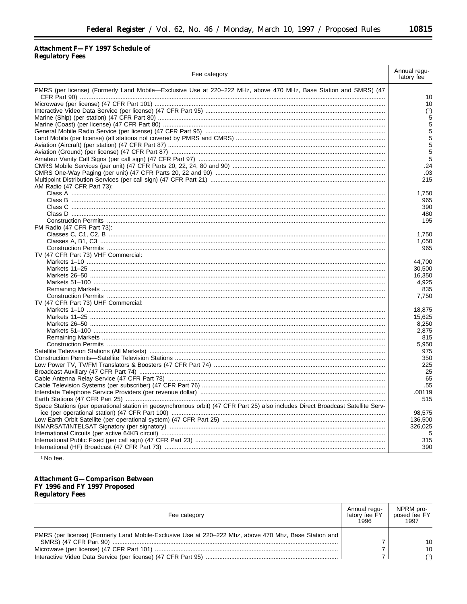# Attachment F-FY 1997 Schedule of Regulatory Fees

| Fee category                                                                                                                     | Annual regu-<br>latory fee |
|----------------------------------------------------------------------------------------------------------------------------------|----------------------------|
| PMRS (per license) (Formerly Land Mobile—Exclusive Use at 220–222 MHz, above 470 MHz, Base Station and SMRS) (47                 |                            |
|                                                                                                                                  | 10                         |
|                                                                                                                                  | 10                         |
|                                                                                                                                  | (1)                        |
|                                                                                                                                  | 5                          |
|                                                                                                                                  | 5                          |
|                                                                                                                                  | 5                          |
|                                                                                                                                  | 5                          |
|                                                                                                                                  | 5                          |
|                                                                                                                                  | 5                          |
|                                                                                                                                  | 5                          |
|                                                                                                                                  | .24                        |
|                                                                                                                                  | .03                        |
|                                                                                                                                  | 215                        |
| AM Radio (47 CFR Part 73):                                                                                                       |                            |
|                                                                                                                                  | 1,750                      |
|                                                                                                                                  | 965                        |
|                                                                                                                                  | 390                        |
|                                                                                                                                  | 480                        |
|                                                                                                                                  | 195                        |
| FM Radio (47 CFR Part 73):                                                                                                       |                            |
|                                                                                                                                  | 1,750                      |
|                                                                                                                                  | 1,050                      |
|                                                                                                                                  | 965                        |
| TV (47 CFR Part 73) VHF Commercial:                                                                                              |                            |
|                                                                                                                                  | 44,700                     |
|                                                                                                                                  | 30,500                     |
|                                                                                                                                  | 16.350                     |
|                                                                                                                                  | 4,925                      |
|                                                                                                                                  | 835                        |
|                                                                                                                                  | 7,750                      |
| TV (47 CFR Part 73) UHF Commercial:                                                                                              |                            |
|                                                                                                                                  | 18,875                     |
|                                                                                                                                  | 15,625                     |
|                                                                                                                                  | 8,250                      |
|                                                                                                                                  | 2,875                      |
|                                                                                                                                  | 815                        |
|                                                                                                                                  | 5,950                      |
|                                                                                                                                  | 975                        |
|                                                                                                                                  | 350                        |
|                                                                                                                                  | 225                        |
|                                                                                                                                  | 25                         |
|                                                                                                                                  | 65                         |
|                                                                                                                                  | .55                        |
|                                                                                                                                  | .00119                     |
|                                                                                                                                  | 515                        |
| Space Stations (per operational station in geosynchronous orbit) (47 CFR Part 25) also includes Direct Broadcast Satellite Serv- | 98.575                     |
|                                                                                                                                  |                            |
|                                                                                                                                  | 136,500                    |
|                                                                                                                                  | 326,025                    |
|                                                                                                                                  | 5<br>315                   |
|                                                                                                                                  | 390                        |
|                                                                                                                                  |                            |

<sup>1</sup> No fee.

Attachment G—Comparison Between<br>FY 1996 and FY 1997 Proposed<br>Regulatory Fees

| Fee category                                                                                           | Annual regu-<br>latory fee FY<br>1996 | NPRM pro-<br>posed fee FY<br>1997 |
|--------------------------------------------------------------------------------------------------------|---------------------------------------|-----------------------------------|
| PMRS (per license) (Formerly Land Mobile-Exclusive Use at 220–222 Mhz, above 470 Mhz, Base Station and |                                       | 10                                |
|                                                                                                        |                                       | 10<br>(1)                         |

▀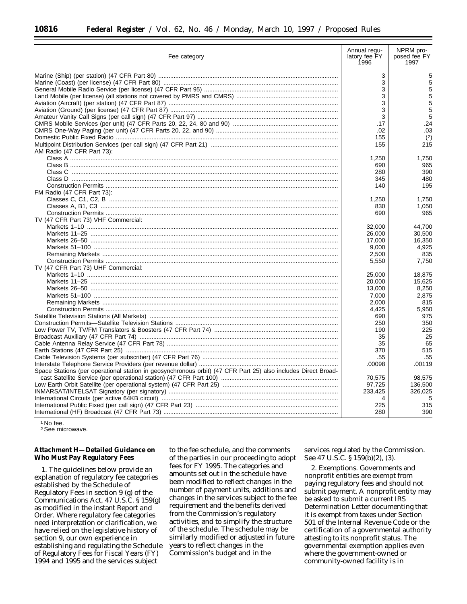| Fee category                                                                                                  | Annual regu-<br>latory fee FY<br>1996 | NPRM pro-<br>posed fee FY<br>1997 |
|---------------------------------------------------------------------------------------------------------------|---------------------------------------|-----------------------------------|
|                                                                                                               | 3                                     | 5                                 |
|                                                                                                               | 3                                     | 5                                 |
|                                                                                                               | 3                                     | 5                                 |
|                                                                                                               | 3                                     | 5                                 |
| Aviation (Aircraft) (per station) (47 CFR Part 87) ……………………………………………………………………………                              | 3                                     | 5                                 |
| Aviation (Ground) (per license) (47 CFR Part 87) …………………………………………………………………………………                              | 3                                     | 5                                 |
|                                                                                                               | 3                                     | 5                                 |
|                                                                                                               | .17                                   | .24                               |
|                                                                                                               |                                       | .03                               |
|                                                                                                               | .02                                   |                                   |
|                                                                                                               | 155                                   | (2)                               |
|                                                                                                               | 155                                   | 215                               |
| AM Radio (47 CFR Part 73):                                                                                    |                                       |                                   |
|                                                                                                               | 1,250                                 | 1,750                             |
|                                                                                                               | 690                                   | 965                               |
|                                                                                                               | 280                                   | 390                               |
|                                                                                                               | 345                                   | 480                               |
|                                                                                                               | 140                                   | 195                               |
| FM Radio (47 CFR Part 73):                                                                                    |                                       |                                   |
|                                                                                                               | 1,250                                 | 1,750                             |
|                                                                                                               | 830                                   | 1,050                             |
|                                                                                                               | 690                                   | 965                               |
| TV (47 CFR Part 73) VHF Commercial:                                                                           |                                       |                                   |
|                                                                                                               | 32,000                                | 44.700                            |
|                                                                                                               | 26,000                                | 30,500                            |
|                                                                                                               | 17,000                                | 16,350                            |
|                                                                                                               | 9,000                                 | 4,925                             |
|                                                                                                               | 2,500                                 | 835                               |
|                                                                                                               | 5,550                                 | 7,750                             |
| TV (47 CFR Part 73) UHF Commercial:                                                                           |                                       |                                   |
|                                                                                                               | 25,000                                | 18,875                            |
|                                                                                                               | 20,000                                |                                   |
|                                                                                                               |                                       | 15,625                            |
|                                                                                                               | 13,000                                | 8,250                             |
|                                                                                                               | 7,000                                 | 2,875                             |
|                                                                                                               | 2,000                                 | 815                               |
|                                                                                                               | 4,425                                 | 5,950                             |
|                                                                                                               | 690                                   | 975                               |
|                                                                                                               | 250                                   | 350                               |
|                                                                                                               | 190                                   | 225                               |
|                                                                                                               | 35                                    | 25                                |
|                                                                                                               | 35                                    | 65                                |
|                                                                                                               | 370                                   | 515                               |
|                                                                                                               | .55                                   | .55                               |
|                                                                                                               | .00098                                | .00119                            |
| Space Stations (per operational station in geosynchronous orbit) (47 CFR Part 25) also includes Direct Broad- |                                       |                                   |
|                                                                                                               | 70,575                                | 98,575                            |
|                                                                                                               | 97,725                                | 136,500                           |
|                                                                                                               | 233,425                               | 326,025                           |
|                                                                                                               | 4                                     | 5                                 |
|                                                                                                               | 225                                   | 315                               |
|                                                                                                               | 280                                   | 390                               |

<sup>1</sup> No fee.

2See microwave.

**Attachment H—Detailed Guidance on Who Must Pay Regulatory Fees**

1. The guidelines below provide an explanation of regulatory fee categories established by the Schedule of Regulatory Fees in section 9 (g) of the Communications Act, 47 U.S.C. § 159(g) as modified in the instant *Report and Order*. Where regulatory fee categories need interpretation or clarification, we have relied on the legislative history of section 9, our own experience in establishing and regulating the Schedule of Regulatory Fees for Fiscal Years (FY) 1994 and 1995 and the services subject

to the fee schedule, and the comments of the parties in our proceeding to adopt fees for FY 1995. The categories and amounts set out in the schedule have been modified to reflect changes in the number of payment units, additions and changes in the services subject to the fee requirement and the benefits derived from the Commission's regulatory activities, and to simplify the structure of the schedule. The schedule may be similarly modified or adjusted in future years to reflect changes in the Commission's budget and in the

services regulated by the Commission. *See* 47 U.S.C. § 159(b)(2), (3).

2. *Exemptions.* Governments and nonprofit entities are exempt from paying regulatory fees and should not submit payment. A nonprofit entity may be asked to submit a current IRS Determination Letter documenting that it is exempt from taxes under Section 501 of the Internal Revenue Code or the certification of a governmental authority attesting to its nonprofit status. The governmental exemption applies even where the government-owned or community-owned facility is in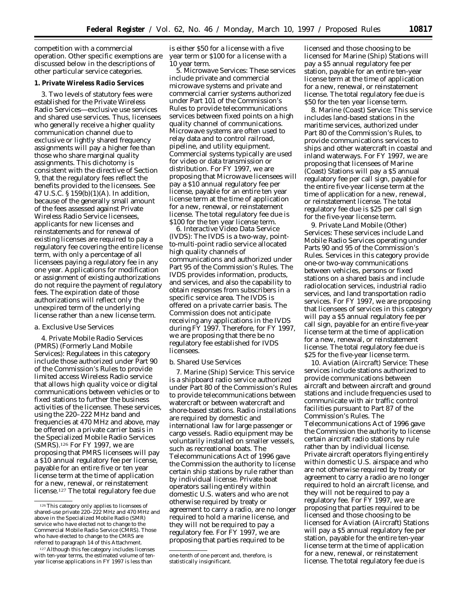competition with a commercial operation. Other specific exemptions are discussed below in the descriptions of other particular service categories.

## **1. Private Wireless Radio Services**

3. Two levels of statutory fees were established for the Private Wireless Radio Services—exclusive use services and shared use services. Thus, licensees who generally receive a higher quality communication channel due to exclusive or lightly shared frequency assignments will pay a higher fee than those who share marginal quality assignments. This dichotomy is consistent with the directive of Section 9, that the regulatory fees reflect the benefits provided to the licensees. *See* 47 U.S.C. § 159(b)(1)(A). In addition, because of the generally small amount of the fees assessed against Private Wireless Radio Service licensees, applicants for new licenses and reinstatements and for renewal of existing licenses are required to pay a regulatory fee covering the entire license term, with only a percentage of all licensees paying a regulatory fee in any one year. Applications for modification or assignment of existing authorizations do not require the payment of regulatory fees. The expiration date of those authorizations will reflect only the unexpired term of the underlying license rather than a new license term.

#### *a. Exclusive Use Services*

4. *Private Mobile Radio Services (PMRS) (Formerly Land Mobile Services):* Regulatees in this category include those authorized under Part 90 of the Commission's Rules to provide limited access Wireless Radio service that allows high quality voice or digital communications between vehicles or to fixed stations to further the business activities of the licensee. These services, using the 220–222 MHz band and frequencies at 470 MHz and above, may be offered on a private carrier basis in the Specialized Mobile Radio Services (SMRS).126 For FY 1997, we are proposing that PMRS licensees will pay a \$10 annual regulatory fee per license, payable for an entire five or ten year license term at the time of application for a new, renewal, or reinstatement license.127 The total regulatory fee due

is either \$50 for a license with a five year term or \$100 for a license with a 10 year term.

5. *Microwave Services:* These services include private and commercial microwave systems and private and commercial carrier systems authorized under Part 101 of the Commission's Rules to provide telecommunications services between fixed points on a high quality channel of communications. Microwave systems are often used to relay data and to control railroad, pipeline, and utility equipment. Commercial systems typically are used for video or data transmission or distribution. For FY 1997, we are proposing that Microwave licensees will pay a \$10 annual regulatory fee per license, payable for an entire ten year license term at the time of application for a new, renewal, or reinstatement license. The total regulatory fee due is \$100 for the ten year license term.

6. *Interactive Video Data Service (IVDS):* The IVDS is a two-way, pointto-multi-point radio service allocated high quality channels of communications and authorized under Part 95 of the Commission's Rules. The IVDS provides information, products, and services, and also the capability to obtain responses from subscribers in a specific service area. The IVDS is offered on a private carrier basis. The Commission does not anticipate receiving any applications in the IVDS during FY 1997. Therefore, for FY 1997, we are proposing that there be no regulatory fee established for IVDS licensees.

### *b. Shared Use Services*

7. *Marine (Ship) Service:* This service is a shipboard radio service authorized under Part 80 of the Commission's Rules to provide telecommunications between watercraft or between watercraft and shore-based stations. Radio installations are required by domestic and international law for large passenger or cargo vessels. Radio equipment may be voluntarily installed on smaller vessels, such as recreational boats. The Telecommunications Act of 1996 gave the Commission the authority to license certain ship stations by rule rather than by individual license. Private boat operators sailing entirely within domestic U.S. waters and who are not otherwise required by treaty or agreement to carry a radio, are no longer required to hold a marine license, and they will not be required to pay a regulatory fee. For FY 1997, we are proposing that parties required to be

licensed and those choosing to be licensed for Marine (Ship) Stations will pay a \$5 annual regulatory fee per station, payable for an entire ten-year license term at the time of application for a new, renewal, or reinstatement license. The total regulatory fee due is \$50 for the ten year license term.

8. *Marine (Coast) Service:* This service includes land-based stations in the maritime services, authorized under Part 80 of the Commission's Rules, to provide communications services to ships and other watercraft in coastal and inland waterways. For FY 1997, we are proposing that licensees of Marine (Coast) Stations will pay a \$5 annual regulatory fee per call sign, payable for the entire five-year license term at the time of application for a new, renewal, or reinstatement license. The total regulatory fee due is \$25 per call sign for the five-year license term.

9. *Private Land Mobile (Other) Services:* These services include Land Mobile Radio Services operating under Parts 90 and 95 of the Commission's Rules. Services in this category provide one-or two-way communications between vehicles, persons or fixed stations on a shared basis and include radiolocation services, industrial radio services, and land transportation radio services. For FY 1997, we are proposing that licensees of services in this category will pay a \$5 annual regulatory fee per call sign, payable for an entire five-year license term at the time of application for a new, renewal, or reinstatement license. The total regulatory fee due is \$25 for the five-year license term.

10. *Aviation (Aircraft) Service:* These services include stations authorized to provide communications between aircraft and between aircraft and ground stations and include frequencies used to communicate with air traffic control facilities pursuant to Part 87 of the Commission's Rules. The Telecommunications Act of 1996 gave the Commission the authority to license certain aircraft radio stations by rule rather than by individual license. Private aircraft operators flying entirely within domestic U.S. airspace and who are not otherwise required by treaty or agreement to carry a radio are no longer required to hold an aircraft license, and they will not be required to pay a regulatory fee. For FY 1997, we are proposing that parties required to be licensed and those choosing to be licensed for Aviation (Aircraft) Stations will pay a \$5 annual regulatory fee per station, payable for the entire ten-year license term at the time of application for a new, renewal, or reinstatement license. The total regulatory fee due is

<sup>126</sup>This category only applies to licensees of shared-use private 220–222 MHz and 470 MHz and above in the Specialized Mobile Radio (SMR) service who have elected not to change to the Commercial Mobile Radio Service (CMRS). Those who have elected to change to the CMRS are referred to paragraph 14 of this Attachment.

<sup>127</sup> Although this fee category includes licenses with ten-year terms, the estimated volume of tenyear license applications in FY 1997 is less than

one-tenth of one percent and, therefore, is statistically insignificant.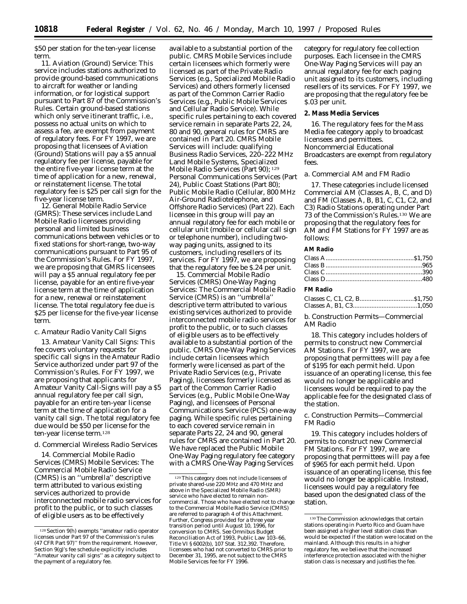\$50 per station for the ten-year license term.

11. *Aviation (Ground) Service:* This service includes stations authorized to provide ground-based communications to aircraft for weather or landing information, or for logistical support pursuant to Part 87 of the Commission's Rules. Certain ground-based stations which only serve itinerant traffic, i.e., possess no actual units on which to assess a fee, are exempt from payment of regulatory fees. For FY 1997, we are proposing that licensees of Aviation (Ground) Stations will pay a \$5 annual regulatory fee per license, payable for the entire five-year license term at the time of application for a new, renewal, or reinstatement license. The total regulatory fee is \$25 per call sign for the five-year license term.

12. *General Mobile Radio Service (GMRS):* These services include Land Mobile Radio licensees providing personal and limited business communications between vehicles or to fixed stations for short-range, two-way communications pursuant to Part 95 of the Commission's Rules. For FY 1997, we are proposing that GMRS licensees will pay a \$5 annual regulatory fee per license, payable for an entire five-year license term at the time of application for a new, renewal or reinstatement license. The total regulatory fee due is \$25 per license for the five-year license term.

## *c. Amateur Radio Vanity Call Signs*

13. *Amateur Vanity Call Signs:* This fee covers voluntary requests for specific call signs in the Amateur Radio Service authorized under part 97 of the Commission's Rules. For FY 1997, we are proposing that applicants for Amateur Vanity Call-Signs will pay a \$5 annual regulatory fee per call sign, payable for an entire ten-year license term at the time of application for a vanity call sign. The total regulatory fee due would be \$50 per license for the ten-year license term.128

## *d. Commercial Wireless Radio Services*

14. *Commercial Mobile Radio Services (CMRS) Mobile Services:* The Commercial Mobile Radio Service (CMRS) is an ''umbrella'' descriptive term attributed to various existing services authorized to provide interconnected mobile radio services for profit to the public, or to such classes of eligible users as to be effectively

available to a substantial portion of the public. CMRS Mobile Services include certain licensees which formerly were licensed as part of the Private Radio Services (e.g., Specialized Mobile Radio Services) and others formerly licensed as part of the Common Carrier Radio Services (e.g., Public Mobile Services and Cellular Radio Service). While specific rules pertaining to each covered service remain in separate Parts 22, 24, 80 and 90, general rules for CMRS are contained in Part 20. CMRS Mobile Services will include: qualifying Business Radio Services, 220–222 MHz Land Mobile Systems, Specialized Mobile Radio Services (Part 90); 129 Personal Communications Services (Part 24), Public Coast Stations (Part 80); Public Mobile Radio (Cellular, 800 MHz Air-Ground Radiotelephone, and Offshore Radio Services) (Part 22). Each licensee in this group will pay an annual regulatory fee for each mobile or cellular unit (mobile or cellular call sign or telephone number), including twoway paging units, assigned to its customers, including resellers of its services. For FY 1997, we are proposing that the regulatory fee be \$.24 per unit.

15. *Commercial Mobile Radio Services (CMRS) One-Way Paging Services:* The Commercial Mobile Radio Service (CMRS) is an ''umbrella'' descriptive term attributed to various existing services authorized to provide interconnected mobile radio services for profit to the public, or to such classes of eligible users as to be effectively available to a substantial portion of the public. CMRS One-Way Paging Services include certain licensees which formerly were licensed as part of the Private Radio Services (e.g., Private Paging), licensees formerly licensed as part of the Common Carrier Radio Services (e.g., Public Mobile One-Way Paging), and licensees of Personal Communications Service (PCS) one-way paging. While specific rules pertaining to each covered service remain in separate Parts 22, 24 and 90, general rules for CMRS are contained in Part 20. We have replaced the Public Mobile One-Way Paging regulatory fee category with a CMRS One-Way Paging Services

category for regulatory fee collection purposes. Each licensee in the CMRS One-Way Paging Services will pay an annual regulatory fee for each paging unit assigned to its customers, including resellers of its services. For FY 1997, we are proposing that the regulatory fee be \$.03 per unit.

#### **2. Mass Media Services**

16. The regulatory fees for the Mass Media fee category apply to broadcast licensees and permittees. Noncommercial Educational Broadcasters are exempt from regulatory fees.

#### *a. Commercial AM and FM Radio*

17. These categories include licensed Commercial AM (Classes A, B, C, and D) and FM (Classes A, B, B1, C, C1, C2, and C3) Radio Stations operating under Part 73 of the Commission's Rules.130 We are proposing that the regulatory fees for AM and FM Stations for FY 1997 are as follows:

#### **AM Radio**

## **FM Radio**

*b. Construction Permits—Commercial AM Radio*

18. This category includes holders of permits to construct new Commercial AM Stations. For FY 1997, we are proposing that permittees will pay a fee of \$195 for each permit held. Upon issuance of an operating license, this fee would no longer be applicable and licensees would be required to pay the applicable fee for the designated class of the station.

## *c. Construction Permits—Commercial FM Radio*

19. This category includes holders of permits to construct new Commercial FM Stations. For FY 1997, we are proposing that permittees will pay a fee of \$965 for each permit held. Upon issuance of an operating license, this fee would no longer be applicable. Instead, licensees would pay a regulatory fee based upon the designated class of the station.

<sup>128</sup>Section 9(h) exempts ''amateur radio operator licenses under Part 97 of the Commission's rules (47 CFR Part 97)'' from the requirement. However, Section 9(g)'s fee schedule explicitly includes ''Amateur vanity call signs'' as a category subject to the payment of a regulatory fee.

<sup>129</sup>This category does not include licensees of private shared-use 220 MHz and 470 MHz and above in the Specialized Mobile Radio (SMR) service who have elected to remain noncommercial. Those who have elected not to change to the Commercial Mobile Radio Service (CMRS) are referred to paragraph 4 of this Attachment. Further, Congress provided for a three year transition period until August 10, 1996, for conversion to CMRS. *See* Omnibus Budget Reconciliation Act of 1993, Public Law 103-66, Title VI § 6002(b), 107 Stat. 312,392. Therefore, licensees who had not converted to CMRS prior to December 31, 1995, are not subject to the CMRS Mobile Services fee for FY 1996.

<sup>130</sup>The Commission acknowledges that certain stations operating in Puerto Rico and Guam have been assigned a higher level station class than would be expected if the station were located on the mainland. Although this results in a higher regulatory fee, we believe that the increased interference protection associated with the higher station class is necessary and justifies the fee.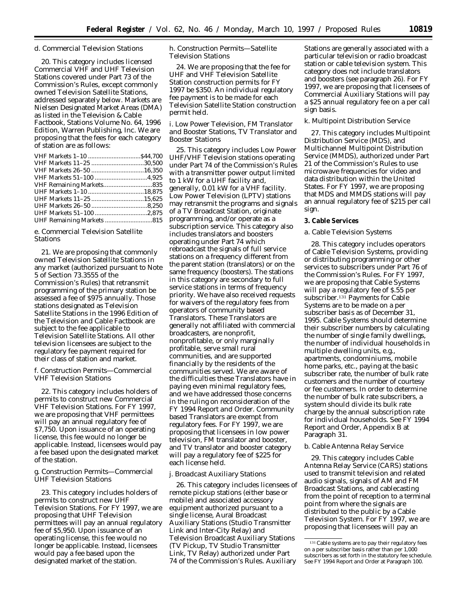# *d. Commercial Television Stations*

20. This category includes licensed Commercial VHF and UHF Television Stations covered under Part 73 of the Commission's Rules, except commonly owned Television Satellite Stations, addressed separately below. Markets are Nielsen Designated Market Areas (DMA) as listed in the *Television & Cable Factbook,* Stations Volume No. 64, 1996 Edition, Warren Publishing, Inc. We are proposing that the fees for each category of station are as follows:

| VHF Markets 11-25 30.500 |  |
|--------------------------|--|
|                          |  |
|                          |  |
|                          |  |
|                          |  |
|                          |  |
|                          |  |
|                          |  |
|                          |  |
|                          |  |

# *e. Commercial Television Satellite Stations*

21. We are proposing that commonly owned Television Satellite Stations in any market (authorized pursuant to Note 5 of Section 73.3555 of the Commission's Rules) that retransmit programming of the primary station be assessed a fee of \$975 annually. Those stations designated as Television Satellite Stations in the 1996 Edition of the *Television and Cable Factbook* are subject to the fee applicable to Television Satellite Stations. All other television licensees are subject to the regulatory fee payment required for their class of station and market.

# *f. Construction Permits—Commercial VHF Television Stations*

22. This category includes holders of permits to construct new Commercial VHF Television Stations. For FY 1997, we are proposing that VHF permittees will pay an annual regulatory fee of \$7,750. Upon issuance of an operating license, this fee would no longer be applicable. Instead, licensees would pay a fee based upon the designated market of the station.

# *g. Construction Permits—Commercial UHF Television Stations*

23. This category includes holders of permits to construct new UHF Television Stations. For FY 1997, we are proposing that UHF Television permittees will pay an annual regulatory fee of \$5,950. Upon issuance of an operating license, this fee would no longer be applicable. Instead, licensees would pay a fee based upon the designated market of the station.

# *h. Construction Permits—Satellite Television Stations*

24. We are proposing that the fee for UHF and VHF Television Satellite Station construction permits for FY 1997 be \$350. An individual regulatory fee payment is to be made for each Television Satellite Station construction permit held.

## *i. Low Power Television, FM Translator and Booster Stations, TV Translator and Booster Stations*

25. This category includes Low Power UHF/VHF Television stations operating under Part 74 of the Commission's Rules with a transmitter power output limited to 1 kW for a UHF facility and, generally, 0.01 kW for a VHF facility. Low Power Television (LPTV) stations may retransmit the programs and signals of a TV Broadcast Station, originate programming, and/or operate as a subscription service. This category also includes translators and boosters operating under Part 74 which rebroadcast the signals of full service stations on a frequency different from the parent station (translators) or on the same frequency (boosters). The stations in this category are secondary to full service stations in terms of frequency priority. We have also received requests for waivers of the regulatory fees from operators of community based Translators. These Translators are generally not affiliated with commercial broadcasters, are nonprofit, nonprofitable, or only marginally profitable, serve small rural communities, and are supported financially by the residents of the communities served. We are aware of the difficulties these Translators have in paying even minimal regulatory fees, and we have addressed those concerns in the ruling on reconsideration of the FY 1994 *Report and Order.* Community based Translators are exempt from regulatory fees. For FY 1997, we are proposing that licensees in low power television, FM translator and booster, and TV translator and booster category will pay a regulatory fee of \$225 for each license held.

## *j. Broadcast Auxiliary Stations*

26. This category includes licensees of remote pickup stations (either base or mobile) and associated accessory equipment authorized pursuant to a single license, Aural Broadcast Auxiliary Stations (Studio Transmitter Link and Inter-City Relay) and Television Broadcast Auxiliary Stations (TV Pickup, TV Studio Transmitter Link, TV Relay) authorized under Part 74 of the Commission's Rules. Auxiliary

Stations are generally associated with a particular television or radio broadcast station or cable television system. This category does not include translators and boosters (see paragraph 26). For FY 1997, we are proposing that licensees of Commercial Auxiliary Stations will pay a \$25 annual regulatory fee on a per call sign basis.

# *k. Multipoint Distribution Service*

27. This category includes Multipoint Distribution Service (MDS), and Multichannel Multipoint Distribution Service (MMDS), authorized under Part 21 of the Commission's Rules to use microwave frequencies for video and data distribution within the United States. For FY 1997, we are proposing that MDS and MMDS stations will pay an annual regulatory fee of \$215 per call sign.

# **3. Cable Services**

# *a. Cable Television Systems*

28. This category includes operators of Cable Television Systems, providing or distributing programming or other services to subscribers under Part 76 of the Commission's Rules. For FY 1997, we are proposing that Cable Systems will pay a regulatory fee of \$.55 per subscriber.131 Payments for Cable Systems are to be made on a per subscriber basis as of December 31, 1995. Cable Systems should determine their subscriber numbers by calculating the number of single family dwellings, the number of individual households in multiple dwelling units, *e.g.,* apartments, condominiums, mobile home parks, etc., paying at the basic subscriber rate, the number of bulk rate customers and the number of courtesy or fee customers. In order to determine the number of bulk rate subscribers, a system should divide its bulk rate charge by the annual subscription rate for individual households. See FY 1994 *Report and Order,* Appendix B at Paragraph 31.

# *b. Cable Antenna Relay Service*

29. This category includes Cable Antenna Relay Service (CARS) stations used to transmit television and related audio signals, signals of AM and FM Broadcast Stations, and cablecasting from the point of reception to a terminal point from where the signals are distributed to the public by a Cable Television System. For FY 1997, we are proposing that licensees will pay an

<sup>&</sup>lt;sup>131</sup> Cable systems are to pay their regulatory fees on a per subscriber basis rather than per 1,000 subscribers as set forth in the statutory fee schedule. See FY 1994 *Report and Order* at Paragraph 100.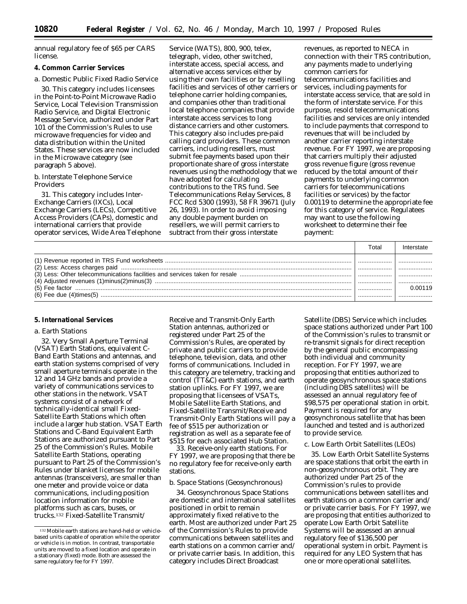annual regulatory fee of \$65 per CARS license.

## **4. Common Carrier Services**

### *a. Domestic Public Fixed Radio Service*

30. This category includes licensees in the Point-to-Point Microwave Radio Service, Local Television Transmission Radio Service, and Digital Electronic Message Service, authorized under Part 101 of the Commission's Rules to use microwave frequencies for video and data distribution within the United States. These services are now included in the Microwave category (see paragraph 5 above).

## *b. Interstate Telephone Service Providers*

31. This category includes Inter-Exchange Carriers (IXCs), Local Exchange Carriers (LECs), Competitive Access Providers (CAPs), domestic and international carriers that provide operator services, Wide Area Telephone

Service (WATS), 800, 900, telex, telegraph, video, other switched, interstate access, special access, and alternative access services either by using their own facilities or by reselling facilities and services of other carriers or telephone carrier holding companies, and companies other than traditional local telephone companies that provide interstate access services to long distance carriers and other customers. This category also includes pre-paid calling card providers. These common carriers, including resellers, must submit fee payments based upon their proportionate share of gross interstate revenues using the methodology that we have adopted for calculating contributions to the TRS fund. *See Telecommunications Relay Services,* 8 FCC Rcd 5300 (1993), 58 FR 39671 (July 26, 1993). In order to avoid imposing any double payment burden on resellers, we will permit carriers to subtract from their gross interstate

revenues, as reported to NECA in connection with their TRS contribution, any payments made to underlying common carriers for telecommunications facilities and services, including payments for interstate access service, that are sold in the form of interstate service. For this purpose, resold telecommunications facilities and services are only intended to include payments that correspond to revenues that will be included by another carrier reporting interstate revenue. For FY 1997, we are proposing that carriers multiply their adjusted gross revenue figure (gross revenue reduced by the total amount of their payments to underlying common carriers for telecommunications facilities or services) by the factor 0.00119 to determine the appropriate fee for this category of service. Regulatees may want to use the following worksheet to determine their fee payment:

| Total | Interstate |
|-------|------------|
|       | .          |
|       |            |
|       |            |
|       | 0.00119    |
|       |            |

#### **5. International Services**

#### *a. Earth Stations*

32. Very Small Aperture Terminal (VSAT) Earth Stations, equivalent C-Band Earth Stations and antennas, and earth station systems comprised of very small aperture terminals operate in the 12 and 14 GHz bands and provide a variety of communications services to other stations in the network. *VSAT* systems consist of a network of technically-identical small Fixed-Satellite Earth Stations which often include a larger hub station. VSAT Earth Stations and C-Band Equivalent Earth Stations are authorized pursuant to Part 25 of the Commission's Rules. *Mobile Satellite Earth Stations,* operating pursuant to Part 25 of the Commission's Rules under blanket licenses for mobile antennas (transceivers), are smaller than one meter and provide voice or data communications, including position location information for mobile platforms such as cars, buses, or trucks.132 *Fixed-Satellite Transmit/*

*Receive and Transmit-Only Earth Station antennas,* authorized or registered under Part 25 of the Commission's Rules, are operated by private and public carriers to provide telephone, television, data, and other forms of communications. Included in this category are telemetry, tracking and control (TT&C) earth stations, and earth station uplinks. For FY 1997, we are proposing that licensees of VSATs, Mobile Satellite Earth Stations, and Fixed-Satellite Transmit/Receive and Transmit-Only Earth Stations will pay a fee of \$515 per authorization or registration *as well as a separate fee of \$515 for each associated Hub Station.*

33. *Receive-only earth stations.* For FY 1997, we are proposing that there be no regulatory fee for receive-only earth stations.

### *b. Space Stations (Geosynchronous)*

34. Geosynchronous Space Stations are domestic and international satellites positioned in orbit to remain approximately fixed relative to the earth. Most are authorized under Part 25 of the Commission's Rules to provide communications between satellites and earth stations on a common carrier and/ or private carrier basis. In addition, this category includes Direct Broadcast

Satellite (DBS) Service which includes space stations authorized under Part 100 of the Commission's rules to transmit or re-transmit signals for direct reception by the general public encompassing both individual and community reception. For FY 1997, we are proposing that entities authorized to operate geosynchronous space stations (including DBS satellites) will be assessed an annual regulatory fee of \$98,575 per operational station in orbit. Payment is required for any geosynchronous satellite that has been launched and tested and is authorized to provide service.

#### *c. Low Earth Orbit Satellites (LEOs)*

35. Low Earth Orbit Satellite Systems are space stations that orbit the earth in non-geosynchronous orbit. They are authorized under Part 25 of the Commission's rules to provide communications between satellites and earth stations on a common carrier and/ or private carrier basis. For FY 1997, we are proposing that entities authorized to operate Low Earth Orbit Satellite Systems will be assessed an annual regulatory fee of \$136,500 per operational system in orbit. Payment is required for any LEO System that has one or more operational satellites.

<sup>132</sup>Mobile earth stations are hand-held or vehiclebased units capable of operation while the operator or vehicle is in motion. In contrast, transportable units are moved to a fixed location and operate in a stationary (fixed) mode. Both are assessed the same regulatory fee for FY 1997.